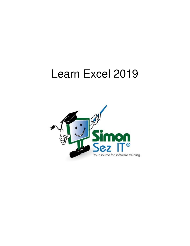# Learn Excel 2019

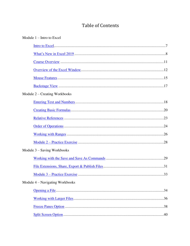# **Table of Contents**

| Module $1 -$ Intro to Excel     |
|---------------------------------|
|                                 |
|                                 |
|                                 |
|                                 |
|                                 |
|                                 |
| Module 2 – Creating Workbooks   |
|                                 |
|                                 |
|                                 |
|                                 |
|                                 |
|                                 |
| Module $3 -$ Saving Workbooks   |
|                                 |
|                                 |
|                                 |
| Module 4 – Navigating Workbooks |
|                                 |
|                                 |
|                                 |
| .40                             |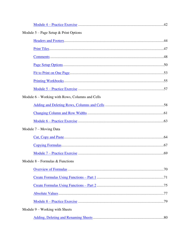| Module $5 - Page$ Setup & Print Options         |  |
|-------------------------------------------------|--|
|                                                 |  |
|                                                 |  |
|                                                 |  |
|                                                 |  |
|                                                 |  |
|                                                 |  |
|                                                 |  |
| Module 6 – Working with Rows, Columns and Cells |  |
|                                                 |  |
|                                                 |  |
|                                                 |  |
| Module 7 – Moving Data                          |  |
|                                                 |  |
|                                                 |  |
|                                                 |  |
| Module $8$ – Formulas & Functions               |  |
|                                                 |  |
|                                                 |  |
|                                                 |  |
|                                                 |  |
|                                                 |  |
| Module $9$ – Working with Sheets                |  |
|                                                 |  |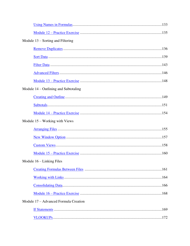| Module $13$ – Sorting and Filtering     |  |
|-----------------------------------------|--|
|                                         |  |
|                                         |  |
|                                         |  |
|                                         |  |
|                                         |  |
| Module $14$ – Outlining and Subtotaling |  |
|                                         |  |
|                                         |  |
|                                         |  |
| Module $15 -$ Working with Views        |  |
|                                         |  |
|                                         |  |
|                                         |  |
|                                         |  |
| Module $16$ – Linking Files             |  |
|                                         |  |
|                                         |  |
|                                         |  |
|                                         |  |
| Module 17 – Advanced Formula Creation   |  |
|                                         |  |
|                                         |  |
|                                         |  |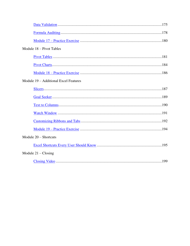| Module 18 - Pivot Tables              |
|---------------------------------------|
|                                       |
|                                       |
|                                       |
| Module 19 – Additional Excel Features |
|                                       |
|                                       |
|                                       |
|                                       |
|                                       |
|                                       |
| Module $20$ – Shortcuts               |
|                                       |
| Module $21 - \text{Closing}$          |
|                                       |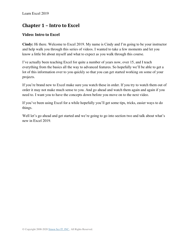# **Chapter 1 – Intro to Excel**

## <span id="page-6-0"></span>**Video: Intro to Excel**

**Cindy:** Hi there. Welcome to Excel 2019. My name is Cindy and I'm going to be your instructor and help walk you through this series of videos. I wanted to take a few moments and let you know a little bit about myself and what to expect as you walk through this course.

I've actually been teaching Excel for quite a number of years now, over 15, and I teach everything from the basics all the way to advanced features. So hopefully we'll be able to get a lot of this information over to you quickly so that you can get started working on some of your projects.

If you're brand new to Excel make sure you watch these in order. If you try to watch them out of order it may not make much sense to you. And go ahead and watch them again and again if you need to. I want you to have the concepts down before you move on to the next video.

If you've been using Excel for a while hopefully you'll get some tips, tricks, easier ways to do things.

Well let's go ahead and get started and we're going to go into section two and talk about what's new in Excel 2019.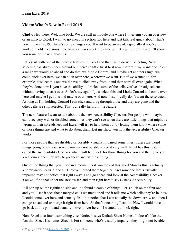#### <span id="page-7-0"></span>**Video: What's New in Excel 2019**

**Cindy:** Hey there. Welcome back. We are still in module one where I'm giving you an overview or an intro to Excel. I want to go ahead in section two here and just talk real quick about what's new in Excel 2019. There's some changes you'll want to be aware of, especially if you've worked in older versions. The basics always work the same but let's jump right in and I'll show you some of the new features.

Let's start with one of the newest features in Excel and that has to do with selecting. Now selecting has always been around but there's a little twist to it now. Before if we wanted to select a range we would go ahead and do that, we'd hold Control and maybe get another range, we could click over here, we can click over here, wherever we want. But if we wanted to, for example, deselect this one we'd have to click away from it and then start all over again. What they've done now is you have the ability to deselect some of the cells you've already selected without having to start over. So let's say again I just select this and I hold Control and come over here and maybe I get this and maybe over here. And now I say I really don't want these selected. As long as I'm holding Control I can click and drag through those and they are gone and the other cells are still selected. That's a really helpful little feature.

The next feature I want to talk about is the new Accessibility Checker. For people who maybe can't see very well or disabled sometimes they can't see when there are little things that might be wrong in their spreadsheet and Excel will try to help them out by letting them know where some of those things are and what to do about them. Let me show you how the Accessibility Checker works.

For those people that are disabled or possibly visually impaired sometimes if there are weird things going on on your screen you may not be able to see it very well. Excel has this feature called the Accessibility Checker which will help look for those things for you and then give you a real quick one click way to go ahead and fix those things.

One of the things that you'll see in a moment is if you look at this word Months this is actually in a combination cells A and B. They've merged them together. And someone that's visually impaired may not notice that right away. Let's go ahead and look at the Accessibility Checker. You will find that under the Review tab and then right here it says Check Accessibility.

It'll pop up on the righthand side and it's found a couple of things. Let's click on the first one and you'll see it sees those merged cells we mentioned and it tells me which cells they're in. now I could come over here and actually fix it but notice that I can actually the down arrow and then I can go ahead and unmerge it right from here. So that's one thing I can do. Now I would have to go back at this point and actually move it over here if I wanted it to look right.

Now Excel also found something else. Notice it says Default Sheet Names. It doesn't like the fact that Sheet 1 is names Sheet 1. For someone who's visually impaired they might not be able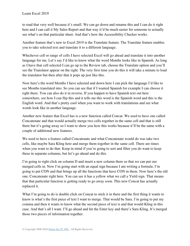to read that very well because it's small. We can go down and rename this and I can do it right here and I can call it My Sales Report and that way it'd be much easier for someone to actually see what's on that particular sheet. And that's how the Accessibility Checker works.

Another feature that's new to Excel 2019 is the Translate feature. The Translate feature enables you to take selected text and translate it to a different language.

Whichever cell or range of cells I have selected Excel will go ahead and translate it into another language for me. Let's say I'd like to know what the word Months looks like in Spanish. As long as I have that cell selected I can go up to the Review tab, choose the Translate option and you'll see the Translator appear on the right. The very first time you do this it will take a minute to load the translator but then after that it pops up just like this.

Now here's the word Months I have selected and down here I can pick the language I'd like to see Months translated into. So you can see that if I wanted Spanish for example I can choose it right there. You can also do it in reverse. If you happen to have Spanish text out here somewhere, see how I can flip this and it tells me this word is the Spanish word and this is the English word. And that's pretty cool when you want to work with translations and see what words look like in another language.

Another new feature that Excel has is a new function called Concat. We used to have one called Concatenate and that would actually merge two cells together in the same cell and that is still there but it's going away so I want to show you how this works because it'll be the same with a couple of additional new features.

We used to have a feature called Concatenate and what Concatenate would do was take two cells, like maybe Sara Kling here and merge them together in the same cell. There are times when you want to do that. Keep in mind if you're going to sort and filter you do want to keep these in separate columns, but let's go ahead and do this.

I'm going to right click on column D and insert a new column there so that we can put our merged cells in. Now I'm going start with an equal sign because I am writing a formula. I'm going to put CON and that brings up all the functions that have CON in them. Now here's the old one, Concatenate right here. You can see it has a yellow what we call a Yield sign. That means that that particular function is getting ready to go away soon. This new Concat has actually replaced it.

What I'm going to do is double click on Concat to stick it in there and the first thing it wants to know is what's the first piece of text I want to merge. That would be Sara. I'm going to put my comma and then it wants to know what the second piece of text is and that would Kling in this case. And that's all I want. I'll go ahead and hit the Enter key and there's Sara Kling. It's merged those two pieces of information together.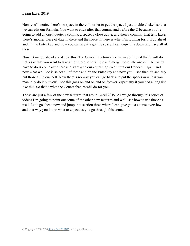Now you'll notice there's no space in there. In order to get the space I just double clicked so that we can edit our formula. You want to click after that comma and before the C because you're going to add an open quote, a comma, a space, a close quote, and then a comma. That tells Excel there's another piece of data in there and the space in there is what I'm looking for. I'll go ahead and hit the Enter key and now you can see it's got the space. I can copy this down and have all of these.

Now let me go ahead and delete this. The Concat function also has an additional that it will do. Let's say that you want to take all of these for example and merge those into one cell. All we'd have to do is come over here and start with our equal sign. We'll put our Concat in again and now what we'll do is select all of these and hit the Enter key and now you'll see that it's actually put those all in one cell. Now there's no way you can go back and put the spaces in unless you manually do it but you'll see this goes on and on and on forever, especially if you had a long list like this. So that's what the Concat feature will do for you.

Those are just a few of the new features that are in Excel 2019. As we go through this series of videos I'm going to point out some of the other new features and we'll see how to use those as well. Let's go ahead now and jump into section three where I can give you a course overview and that way you know what to expect as you go through this course.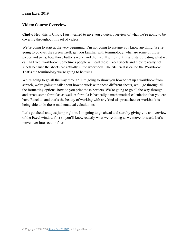### <span id="page-10-0"></span>**Video: Course Overview**

**Cindy:** Hey, this is Cindy. I just wanted to give you a quick overview of what we're going to be covering throughout this set of videos.

We're going to start at the very beginning. I'm not going to assume you know anything. We're going to go over the screen itself, get you familiar with terminology, what are some of those pieces and parts, how those buttons work, and then we'll jump right in and start creating what we call an Excel workbook. Sometimes people will call these Excel Sheets and they're really not sheets because the sheets are actually in the workbook. The file itself is called the Workbook. That's the terminology we're going to be using.

We're going to go all the way through. I'm going to show you how to set up a workbook from scratch, we're going to talk about how to work with those different sheets, we'll go through all the formatting options, how do you print those borders. We're going to go all the way through and create some formulas as well. A formula is basically a mathematical calculation that you can have Excel do and that's the beauty of working with any kind of spreadsheet or workbook is being able to do those mathematical calculations.

Let's go ahead and just jump right in. I'm going to go ahead and start by giving you an overview of the Excel window first so you'll know exactly what we're doing as we move forward. Let's move over into section four.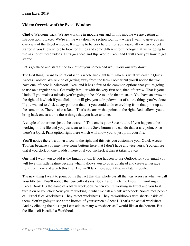#### <span id="page-11-0"></span>**Video: Overview of the Excel Window**

**Cindy:** Welcome back. We are working in module one and in this module we are getting an introduction to Excel. We're all the way down to section four now where I want to give you an overview of the Excel window. It's going to be very helpful for you, especially when you get started if you know where to look for things and some different terminology that we're going to use in a lot of these videos. Let's go ahead and flip over to Excel and I will show you how to get started.

Let's go ahead and start at the top left of your screen and we'll work our way down.

The first thing I want to point out is this whole line right here which is what we call the Quick Access Toolbar. We're kind of getting away from the term Toolbar but you'll notice that we have one left here in Microsoft Excel and it has a few of the common options that you're going to use on a regular basis. Get really familiar with the very first one, that left arrow. That is your Undo. If you make a mistake you're going to be able to undo that mistake. You have an arrow to the right of it which if you click on it will give you a dropdown list of all the things you've done. If you wanted to click at any point on that list you could undo everything from that point up at the same time. There's also a Redo. That's the arrow that points to the right. Redo allows you to bring back one at a time those things that you have undone.

A couple of other ones just to be aware of. This one is your Save button. If you happen to be working in this file and you just want to hit the Save button you can do that at any point. Also there's a Quick Print option right there which will allow you to just print your file.

You'll notice there's a down arrow to the right and this lets you customize your Quick Access Toolbar because you may have some buttons here that I don't have and vice versa. You can see that if you click on one it adds it here or if you uncheck it then it takes it away.

One that I want you to add is the Email button. If you happen to use Outlook for your email you will love this little feature because what it allows you to do is go ahead and create a message right from here and attach this file. And we'll talk more about that in a later module.

The next thing I want to point out is the fact that this whole bar all the way across is what we call your title bar. You'll notice that currently it says Book 1 and it lets me know I'm working in Excel. Book 1 is the name of a blank workbook. When you're working in Excel and you first turn it on or you click New you're working in what we call a blank workbook. Sometimes people call Excel files Worksheets. They're not worksheets. They're workbooks with sheets inside of them. You're going to see at the bottom of your screen a Sheet 1. That's the actual worksheet. And by clicking the plus sign I can add as many worksheets as I would like at the bottom. But the file itself is called a Workbook.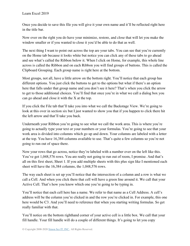Once you decide to save this file you will give it your own name and it'll be reflected right here in the title bar.

Now over on the right you do have your minimize, restore, and close that will let you make the window smaller or if you wanted to close it you'd be able to do that as well.

The next thing I want to point out across the top are your tabs. You can see that you're currently on the Home tab because it looks white but notice you can click any of these tabs to go ahead and see what's called the Ribbon below it. When I click on Home, for example, this whole line across is called the Ribbon and on each Ribbon you will find groups of buttons. This is called the Clipboard Grouping. Each group name is right here at the bottom.

Most groups, not all, have a little arrow on the bottom right. You'll notice that each group has different options. You just click the buttons to get to the options but what if there's an option here that falls under that group name and you don't see it here? That's when you click the arrow to get to those additional choices. You'll find that once you're in what we call a dialog box you can go ahead and close it with the X at the top.

If you click the File tab that'll take you into what we call the Backstage View. We're going to look at this over in section six but I just wanted to show you that if you happen to click there hit the left arrow and that'll take you back.

Underneath your Ribbon you're going to see what we call the work area. This is where you're going to actually type your text or your numbers or your formulas. You're going to see that your work area is divided into columns which go up and down. Your columns are labeled with a letter at the top. You have 16,384 columns available to use. That's quite a few columns so you're not going to run out of space there.

Now your rows that go across, notice they're labeled with a number over on the left like this. You've got 1,048,576 rows. You are really not going to run out of room, I promise. And that's all on this first sheet, Sheet 1. If you add multiple sheets with this plus sign like I mentioned each sheet will have the 16,384 columns, the 1,048,576 rows.

The way each sheet is set up you'll notice that the intersection of a column and a row is what we call a Cell. And when you click there that cell will have a green line around it. We call that your Active Cell. That's how you know which one you're going to be typing in.

You'll notice that each cell here has a name. We refer to that name as a Cell Address. A cell's address will be the column you're clicked in and the row you're clicked in. For example, this one here would be C3. And you'll need to reference that when you starting writing formulas. So get really familiar with that.

You'll notice on the bottom righthand corner of your active cell is a little box. We call that your fill handle. Your fill handle will do a couple of different things. It's going to let you copy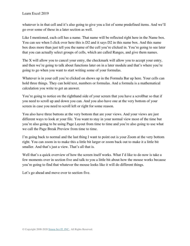whatever is in that cell and it's also going to give you a list of some predefined items. And we'll go over some of these in a later section as well.

Like I mentioned, each cell has a name. That name will be reflected right here in the Name box. You can see when I click over here this is D2 and it says D2 in this name box. And this name box does more than just tell you the name of the cell you're clicked in. You're going to see later that you can actually select groups of cells, which are called Ranges, and give them names.

The X will allow you to cancel your entry, the checkmark will allow you to accept your entry, and then we're going to talk about functions later on in a later module and that's where you're going to go when you want to start writing some of your formulas.

Whatever is in your cell you're clicked on shows up in the Formula Bar up here. Your cells can hold three things. They can hold text, numbers or formulas. And a formula is a mathematical calculation you write to get an answer.

You're going to notice on the righthand side of your screen that you have a scrollbar so that if you need to scroll up and down you can. And you also have one at the very bottom of your screen in case you need to scroll left or right for some reason.

You also have three buttons at the very bottom that are your views. And your views are just different ways to look at your file. You want to stay in your normal view most of the time but you're also going to be using Page Layout from time to time and you're also going to use what we call the Page Break Preview from time to time.

I'm going back to normal and the last thing I want to point out is your Zoom at the very bottom right. You can zoom in to make this a little bit larger or zoom back out to make it a little bit smaller. And that's just a view. That's all that is.

Well that's a quick overview of how the screen itself works. What I'd like to do now is take a few moments over in section five and talk to you a little bit about how the mouse works because you're going to find that whatever the mouse looks like it will do different things.

Let's go ahead and move over to section five.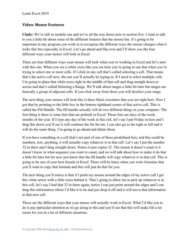#### <span id="page-14-0"></span>**Video: Mouse Features**

**Cindy:** We're still in module one and we're all the way down now to section five. I want to talk to you a little bit about some of the different features that the mouse has. It's going to be important in any program you work in to recognize the different ways the mouse changes what it looks like but especially in Excel. Let's go ahead and flip over and I'll show you the four different ways your mouse will look in Excel.

There are four different ways your mouse will look when you're working in Excel and let's start with this one. When you see a white cross like you see here you're going to use that when you're trying to select one or more cells. If I click in any cell that's called selecting a cell. That means that's the active cell now, the one you'll actually be typing in. If I need to select multiple cells I'm going to place that white cross right in the middle of that cell and drag straight down or across and that's called Selecting a Range. We'll talk about ranges a little bit later but ranges are basically a group of adjacent cells. If you click away from those you will deselect your range.

The next thing your mouse will look like is these black crosshairs that you see right here. Now I got that by pointing to the little box in the bottom righthand corner of that active cell. This is called the Fill Handle. The fill handle actually will do two different things in your computer. The first thing is there is some lists that are prebuilt in Excel. Those lists are days of the week, months of the year. If I type any day of the week in this cell, let's say I put Friday in here and I drag this down you'll see it will continue the list for me. I can also go to the right or left and it will do the same thing. I'm going to go ahead and delete those.

If you have something in a cell that's not part of one of those predefined lists, and this could be numbers, text, anything, it will actually copy whatever is in that cell. Let's say I put the number 32 in there and I drag straight down. Notice it just copies 32. The reason it doesn't count is it doesn't know in what sequence you want to count, and we will talk about how to make it do that a little bit later but for now just know that the fill handle will copy whatever is in that cell. This is going to be one of your best friends in Excel. There will be times when you write formulas that you'll want to copy that formula and this will just do that for you.

The next thing you'll notice is that if I point my mouse around the edges of my active cell I get this white arrow with a little cross behind it. That's going to allow me to pick up whatever is in this cell, let's say I had that 32 in there again, notice I can just point around the edges and I can drag this information where I'd like it to be and just drop it off and it will move that information to that new cell.

Those are the different ways that your mouse will actually work in Excel. What I'd like you to do is pay particular attention as we go along to this and you'll see that this will make life a lot easier for you in a lot of different situations.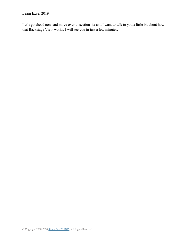Let's go ahead now and move over to section six and I want to talk to you a little bit about how that Backstage View works. I will see you in just a few minutes.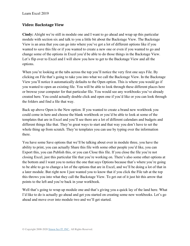#### <span id="page-16-0"></span>**Video: Backstage View**

**Cindy:** Alright we're still in module one and I want to go ahead and wrap up this particular module with section six and talk to you a little bit about the Backstage View. The Backstage View is an area that you can go into where you've got a lot of different options like if you wanted to save this file or if you wanted to create a new one or even if you wanted to go and change some of the options in Excel you'd be able to do those things in the Backstage View. Let's flip over to Excel and I will show you how to get to the Backstage View and all the options.

When you're looking at the tabs across the top you'll notice the very first one says File. By clicking on File that's going to take you into what we call the Backstage View. In the Backstage View you'll notice it automatically defaults to the Open option. This is where you would go if you wanted to open an existing file. You will be able to look through these different places here or browse your computer for that particular file. You would see any workbooks you've already created here. You could actually double click and open one if you'd like or you can look through the folders and find a file that way.

Back up above Open is the New option. If you wanted to create a brand new workbook you could come in here and choose the blank workbook or you'd be able to look at some of the templates that are in Excel and you'll see there are a lot of different calendars and budgets and different things like that. They're great ways to start and that way you don't have to set the whole thing up from scratch. They're templates you can use by typing over the information there.

You have some Save options that we'll be talking about over in module three, you have the ability to print, you can actually Share this file with some other people you'd like, you can Export this, you can Publish this, or you can Close this file. If you close the file you're not closing Excel, just this particular file that you're working on. There's also some other options at the bottom and I want you to notice the one that says Options because that's where you're going to be able to go to change a lot of the options that are in Excel, and we'll be doing a lot of that in a later module. But right now I just wanted you to know that if you click the File tab at the top this throws you into what they call the Backstage View. To get out of it just hit this arrow that points to the left and you're back in your workbook.

Well that's going to wrap up module one and that's giving you a quick lay of the land here. What I'd like to do is actually go ahead and get you started on creating some new workbooks. Let's go ahead and move over into module two and we'll get started.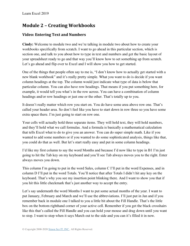# **Module 2 – Creating Workbooks**

## <span id="page-17-0"></span>**Video: Entering Text and Numbers**

**Cindy:** Welcome to module two and we're talking in module two about how to create your workbooks specifically from scratch. I want to go ahead in this particular section, which is section one, and talk to you about how to type in text and numbers and get the basic layout of your spreadsheet ready to go and that way you'll know how to set something up from scratch. Let's go ahead and flip over to Excel and I will show you how to get started.

One of the things that people often say to me is, "I don't know how to actually get started with a new blank workbook" and it's really pretty simple. What you want to do is decide if you want column headings at the top. The column would just indicate what type of data is below that particular column. You can also have row headings. That means if you put something here, for example, it would tell you what's in the row across. You can have a combination of column headings and/or row headings or just one or the other. That's totally up to you.

It doesn't really matter which row you start on. You do have some area above row one. That's called your header area. So don't feel like you have to start down in row three so you have some extra space there. I'm just going to start on row one.

Your cells will actually hold three separate items. They will hold text, they will hold numbers, and they'll hold what we call formulas. And a formula is basically a mathematical calculation that tells Excel what to do to give you an answer. You can do super simple math. Like if you wanted to add some numbers or if you wanted to do some sophisticated analysis, things like that, you could do that as well. But let's start really easy and put in some column headings.

I'd like my first column to say the word Months and because I'd now like to type in B1 I'm just going to hit the Tab key on my keyboard and you'll see Tab always moves you to the right. Enter always moves you down.

This column I'm going to put in the word Sales, column C I'll put in the word Expenses, and in column D I'll put in the word Totals. You'll notice that after Totals I didn't hit any key on the keyboard. That's why you see my insertion point blinking there. And I want to show you that if you hit this little checkmark that's just another way to accept the entry.

Let's say underneath the word Months I want to put some actual months of the year. I want to put January, February and March and we'll use the abbreviations. I'll just put in Jan and if you remember back in module one I talked to you a little bit about the Fill Handle. That's the little box on the bottom righthand corner of your active cell. Remember if you get the black crosshairs like this that's called the Fill Handle and you can hold your mouse and drag down until you want to stop. I want to stop when it says March out to the side and you can it's filled it in now.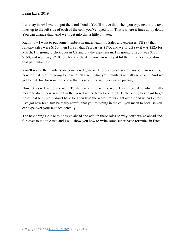Let's say in A6 I want to put the word Totals. You'll notice that when you type text in the text lines up to the left side of each of the cells you've typed it in. That's where it lines up by default. You can change that. And we'll get into that a little bit later.

Right now I want to put some numbers in underneath my Sales and expenses. I'll say that January sales were \$150, then I'll say that February is \$175, and we'll just say it was \$225 for March. I'm going to click over in C2 and put the expenses in. I'm going to say it was \$125, \$150, and we'll say \$210 here for March. And you can see I just hit the Enter key to go down in that particular case.

You'll notice the numbers are considered generic. There's no dollar sign, no point-zero-zero, none of that. You're going to have to tell Excel what your numbers actually represent. And we'll get to that, but for now just know that these are the numbers we're putting in.

Now let's say I've got the word Totals here and I have the word Totals here. And what I really meant to do up here was put in the word Profits. Now I could hit Delete on my keyboard to get rid of that but I really don't have to. I can type the word Profits right over it and when I enter I've got new text. Just be really careful that you're typing in the cell you mean to because you can type over your text accidentally.

The next thing I'd like to do is go ahead and add up these sales so why don't we go ahead and flip over to module two and I will show you how to write some super basic formulas in Excel.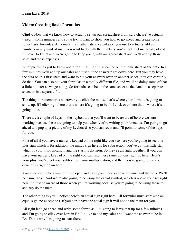## <span id="page-19-0"></span>**Video: Creating Basic Formulas**

**Cindy:** Now that we know how to actually set up our spreadsheet from scratch, we've actually typed in some numbers and some text, I want to show you how to go ahead and create some super basic formulas. A formula is a mathematical calculation you use to actually add up numbers or any kind of math you want to do with the numbers you've got. Let me go ahead and flip over to Excel and we're going to keep going with our spreadsheet and we'll add up those sales and those expenses.

A couple things just to know about formulas. Formulas can be on the same sheet as the data. In a few minutes we'll add up our sales and just put the answer right down here. But you may have the data on this first sheet and want to put your answers over on another sheet. You can certainly do that. You can also put your formulas in a totally different file, and we'll be doing some of that a little bit later as we go along. So formulas can be on the same sheet as the data, on a separate sheet, or in a separate file.

The thing to remember is wherever you click the mouse that's where your formula is going to show up. If I click right here that's where it's going to be. If I click over here that's where it's going to be.

There are a couple of keys on the keyboard that you'll want to be aware of before we start working because these are going to help you when you're writing your formulas. I'm going to go ahead and pop up a picture of my keyboard so you can see it and I'll point to some of the keys for you.

First of all if you have a numeric keypad on the right like you see here you're going to see this plus sign which is for addition, the minus sign here is for subtraction, you've got this little star which is your multiplication, and the slash is division. So they're all right together. If you don't have your numeric keypad on the right you can find these same buttons right up here. Here's your plus, you've got your subtraction, your multiplication, and then you're going to see your division is right down here.

You also need to be aware of these open and close parenthesis above the nine and the zero. We'll be using those. And we're also going to be using the carrot symbol, which is above your six right here. So just be aware of those when you're working because you're going to be using those to actually do the math.

The other thing is you'll notice there's an equal sign right here. All formulas must start with an equal sign, no exceptions. If you don't have the equal sign it will not do the math for you.

All right let's go ahead and write some formulas. I'm going to leave that up for a few minutes and I'm going to click over here in B6. I'd like to add my sales and I want the answer to be in B6. That's why I'm going to start there.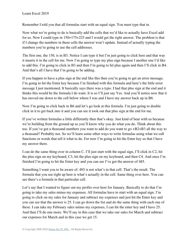Remember I told you that all formulas start with an equal sign. You must type that in.

Now what we're going to do is basically add the cells that we'd like to actually have Excel add for us. Now I could type in 150+175+225 and I would get the right answer. The problem is that if I change the numbers in these cells the answer won't update. Instead of actually typing the numbers you're going to use the cell addresses.

The first one, the 150, is in B3. Notice I can type it but I'm just going to click here and that way it inserts it in the cell for me. Now I'm going to type my plus sign because I another one I'd like to add this. I'm going to click in B3 and then I'm going to hit plus again and then I'll click in B4. And that's all I have that I'm going to be adding.

If you happen to have a plus sign at the end like this then you're going to get an error message. I'm going to hit the Enter key because I'm finished with this formula and here's the little error message I just mentioned. It basically says there was a typo. I had that plus sign at the end and it thinks this would be the formula I do want. It is so I'll just say Yes. And you'll notice now that it has moved me down to the cell below where I was and I have my answer back up in B6.

Now I'm going to click back in B6 and let's go look at this formula. I'm just going to double click in it to get back into it and you can see it took out that plus sign at the end for me.

If you've written formulas a little differently then that's okay. Just kind of bear with us because we're building from the ground up so you'll know why you do what you do. Think about this too. If you've got a thousand numbers you want to add do you want to go +B2+B3 all the way to a thousand? Probably not. So we'll learn some other ways to write formulas using what we call functions or words that tell it what to do. For now I'm going to hit the Enter key so that I have my answer there.

I can do the same thing over in column C. I'll just start with the equal sign, I'll click in C2, hit the plus sign on my keyboard, C3, hit the plus sign on my keyboard, and then C4. And once I'm finished I'm going to hit the Enter key and you can see I've got the answer of 485.

Something I want you to be aware of. 485 is not what's in that cell. That's the result. The formula that you see right up here is what's actually in the cell. Same thing over here. You can see there's a formula in that particular cell.

Let's say that I wanted to figure out my profits over here for January. Basically to do that I'm going to take my sales minus my expenses. All formulas have to start with an equal sign. I'm going to click on my sales for January and subtract my expenses and just hit the Enter key and you can see that the answer is 25. I can go down the list and do the same thing with each one of these. I can take my February sales minus my expenses, I can hit the enter key and I have 25. And then I'll do one more. We'll say in this case that we take our sales for March and subtract our expenses for March and in this case we get 15.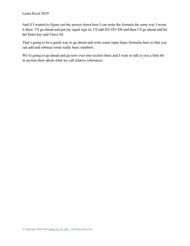And if I wanted to figure out the answer down here I can write the formula the same way I wrote it there. I'll go ahead and put my equal sign in, I'll add D2+D3+D4 and then I'll go ahead and hit the Enter key and I have 65.

That's going to be a quick way to go ahead and write some super basic formulas here so that you can add and subtract some really basic numbers.

We're going to go ahead and go now over into section three and I want to talk to you a little bit in section three about what we call relative references.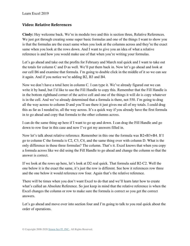#### <span id="page-22-0"></span>**Video: Relative References**

**Cindy:** Hey welcome back. We're in module two and this is section three, Relative References. We just got through creating some super basic formulas and one of the things I want to show you is that the formulas are the exact same when you look at the columns across and they're the exact same when you look at the rows down. And I want to give you an idea of what a relative reference is and how you would make use of that when you're writing your formulas.

Let's go ahead and take out the profits for February and March real quick and I want to take out the totals for column C and D as well. We'll put them back in. Now let's go ahead and look at our cell B6 and examine that formula. I'm going to double click in the middle of it so we can see it again. And if you notice we're adding B2, B3 and B4.

Now we don't have a total here in column C. I can type it. We've already figured out we can write it by hand, but I'd like to use the Fill Handle to copy this. Remember that the Fill Handle is in the bottom righthand corner of the active cell and one of the things it will do is copy whatever is in the cell. And we've already determined that a formula is there, not 550. I'm going to drag all the way across to column D and you'll see there it just gives me all of my totals. I could drag this as far as I needed to, all the way across. It's a quick way if you already have the first formula in to go ahead and copy that formula to the other columns across.

I can do the same thing up here if I want to go up and down. I can drag the Fill Handle and go down to row four in this case and now I've got my answers filled in.

Now let's talk about relative reference. Remember in this one the formula was B2+B3+B4. If I go to column C the formula is C2, C3, C4, and the same thing over with column D. What is the only difference in these three formulas? The column. That's it. Excel knows that when you copy a formula across like we did using the Fill Handle to go ahead and change the column so that the answer is correct.

If we look at the rows up here, let's look at D2 real quick. That formula said B2-C2. Well the one below it is the exact the same, it's just the row is different. See how it references row three and the one below it would reference row four. Again that's the relative reference.

There will be times when you don't want Excel to do that and we'll learn later how to create what's called an Absolute Reference. So just keep in mind that the relative reference is when the Excel changes the column or row to make sure the formula is correct so you get the correct answers.

Let's go ahead and move over into section four and I'm going to talk to you real quick about the order of operations.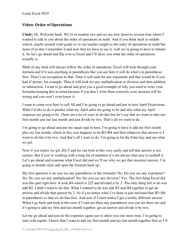## <span id="page-23-0"></span>**Video: Order of Operations**

**Cindy:** Hi. Welcome back. We're in module two and we are now down to section four where I wanted to talk to you about the order of operations in math. And if you think back to middle school, maybe around sixth grade or so our teacher taught us the order of operations in math but most of us don't remember it and now that we have to use it, well we're going to have to relearn it. So let's go ahead and flip over to Excel and I'll show you what the order of operations actually is.

Math of any kind will always follow the order of operations. Excel will look through your formula and if it sees anything in parenthesis like you see here it will do what's in parenthesis first. There's no exceptions to that. Then it will look for any exponents and that would be if you had 4<sup>2</sup> power, for example. Then it will look for any multiplication or division and then addition or subtraction. I want to go ahead and give you a good example of why you need to write your formulas keeping this in mind because if you don't write them correctly your answers will be wrong and you won't even know it.

I want to come over here to cell A8 and I'm going to go ahead and put in here April Projections. What I'd like to do is predict what my April sales are going to be and also what my April expenses are going to be. There are a lot of ways to do this but let's say that we want to take our first month and our last month and just divide by two. That's all we want to do.

I'm going to go ahead and put my equal sign in here. I'm going to have it add my first month plus my last month, which in this case happens to be B2+B4 and then whatever that answer is I want to divide it by two. And that's all I want to do. I'm going to hit the Enter key and see what we get.

Now if you notice we got 262.5 and we can look at this very easily and tell that answer is not correct. But if you're working with a long list of numbers it's not always that easy to eyeball it. Let's go ahead and examine what Excel did and we'll see why we got that incorrect answer. I'm going to double click and open the formula back up.

My first question is do you see any parenthesis in this formula? No. Do you see any exponents? No. Do you see any multiplication? No. Do you see any division? Yes. The first thing Excel did was this part right here. It took B4 which is 225 and divided it by 2. The only thing left to do was add B2. I didn't want to do that. What I wanted to do was add B2 and B4 together to get an answer and divide that answer by 2. So if you notice what I've done is just enclosed that B2+B4 in parenthesis so that we do that first. And now if I enter notice I get a totally different answer. When I go back and look at this now if I said are there any parenthesis you can see there are and it's going to add my first and last month together, get an answer and divide it by two.

Let me go ahead and just do the expenses again just to show you one more time. I'm going to start with equals. I know that I want to add my first month and my last month together first so I'll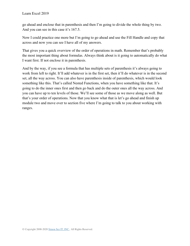go ahead and enclose that in parenthesis and then I'm going to divide the whole thing by two. And you can see in this case it's 167.5.

Now I could practice one more but I'm going to go ahead and use the Fill Handle and copy that across and now you can see I have all of my answers.

That gives you a quick overview of the order of operations in math. Remember that's probably the most important thing about formulas. Always think about is it going to automatically do what I want first. If not enclose it in parenthesis.

And by the way, if you see a formula that has multiple sets of parenthesis it's always going to work from left to right. It'll add whatever is in the first set, then it'll do whatever is in the second set, all the way across. You can also have parenthesis inside of parenthesis, which would look something like this. That's called Nested Functions, when you have something like that. It's going to do the inner ones first and then go back and do the outer ones all the way across. And you can have up to ten levels of those. We'll see some of those as we move along as well. But that's your order of operations. Now that you know what that is let's go ahead and finish up module two and move over to section five where I'm going to talk to you about working with ranges.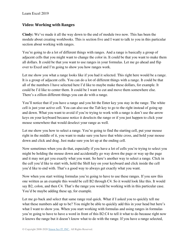#### <span id="page-25-0"></span>**Video: Working with Ranges**

**Cindy:** We've made it all the way down to the end of module two now. This has been the module about creating workbooks. This is section five and I want to talk to you in this particular section about working with ranges.

You're going to do a lot of different things with ranges. And a range is basically a group of adjacent cells that you might want to change the color in. It could be that you want to make them all dollars. It could be that you want to use ranges in your formulas. Let me go ahead and flip over to Excel and I'm going to show you how ranges work.

Let me show you what a range looks like if you had it selected. This right here would be a range. It is a group of adjacent cells. You can do a lot of different things with a range. It could be that all of the numbers I have selected here I'd like to maybe make these dollars, for example. It could be I'd like to center them. It could be I want to cut and move them somewhere else. There's a zillion different things you can do with a range.

You'll notice that if you have a range and you hit the Enter key you stay in the range. The white cell is just your active cell. You can also use the Tab key to go to the right instead of going up and down. What you want to avoid if you're trying to work with a range is don't use the arrow keys on your keyboard because notice it deselects the range or if you just happen to click your mouse somewhere that would deselect your range as well.

Let me show you how to select a range. You're going to find the starting cell, put your mouse right in the middle of it, you want to make sure you have that white cross, and hold your mouse down and click and drag. Just make sure you let up at the ending cell.

Now sometimes when you do that, especially if you have a lot of cells you're trying to select you might be holding the mouse down and accidentally go way down the page or way up the page and it may not get you exactly what you want. So here's another way to select a range. Click in the cell you'd like to start with, hold the Shift key on your keyboard and click inside the cell you'd like to end with. That's a good way to always get exactly what you want.

Now when you start writing formulas you're going to have to use these ranges. If you saw this one written as an example this would be cell B2 through C4. So it would look like this. It would say B2, colon, and then C4. That's the range you would be working with in this particular case. You'd be maybe adding these up, for example.

Let me go back and select that same range real quick. What if I asked you to quickly tell me what these numbers add up to be? You might be able to quickly add this in your head but here's what I want to show you. When you start working with formulas and using ranges in formulas you're going to have to have a word in front of this B2:C4 to tell it what to do because right now it knows the range but it doesn't know what to do with the range. If you have a range selected,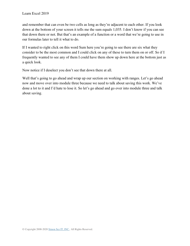and remember that can even be two cells as long as they're adjacent to each other. If you look down at the bottom of your screen it tells me the sum equals 1,035. I don't know if you can see that down there or not. But that's an example of a function or a word that we're going to use in our formulas later to tell it what to do.

If I wanted to right click on this word Sum here you're going to see there are six what they consider to be the most common and I could click on any of these to turn them on or off. So if I frequently wanted to see any of them I could have them show up down here at the bottom just as a quick look.

Now notice if I deselect you don't see that down there at all.

Well that's going to go ahead and wrap up our section on working with ranges. Let's go ahead now and move over into module three because we need to talk about saving this work. We've done a lot to it and I'd hate to lose it. So let's go ahead and go over into module three and talk about saving.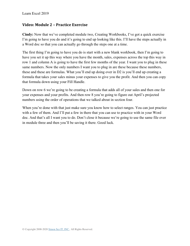#### <span id="page-27-0"></span>**Video: Module 2 – Practice Exercise**

**Cindy:** Now that we've completed module two, Creating Workbooks, I've got a quick exercise I'm going to have you do and it's going to end up looking like this. I'll have the steps actually in a Word doc so that you can actually go through the steps one at a time.

The first thing I'm going to have you do is start with a new blank workbook, then I'm going to have you set it up this way where you have the month, sales, expenses across the top this way in row 1 and column A is going to have the first few months of the year. I want you to plug in these same numbers. Now the only numbers I want you to plug in are these because these numbers, these and these are formulas. What you'll end up doing over in D2 is you'll end up creating a formula that takes your sales minus your expenses to give you the profit. And then you can copy that formula down using your Fill Handle.

Down on row 6 we're going to be creating a formula that adds all of your sales and then one for your expenses and your profits. And then row 8 you're going to figure out April's projected numbers using the order of operations that we talked about in section four.

When you're done with that just make sure you know how to select ranges. You can just practice with a few of them. And I'll put a few in there that you can use to practice with in your Word doc. And that's all I want you to do. Don't close it because we're going to use the same file over in module three and then you'll be saving it there. Good luck.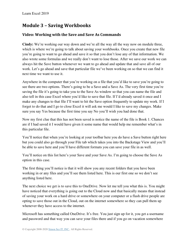# **Module 3 – Saving Workbooks**

## <span id="page-28-0"></span>**Video: Working with the Save and Save As Commands**

**Cindy:** We're working our way down and we're all the way all the way now on module three, which is where we're going to talk about saving your workbooks. Once you create that new file you're going to want to go ahead and save it so that you don't lose any of that information. We also wrote some formulas and we really don't want to lose those. After we save our work we can always hit the Save button whenever we want to go ahead and update that and save all of our work. Let's go ahead and save that particular file we've been working on so that we can find it next time we want to use it.

Anywhere in the computer that you're working on a file that you'd like to save you're going to see there are two options. There's going to be a Save and a Save As. The very first time you're saving the file it's going to take you to the Save As window so that you can name the file and also tell in this case Excel where you'd like to save that file. If I'd already saved it once and I make any changes to that file I'll want to hit the Save option frequently to update my work. If I forget to do that and I go to close Excel it will ask me would I like to save my changes. Make sure you say Yes because the first time you say No you'll wish you had done that.

Now my first clue that this has not been saved is notice the name of the file is Book 1. Chances are if I had saved it I would have given it some name that would help me remember what's in this particular file.

You'll notice that when you're looking at your toolbar here you do have a Save button right here but you could also go through your File tab which takes you into the Backstage View and you'll be able to save here and you'll have different formats you can save your file in as well.

You'll notice on this list here's your Save and your Save As. I'm going to choose the Save As option in this case.

The first thing you'll notice is that it will show you any recent folders that you have been working in or any files and you'll see them listed here. This is our first one so we don't see anything listed here.

The next choice we get is to save this to OneDrive. Now let me tell you what this is. You might have noticed that everything is going out to the Cloud now and that basically means that instead of saving your work on a hard drive or somewhere on your computer or a flash drive people are opting to save those out in the Cloud, out on the internet somewhere so they can pull them up whenever they have access to the internet.

Microsoft has something called OneDrive. It's free. You just sign up for it, you get a username and password and that way you can save your files there and if you go on vacation somewhere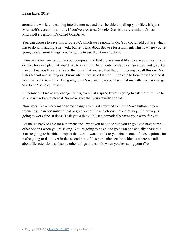around the world you can log into the internet and then be able to pull up your files. It's just Microsoft's version is all it is. If you've ever used Google Docs it's very similar. It's just Microsoft's version. It's called OneDrive.

You can choose to save this to your PC, which we're going to do. You could Add a Place which has to do with adding a network, but let's talk about Browse for a moment. This is where you're going to save most things. You're going to use the Browse option.

Browse allows you to look in your computer and find a place you'd like to save your file. If you decide, for example, that you'd like to save it in Documents then you can go ahead and give it a name. Now you'll want to leave that .xlsx that you see that there. I'm going to call this one My Sales Report and as long as I know where I've saved it then I'll be able to look for it and find it very easily the next time. I'm going to hit Save and now you'll see that my Title bar has changed to reflect My Sales Report.

Remember if I make any change to this, even just a space Excel is going to ask me if I'd like to save it when I go to close it. So make sure that you actually do that.

Now after I've already made some changes to this if I wanted to hit the Save button up here frequently I can certainly do that or go back to File and choose Save that way. Either way is going to work fine. It doesn't ask you a thing. It just automatically saves your work for you.

Let me go back to File for a moment and I want you to notice that you're going to have some other options when you're saving. You're going to be able to go down and actually share this. You're going to be able to export this. And I want to talk to you about some of those options, but we're going to do it over in the second part of this particular section which is where we talk about file extensions and some other things you can do when you're saving your files.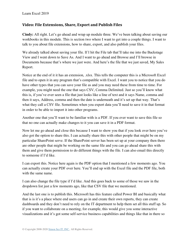#### <span id="page-30-0"></span>**Video: File Extensions, Share, Export and Publish Files**

**Cindy:** All right. Let's go ahead and wrap up module three. We've been talking about saving our workbooks in this module. This is section two where I want to get into a couple things. I want to talk to you about file extensions, how to share, export, and also publish your files.

We already talked about saving your file. If I hit the File tab that'll take me into the Backstage View and I went down to Save As. And I want to go ahead and Browse and I'll browse in Documents because that's where we just were. And here's the file that we just saved, My Sales Report.

Notice at the end of it it has an extension, .xlsx. This tells the computer this is a Microsoft Excel file and to open it in any program that's compatible with Excel. I want you to notice that you do have other types that you can save your file as and you may need these from time to time. For example, you might need the one that says CSV, Comma Delimited. Just so you'll know what this is, if you've ever seen a file that just looks like a line of text and it says Name, comma and then it says, Address, comma and then the date is underneath and it's set up that way. That's what they call a CSV file. Sometimes when you export data you'll need to save it in that format in order to be able to import it into other programs.

Another one that you'll want to be familiar with is a PDF. If you ever want to save this file so that no one can actually make changes to it you can save it in a PDF format.

Now let me go ahead and close this because I want to show you that if you look over here you've also got the option to share this. I can actually share this with other people that might be on my particular SharePoint serve. If the SharePoint server has been set up at your company then there are other people that might be working on the same file and you can go ahead share this with them and give them permission to do different things with the file. I can also email this directly to someone if I'd like.

I can export this. Notice here again is the PDF option that I mentioned a few moments ago. You can actually create your PDF over here. You'll end up with the Excel file and the PDF file, both with the same name.

I can also change the file type if I'd like. And this goes back to some of those we saw in the dropdown list just a few moments ago, like that CSV file that we mentioned.

And the last one is to publish this. Microsoft has this feature called Power BI and basically what that is is it's a place where end users can go in and create their own reports, they can create dashboards and they don't need to rely on the IT department to help them set all this stuff up. So if you want to collaborate on a meeting, for example, this would give you some interactive visualizations and it's got some self-service business capabilities and things like that in there so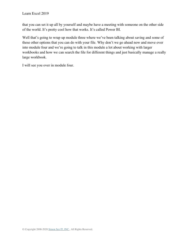that you can set it up all by yourself and maybe have a meeting with someone on the other side of the world. It's pretty cool how that works. It's called Power BI.

Well that's going to wrap up module three where we've been talking about saving and some of these other options that you can do with your file. Why don't we go ahead now and move over into module four and we're going to talk in this module a lot about working with larger workbooks and how we can search the file for different things and just basically manage a really large workbook.

I will see you over in module four.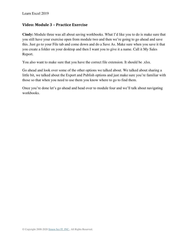#### <span id="page-32-0"></span>**Video: Module 3 – Practice Exercise**

**Cindy:** Module three was all about saving workbooks. What I'd like you to do is make sure that you still have your exercise open from module two and then we're going to go ahead and save this. Just go to your File tab and come down and do a Save As. Make sure when you save it that you create a folder on your desktop and then I want you to give it a name. Call it My Sales Report.

You also want to make sure that you have the correct file extension. It should be .xlsx.

Go ahead and look over some of the other options we talked about. We talked about sharing a little bit, we talked about the Export and Publish options and just make sure you're familiar with those so that when you need to use them you know where to go to find them.

Once you're done let's go ahead and head over to module four and we'll talk about navigating workbooks.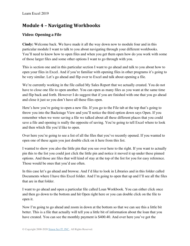# **Module 4 – Navigating Workbooks**

## <span id="page-33-0"></span>**Video: Opening a File**

**Cindy:** Welcome back. We have made it all the way down now to module four and in this particular module I want to talk to you about navigating through your different workbooks. You'll need to know how to open files and when you get them open how do you work with some of those larger files and some other options I want to go through with you.

This is section one and in this particular section I want to go ahead and talk to you about how to open your files in Excel. And if you're familiar with opening files in other programs it's going to be very similar. Let's go ahead and flip over to Excel and talk about opening a file.

We're currently working in the file called My Sales Report that we actually created. You do not have to close one file to open another. You can open as many files as you want at the same time and flip back and forth. However I do suggest that if you are finished with one that you go ahead and close it just so you don't have all these files open.

Here's how you're going to open a new file. If you go to the File tab at the top that's going to throw you into the Backstage View and you'll notice the third option down says Open. If you remember when we were saving a file we talked about all these different places that you could save a file and opening is really the opposite of saving. You're going to tell Excel where to look and then which file you'd like to open.

Over here you're going to see a list of all the files that you've recently opened. If you wanted to open one of these again you just double click on it here from this list.

I wanted to show you also the little pin that you see over here to the right. If you want to actually pin this to the list you could just click the little pin and notice it moved it up under these pinned options. And those are files that will kind of stay at the top of the list for you for easy reference. Those would be ones that you'd use often.

In this case let's go ahead and browse. And I'd like to look in Libraries and in this folder called Documents where I have this Excel folder. And I'm going to open that up and I'll see all the files that are in that folder.

I want to go ahead and open a particular file called Loan Workbook. You can either click once and then go down to the bottom and hit Open right here or you can double click on the file to open it.

Now I'm going to go ahead and zoom in down at the bottom so that we can see this a little bit better. This is a file that actually will tell you a little bit of information about the loan that you have created. You can see the monthly payment is \$400.40. And over here you've got the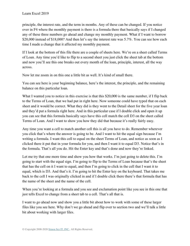principle, the interest rate, and the term in months. Any of these can be changed. If you notice over in F4 where the monthly payment is there is a formula there that basically says if I changed any of these three numbers go ahead and change my monthly payment. What if I want to borrow \$20,000 instead of \$18,000? And then let's say the interest rate was 5.7%. You can see how each time I made a change that it affected my monthly payment.

If I look at the bottom of this file there are a couple of sheets here. We're on a sheet called Terms of Loan. Any time you'd like to flip to a second sheet you just click the sheet tab at the bottom and now you'll see this one breaks out every month of the loan, principle, interest, all the way across.

Now let me zoom in on this one a little bit as well. It's kind of small there.

You can see here is your beginning balance, here's the interest, the principle, and the remaining balance on this particular loan.

What I wanted you to notice in this exercise is that this \$20,000 is the same number, if I flip back to the Terms of Loan, that we had put in right here. Now someone could have typed that on each sheet and it would be correct. What they did is they went to the Detail sheet for the five year loan and they'd put a formula right here. And in this particular case if I double click and open it up you can see that this formula basically says have this cell match the cell D3 on the sheet called Terms of Loan. And I want to show you how they did that because it's really fairly easy.

Any time you want a cell to match another cell this is all you have to do. Remember wherever you click that's where the answer is going to be. And I want to hit the equal sign because I'm writing a formula. I want this cell to equal on the sheet Terms of Loan, and notice as soon as I clicked there it put that in your formula for you, and then I want it to equal D3. Notice that's in the formula. That's all you do. Hit the Enter key and that's done and now they're linked.

Let me try that one more time and show you how that works. I'm just going to delete this. I'm going to start with the equal sign. I'm going to flip to the Terms of Loan because that's the sheet that has the cell on it I want to equal, and then I'm going to click in the cell that I want it to equal, which is D3. And that's it. I'm going to hit the Enter key on the keyboard. That takes me back to the cell I was originally clicked in and if I double click there there's that formula that has the name of the sheet and the name of the cell.

When you're looking at a formula and you see and exclamation point like you see in this one that just tells Excel to change from a sheet tab to a cell. That's all that is.

I want to go ahead now and show you a little bit about how to work with some of these larger files like you see here. Why don't we go ahead and flip over to section two and we'll talk a little bit about working with larger files.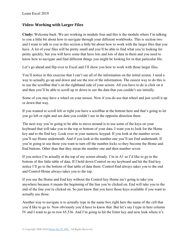#### <span id="page-35-0"></span>**Video: Working with Larger Files**

**Cindy:** Welcome back. We are working in module four and this is the module where I'm talking to you a little bit about how to navigate through your different workbooks. This is section two and I want to talk to you in this section a little bit about how to work with the larger files that you have. A lot of your files will be pretty small and you'll be able to find what you're looking for pretty quickly, but you will have some that have lots and lots of data in them and you need to know how to navigate and find different things you might be looking for in that particular file.

Let's go ahead and flip over to Excel and I'll show you how to work with those larger files.

You'll notice in this exercise that I can't see all of the information on the initial screen. I need a way to actually go up and down and see the rest of the information. The easiest way to do this is to use the scrollbar that's on the righthand side of your screen. All you have to do is click on it and then you'll be able to scroll up or down to see the data that you couldn't see initially.

Some of you may have a wheel on your mouse. Now if you do use that wheel and just scroll it up or down that way.

If you wanted to scroll left or right you have a scrollbar at the bottom here and that's going to let you go left or right and see data you couldn't see in the opposite direction there.

The next way you're going to be able to move around is to use some of the keys on your keyboard that will take you to the top or bottom of your data. I want you to look for the Home key and to the End key. Look over in your numeric keypad. If you look at the number seven you'll see Home underneath. And if you look at the number one you'll see End underneath. If you're going to use those you want to turn off the number locks so they become the Home and End buttons. Other than that they mean the number one and then number seven.

If you notice I'm actually at the top of my screen already. I'm in A1 so I'd like to go to the bottom of this little table of data. If I hold down Control on my keyboard and hit the End key notice I'll go to the bottom of that table of data there. Control-End always takes you to the end and Control-Home always takes you to the top.

If you use the Home and End key without the Control key Home isn't going to take you anywhere because it means the beginning of the line you're clicked on. End will take you to the end of the line you're clicked on. So just know that you have those keys available if you want to actually use those.

Another way to navigate is to actually type in the name box right here the name of the cell that you'd like to go to. Now obviously you'd have to know that. But let's say I type in here column IV and I want to go to row 65,536. And I'm going to hit the Enter key and now look where it's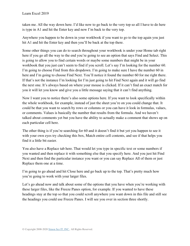taken me. All the way down here. I'd like now to go back to the very top so all I have to do here is type in A1 and hit the Enter key and now I'm back to the very top.

Anywhere you happen to be down in your workbook if you want to go to the top again you just hit A1 and hit the Enter key and then you'll be back at the top there.

Some other things you can do to search throughout your workbook is under your Home tab right here if you go all the way to the end you're going to see an option that says Find and Select. This is going to allow you to find certain words or maybe some numbers that might be in your workbook that you just can't seem to find if you scroll. Let's say I'm looking for the number 60. I'm going to choose Find from this dropdown. I'm going to make sure I have the number 60 in here and I'm going to choose Find Next. You'll notice it found the number 60 for me right there. If that's not the instance I'm looking for I'm just going to hit Find Next again and it will go find the next one. It's always based on where your mouse is clicked. If it can't find an exact match for you it will let you know and give you a little message saying that it can't find anything.

Now I want you to notice there's also some options here. If you want to look specifically within the whole workbook, for example, instead of just the sheet you're on you could change that. It could be that you want to search by rows or columns or you can have it look in formulas, values, or comments. Values is basically the number that results from the formula. And we haven't talked about comments yet but you have the ability to actually make a comment that shows up on each particular cell here.

The other thing is if you're searching for 60 and it doesn't find it but yet you happen to see it with your own eyes try checking this box, Match entire cell contents, and see if that helps you find it a little bit easier.

You also have a Replace tab here. That would let you type in specific text or some numbers if you wanted and then replace it with something else that you specify here. And you just hit Find Next and then find the particular instance you want or you can say Replace All of them or just Replace them one at a time.

I'm going to go ahead and hit Close here and go back up to the top. That's pretty much how you're going to work with your larger files.

Let's go ahead now and talk about some of the options that you have when you're working with these larger files, like the Freeze Panes option, for example. If you wanted to have these headings stay at the top so that you could scroll anywhere you want down in this file and still see the headings you could use Freeze Panes. I will see you over in section three shortly.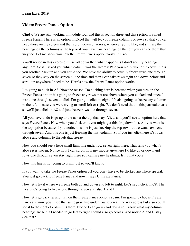## **Video: Freeze Panes Option**

**Cindy:** We are still working in module four and this is section three and this section is called Freeze Panes. There is an option in Excel that will let you freeze columns or rows so that you can keep those on the screen and then scroll down or across, wherever you'd like, and still see the headings on the columns at the top or if you have row headings on the left you can see them that way too. Let me show you how the Freeze Panes option works in Excel.

You'll notice in this exercise if I scroll down then what happens is I don't see my headings anymore. So if I asked you which column was the Interest Paid you really wouldn't know unless you scrolled back up and you could see. We have the ability to actually freeze rows one through seven so they stay on the screen all the time and then I can take rows eight and down below and scroll up anywhere I need to be. Here's how the Freeze Panes option works.

I'm going to click in A8. Now the reason I'm clicking here is because when you turn on the Freeze Panes option it's going to freeze any rows that are above where you clicked and since I want one through seven to click I'm going to click in eight. It's also going to freeze any columns to the left, in case you were trying to scroll left or right. We don't need that in this particular case so we'll just click in A8 and just freeze rows one through seven.

All you have to do is go up to the tab at the top that says View and you'll see an option here that says Freeze Panes. Now when you click on it you might get this dropdown list. All you want is the top option because if you notice this one is just freezing the top row but we want rows one through seven. And this one is just freezing the first column. So if you just click here it's rows above and columns to the left that freeze.

Now you should see a little small faint line under row seven right there. That tells you what's above it is frozen. Notice now I can scroll with my mouse anywhere I'd like up or down and rows one through seven stay right there so I can see my headings. Isn't that cool?

Now this line is not going to print, just so you'll know.

If you want to take the Freeze Panes option off you don't have to be clicked anywhere special. You just go back to Freeze Panes and now it says Unfreeze Panes.

Now let's try it where we freeze both up and down and left to right. Let's say I click in C8. That means it's going to freeze one through seven and also A and B.

Now let's go back up and turn on the Freeze Panes options again. I'm going to choose Freeze Panes and now you'll see that same gray line under row seven all the way across but also you'll see it to the right of column B there. Notice I can go up and down so I know what my column headings are but if I needed to go left to right I could also go across. And notice A and B stay. See that?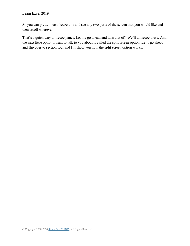So you can pretty much freeze this and see any two parts of the screen that you would like and then scroll wherever.

That's a quick way to freeze panes. Let me go ahead and turn that off. We'll unfreeze these. And the next little option I want to talk to you about is called the split screen option. Let's go ahead and flip over to section four and I'll show you how the split screen option works.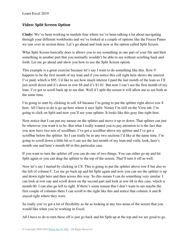## **Video: Split Screen Option**

**Cindy:** We've been working in module four where we've been talking a lot about navigating through your different workbooks and we've looked at a couple of options like the Freeze Panes we saw over in section three. Let's go ahead and look now at the option called Split Screen.

What Split Screen basically does is allows you to see something in one part of your file and then something in another part that you normally wouldn't be able to see without scrolling back and forth. Let me go ahead and show you how to use the Split Screen option.

This example is a great exercise because let's say I want to do something like this. Row 9 happens to be the first month of my loan and if you notice this cell right here shows the interest I've paid, which is \$95. I'd like to see how much interest I paid the last month of the loan so I'll just scroll down and it's down in row 68 and it's \$1.81. But now I can't see the first month of my loan. I've got to scroll back up to see that. Well if I split the screen it will allow me to see both at the same time.

I'm going to start by clicking in cell A8 because I'm going to put the splitter right above row 8 here. All I have to do is go up here where it says Split. Notice I'm still on the View tab. I'm going to click on Split and now you'll see your splitter. It looks like this gray line right here.

Now notice that I can put my mouse on the splitter and move it up or down. That splitter can just be wherever you want it to be. But what I really wanted you to pay attention to is the fact that you now have two sets of scrollbars. I've got a scrollbar above my splitter and I've got a scrollbar below the splitter. So I can really be in any two sections I'd like at the same time. I'm going to scroll down a little bit so I can see the last month of my loan and voila, look, here's month one and here's month 60 in this particular case.

If you want to turn the splitter off you can do one of two things. You can either go up and hit Split again or you can drag the splitter to the top of the screen. That'll turn it off as well.

Now let's say I started by clicking in C8. This is going to put the splitter above row 8 but also to the left of column C. Let me go back up and hit Split again and now you can see the splitter is up and down right here and then across this way. So this means I can do something very similar. I can look at row one and scroll down on the second part and look at row 68 in this case, which is month 60. I can also go left to right. If there's some reason that I don't want to see maybe the first couple of columns there I can scroll to the right like this and notice that column A and B stayed right where they were.

So really you've got a lot of flexibility as far as looking at any two areas of the screen that you would like when you're working in Excel.

All I have to do to turn these off is just go back and hit Split up at the top and we are good to go.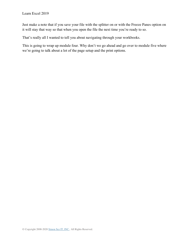Just make a note that if you save your file with the splitter on or with the Freeze Panes option on it will stay that way so that when you open the file the next time you're ready to so.

That's really all I wanted to tell you about navigating through your workbooks.

This is going to wrap up module four. Why don't we go ahead and go over to module five where we're going to talk about a lot of the page setup and the print options.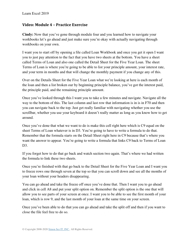### **Video: Module 4 – Practice Exercise**

**Cindy:** Now that you've gone through module four and you learned how to navigate your workbooks let's go ahead and just make sure you're okay with actually navigating through workbooks on your own.

I want you to start off by opening a file called Loan Workbook and once you get it open I want you to just pay attention to the fact that you have two sheets at the bottom. You have a sheet called Terms of Loan and also one called the Detail Sheet for the Five Year Loan. The sheet Terms of Loan is where you're going to be able to list your principle amount, your interest rate, and your term in months and that will change the monthly payment if you change any of this.

Over on the Details Sheet for the Five Year Loan what we're looking at here is each month of the loan and then a list broken our by beginning principle balance, you've got the interest paid, the principle paid, and the remaining principle amount.

Once you've looked through this I want you to take a few minutes and navigate. Navigate all the way to the bottom of this. The last column and last row that information is in is in F70 and then you can navigate back to the top. Just get really familiar with navigating whether you use the scrollbar, whether you use your keyboard it doesn't really matter as long as you know how to get around.

Once you've done that what we want to do is make this cell right here which is C9 equal on the sheet Terms of Loan whatever is in D3. You're going to have to write a formula to do that. Remember that the formula starts on the Detail Sheet right here in C9 because that's where you want the answer to appear. You're going to write a formula that links C9 back to Terms of Loan D3.

If you forget how to do that go back and watch section two again. That's where we had written the formula to link these two sheets.

Once you're finished with that go back to the Detail Sheet for the Five Year Loan and I want you to freeze rows one through seven at the top so that you can scroll down and see all the months of your loan without your headers disappearing.

You can go ahead and take the freeze off once you've done that. Then I want you to go ahead and click in cell A8 and put your split option on. Remember the split option is the one that will allow you to see parts of your screen at once. I want you to be able to see the first month of your loan, which is row 9, and the last month of your loan at the same time on your screen.

Once you've been able to do that you can go ahead and take the split off and then if you want to close the file feel free to do so.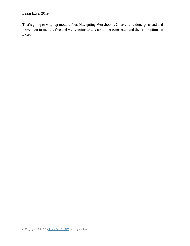That's going to wrap up module four, Navigating Workbooks. Once you're done go ahead and move over to module five and we're going to talk about the page setup and the print options in Excel.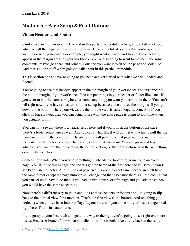# **Module 5 – Page Setup & Print Options**

# **Video: Headers and Footers**

**Cindy:** We are now in module five and in this particular module we're going to talk a lot about what we call the Page Setup and Print options. There are a lot of options that you're going to want to do with your page. For example, you might want a header and footer. Those actually appear in the margin areas of your workbook. You're also going to want to maybe make some comments, maybe go ahead and print this out and you want it to fit on the page and look nice. And that's all the stuff we're going to talk about in this particular module.

This is section one and we're going to go ahead and get started with what we call Headers and Footers.

You're going to see that headers appear in the top margin of your worksheet. Footers appear in the bottom margin of your worksheet. You can put things in your header or footer like dates, if you want to put file names, maybe your name. anything you want you can put in there. You can't tell right now if you have a header or footer set up because you can't see the margins. If you go down to the bottom where your views are the middle view is called Page Layout. And if you click on Page Layout then you can actually see what the entire page is going to look like when you actually print it.

You can now see that there is a header setup here and if you look at the bottom of the page there's a footer setup here as well. And typically what Excel will do is it will actually pull the file name and put it in the center of the header and it will pull the actual page number and put it in the center of the footer. You can change any of this that you want. You can go in and type whatever you want on the left section, the center section, or the right section. And the same thing down with your footer.

Something to note. When you type something in a header or footer it's going to be on every page. You'll notice this is page one and it's got the name of the file there and if I scroll down I'll see Page 1 in the footer. And if I look at page two it's got the exact same header and it'll have the same footer except the page number will change and that's because there's a little coding that you can set up to have it do that. If you had a third, fourth, or fifth page and you add those then you would have the same exact thing.

Now there's a different way to go in and look at these headers or footers and I'm going to flip back to the normal view for a moment. That's the first view at the bottom. And one thing you'll notice is when you've been into that Page Layout view and you come out you'll see a page break right here. That's just automatic.

If you go up to your Insert tab and go all the way to the right you're going to see right over here it says Header & Footer. Now when you click on it first it looks like you're back in the same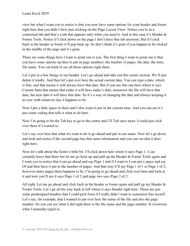view but what I want you to notice is that you now have some options for your header and footer right here that you didn't have just clicking on the Page Layout View. Notice you're in a contextual tab and that's a tab that appears only when you need it. And in this case it's Header & Footer Tools. Notice if I click down on the page I don't have that tab anymore. But if I click back in the header or footer it'll pop back up. So don't think it's gone if you happen to be clicked in the middle of the page and it's gone.

There are some things here I want to point out to you. The first thing I want to point out is that you have some options up here to put in page numbers, the number of pages, the date, the time, file name. You can kind of see all those options right there.

Let's put in a few things in our header. Let's go ahead and take out this center section. We'll just delete it totally. And then let's put over here the actual current date. You can type a date, which is fine, and that means it will always have that date. But if you use this one here where it says Current Date that means that today it will have today's date, tomorrow the file will have that date, the next date it will have that date. So it's a way of changing the date and always keeping it in sync with whatever day it happens to be.

Now I put a little space in there and I also want to put in the current time. And you can see it's just some coding that tells it what to do here.

Now I'm going to hit the Tab key to go to the center and I'll Tab once more. I could just click over there if I wanted to.

Let's say over here that what we want to do is go ahead and put in our name. Now let's go down and look and notice if the second page has that same information and you can see that it does right here.

Now let's talk about the footer a little bit. I'll click down here where it says Page 1. I can certainly leave that there but let me go back up and pull up the Header & Footer Tools again and I want you to notice that I can go ahead and say Page 1 and if I want to I can put a space and say Of and then have it put in the number of pages. And that way it'll say Page 1 of 1 or Page 1 of 2, however many pages there happens to be. I'm going to go ahead and click over here and look at it and now you'll see it says Page 1 of 2 and page two says Page 2 of 2.

All right. Let me go ahead and click back in the header or footer again and pull up my Header & Footer Tools. Let's go all the way back to left where it says Header right here. These are just some predesigned headers that I could pick from if I really didn't want to customize this myself. Let's say, for example, that I wanted to put over here the name of the file and also the page number. So you can see what it did right there is the file name and the page number. It overwrote what I manually typed in.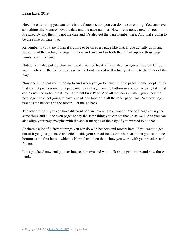Now the other thing you can do is in the footer section you can do the same thing. You can have something like Prepared By, the date and the page number. Now if you notice now it's got Prepared By and then it's got the date and it's also got the page number here. And that's going to be the same on page two.

Remember if you type it then it's going to be on every page like that. If you actually go in and use some of the coding for page numbers and time and so forth then it will update those page numbers and the time.

Notice I can also put a picture in here if I wanted to. And I can also navigate a little bit. If I don't want to click on the footer I can say Go To Footer and it will actually take me to the footer of the page.

Now one thing that you're going to find when you go to print multiple pages. Some people think that it's not professional for a page one to say Page 1 on the bottom so you can actually take that off. You'll see right here it says Different First Page. And all that does is when you check the box page one is not going to have a header or footer but all the other pages will. See how page two has the header and the footer? Let me go back.

The other thing is you can have different odd and even. If you want all the odd pages to say the same thing and all the even pages to say the same thing you can set that up as well. And you can also align your page margins with the actual margins of the page if you wanted to do that.

So there's a lot of different things you can do with headers and footers here. If you want to get out of it you just go ahead and click inside your spreadsheet somewhere and then go back to the bottom to the first button which is Normal and then that's how you work with your headers and footers.

Let's go ahead now and go over into section two and we'll talk about print titles and how those work.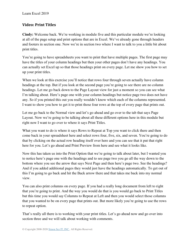## **Video: Print Titles**

**Cindy:** Welcome back. We're working in module five and this particular module we're looking at all of the page setup and print options that are in Excel. We've already gone through headers and footers in section one. Now we're in section two where I want to talk to you a little bit about print titles.

You're going to have spreadsheets you want to print that have multiple pages. The first page may have the titles of your column headings but then your other pages don't have any headings. You can actually set Excel up so that those headings print on every page. Let me show you how to set up your print titles.

When we look at this exercise you'll notice that rows four through seven actually have column headings at the top. But if you look at the second page you're going to see there are no column headings. Let me go back down to the Page Layout view for just a moment so you can see what I'm talking about. Here's page one with your column headings but notice page two does not have any. So if you printed this out you really wouldn't know which each of the columns represented. I want to show you how to get it to print those four rows at the top of every page that prints out.

Let me go back to the Normal view and let's go ahead and go over to the tab that says Page Layout. Now we're going to be talking about all these different options here in this module but right now I want to go over to where it says Print Titles.

What you want to do is where it says Rows to Repeat at Top you want to click there and then come back in your spreadsheet here and select rows four, five, six, and seven. You're going to do that by clicking on the actual row heading itself over here and you can see that it put that right here for you. Let's go ahead and Print Preview from here and see what it looks like.

Now this has taken us into the Print Option that we're going to talk about later, but I wanted you to notice here's page one with the headings and to see page two you go all the way down to the bottom where you see the arrow that says Next Page and then here's page two. See the headings? And if you added additional pages they would just have the headings automatically. To get out of this I'm going to go back and hit the Back arrow there and that takes me back into my normal view.

You can also print columns on every page. If you had a really long document from left to right that you're going to print. And the way you would do that is you would go back to Print Titles but this time you would say Columns to Repeat at Left and then you would select those columns that you wanted to be on every page that prints out. But more likely you're going to use the rows to repeat option.

That's really all there is to working with your print titles. Let's go ahead now and go over into section three and we will talk about working with comments.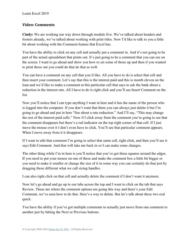## **Video: Comments**

**Cindy:** We are working our way down through module five. We've talked about headers and footers already, we've talked about working with print titles. Now I'd like to talk to you a little bit about working with the Comment feature that Excel has.

You have the ability to click on any cell and actually put a comment in. And it's not going to be part of the actual spreadsheet that prints out. It's just going to be a comment that you can see on the screen. I want to go ahead and show you how to set some of those up and then if you wanted to print those out you could do that do that as well.

You can have a comment on any cell that you'd like. All you have to do is select that cell and then insert your comment. Let's say that this is the interest paid and this is month eleven on the loan and we'd like to make a comment at this particular cell that says to ask the bank about a reduction in the interest rate. All I have to do is right click and you'll see Insert Comment on the list.

Now you'll notice that I can type anything I want in here and it has the name of the person who is logged into the computer. If you don't want that there you can always just delete it but I'm going to go ahead and put in here "See about a rate reduction." And I'll say, "This may change the rest of the interest paid cells." Now if I click away from the comment you're going to see that the comment disappears but there's a red indicator on the top right corner of that cell. If I just move the mouse over it I don't even have to click. You'll see that particular comment appears. When I move away from it it disappears.

If I want to edit that comment I'm going to select that same cell, right click, and then you'll see it says Edit Comment. And that will take me back in so I can make some changes.

The other thing while I'm in here is you'll notice that you've got these squares around the edges. If you need to put your mouse on one of these and make the comment box a little bit bigger or you need to make it smaller or change the size of it in some way you can certainly do that just by dragging those different what we call sizing handles.

I can also right click on that cell and actually delete the comment if I don't want it anymore.

Now let's go ahead and go up to our tabs across the top and I want to click on the tab that says Review. These are where the comment options are going this way and there's your Edit Comment, we've seen how to do that. Here's a way to delete. But let's talk about these two real quick.

You have the ability if you've got multiple comments to actually just move from one comment to another just by hitting the Next or Previous buttons.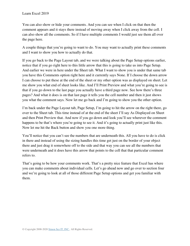You can also show or hide your comments. And you can see when I click on that then the comment appears and it stays there instead of moving away when I click away from the cell. I can also show all the comments. So if I have multiple comments I would just see them all over the page here.

A couple things that you're going to want to do. You may want to actually print these comments and I want to show you how to actually do that.

If you go back to the Page Layout tab, and we were talking about the Page Setup options earlier, notice that if you go right here to this little arrow that this is going to take us into Page Setup. And earlier we were in here under the Sheet tab. What I want to show you is under that same tab you have this Comments option right here and it currently says None. If I choose the down arrow I can choose to put these at the end of the sheet or my other option was as displayed on sheet. Let me show you what end of sheet looks like. And I'll Print Preview and what you're going to see is that if you go down to the last page you actually have a third page now. See how there's three pages? And what it does is on that last page it tells you the cell number and then it just shows you what the comment says. Now let me go back and I'm going to show you the other option.

I'm back under the Page Layout tab, Page Setup, I'm going to hit the arrow on the right there, go over to the Sheet tab. This time instead of at the end of the sheet I'll say As Displayed on Sheet and then Print Preview that. And now if you go down and look you'll see wherever the comment happens to be that's where you're going to see it. And it's going to actually print just like this. Now let me hit the Back button and show you one more thing.

You'll notice that you can't see the numbers that are underneath this. All you have to do is click in there and instead of using the sizing handles this time get just on the border of your object there and just drag it somewhere off to the side and that way you can see all the numbers that were underneath and it does have this arrow that points to the cell that that particular comment refers to.

That's going to be how your comments work. That's a pretty nice feature that Excel has where you can make comments about individual cells. Let's go ahead now and go over to section four and we're going to look at all of those different Page Setup options and get you familiar with them.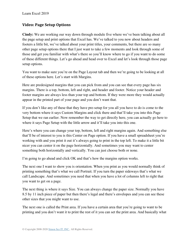## **Video: Page Setup Options**

**Cindy:** We are working our way down through module five where we've been talking about all the page setup and print options that Excel has. We've talked to you now about headers and footers a little bit, we've talked about your print titles, your comments, but there are so many other page setup options there that I just want to take a few moments and look through some of those and get you familiar with what's there so you'll know where to go if you want to do some of these different things. Let's go ahead and head over to Excel and let's look through those page setup options.

You want to make sure you're on the Page Layout tab and then we're going to be looking at all of these options here. Let's start with Margins.

Here are predesigned margins that you can pick from and you can see that every page has six margins. There is a top, bottom, left and right, and header and footer. Notice your header and footer margins are always less than your top and bottom. If they were more they would actually appear in the printed part of your page and you don't want that.

If you don't like any of these that they have pre-setup for you all you have to do is come to the very bottom where it says Custom Margins and click there and that'll take you into this Page Setup that we ran earlier. Now remember the way to get directly here, you can actually go here to where it says Page Setup with the little arrow and it'll take you into this one.

Here's where you can change your top, bottom, left and right margins again. And something else that'll be of interest to you is this Center on Page option. If you have a small spreadsheet you're working with and you print it out it's always going to print in the top left. To make it a little bit nicer you can center it on the page horizontally. And sometimes you may want to center something both horizontally and vertically. You can just choose both or none.

I'm going to go ahead and click OK and that's how the margins option works.

The next one I want to show you is orientation. When you print as you would normally think of printing something that's what we call Portrait. If you turn the paper sideways that's what we call Landscape. And sometimes you need that when you have a lot of columns left to right that you want to get on a page.

The next thing is where it says Size. You can always change the paper size. Normally you have 8.5 by 11 inch piece of paper but then there's legal and there's envelopes and you can see these other sizes that you might want to use.

The next one is called the Print area. If you have a certain area that you're going to want to be printing and you don't want it to print the rest of it you can set the print area. And basically what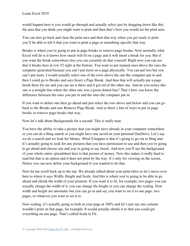would happen here is you would go through and actually select just by dragging down like this the area that you think you might want to print and then that's how you would set the print area.

You can also go back and clear the print area and then that way when you get ready to print you'll be able to tell it that you want to print a page or something specific that way.

Breaks is where you're going to put in page breaks or remove page breaks. Now normally what Excel will do is it knows how much will fit on a page and it will insert a break for you. But if you want the break somewhere else you can certainly do that yourself. Right now you can see that it breaks here at row 52 right at the bottom. You want to put manual ones above the ones the computer generated because you can't put more on a page physically. You can put less but you can't put more. I would actually select one of the rows above the one the computer put in and then I could go to Breaks and says Insert a Page Break. And then that will actually put a page break there for me and you can see it there and it got rid of the other one. And do you notice this one is a straight line where the other one was a green dotted line? That's how you know the difference between the ones you put in and the ones the computer put in.

If you want to delete one then go ahead and just select the row above and below and you can go back to the Breaks and saw Remove Page Break. And so there's lots of ways to put in page breaks or remove page breaks that way.

Now let's talk about Backgrounds for a second. This is really neat.

You have the ability to take a picture that you might have already in your computer somewhere or you can do a Bing search or you might have one saved on your personal OneDrive. Let's say we do a search and we look for Money. What'll happen is that it's going to go out to Bing and it's actually going to look for any pictures that you have permission to use and then you're going to go ahead and choose one and you're going to say Insert. And now you'll see the background of your whole entire spreadsheet here is that picture of money. Now this makes it really hard to read but that is an option and it does not print by the way. It's only for viewing on the screen. Notice you can now delete your background if you wanted to do that.

Now let me scroll back up to the top. We already talked about your print titles so let's move over here to where it says Width, Height and Scale. And this is where you're going to be able to go ahead and shrink the width of your printout. If you want it to fit, for example, two pages you can actually change the width of it, you can change the height or you can change the scaling. Now width and height are automatic but you can go in and say you want to set it to one page, two pages, or whatever you want to set it to.

Now scaling, it's actually going to look at your page at 100% and let's just say one column wouldn't print on that page, for example. It would actually shrink it so that you could get everything on one page. That's called Scale to Fit.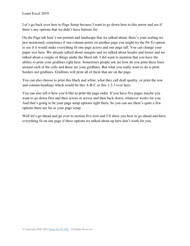Let's go back over here to Page Setup because I want to go down here to this arrow and see if there's any options that we didn't have buttons for.

On the Page tab here's our portrait and landscape that we talked about, there's your scaling we just mentioned, sometimes if one column prints on another page you might try the Fit To option to see if it would make everything fit one page across and one page tall. You can change your paper size here. We already talked about margins and we talked about header and footer and we talked about a couple of things under the Sheet tab. I did want to mention that you have the ability to print your gridlines right here. Sometimes people ask me how do you print these lines around each of the cells and those are your gridlines. But what you really want to do is print borders not gridlines. Gridlines will print all of them that are on the page.

You can also choose to print this black and white, what they call draft quality, or print the row and column headings which would be this A-B-C or this 1-2-3 over here.

You can also tell it how you'd like to print the page order. If you have five pages maybe you want to go down first and then across or across and then back down, whatever works for you. And that's going to be your page setup options right there. So you can see there's quite a few options there are far as your page setup.

Well let's go ahead and go over to section five now and I'll show you how to go ahead and have everything fit on one page if these options we talked about up here don't work for you.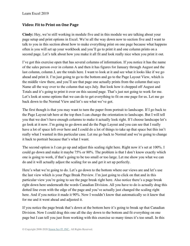## **Video: Fit to Print on One Page**

**Cindy:** Hey, we're still working in module five and in this module we are talking about your page setup and print options in Excel. We're all the way down now to section five and I want to talk to you in this section about how to make everything print on one page because what happens often is you will set up your workbook and you'll go to print it and one column prints on a second page. Let's talk about how you make it all fit and look really nice when you print it out.

I've got this exercise open that has several columns of information. If you notice it has the name of the sales person over in column A and then it has figures for January through August and the last column, column J, are the totals here. I want to look at it and see what it looks like if we go ahead and print it. I'm just going to go to the bottom and go to the Page Layout View, which is the middle view there, and you'll see that page one actually prints from the column that says Name all the way over to the column that says July. But look how it chopped off August and Totals and it's going to print it over on this second page. That's just not going to work for me. Let's look at some options that we can do to get everything to fit on one page for us. Let me go back down to the Normal View and let's see what we've got.

The first though is that you may want to turn the paper from portrait to landscape. If I go back to the Page Layout tab here at the top then I can change the orientation to landscape. But I will tell you that we don't have enough columns to make it actually look right. If I choose landscape let's go look at it now. I'm going to go down and do the Page Layout and you can see that I really have a lot of space left over here and I could do a lot of things to take up that space but this isn't really what I wanted in this particular case. Let me go back to Normal and we're going to change it back to portrait because that's what I want.

The second option is I can go up and adjust this scaling right here. Right now it's set at 100%. I could go down and make it maybe 75% or 80%. The problem is that I don't know exactly which one is going to work, if that's going to be too small or too large. Let me show you what we can do and it will actually adjust the scaling for us and get it set up perfectly.

Here's what we're going to do. Let's go down to the bottom where our views are and let's use the last view which is your Page Break Preview. I'm just going to click on that and in this particular view you're going to see the page break right here. Also notice there's a page break right down here underneath the words Canadian Division. All you have to do is actually drag this dotted line even with the edge of the page and you've actually just changed the scaling right here. And if you notice it made it 90%. Now I wouldn't know that automatically so it knew that for me and it went ahead and adjusted it.

If you notice the page break that's down at the bottom here it's going to break up that Canadian Division. Now I could drag this one all the day down to the bottom and fit everything on one page but I can tell you just from working with this exercise so many times it's too small. In this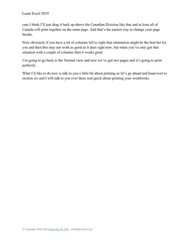case I think I'll just drag it back up above the Canadian Division like that and at least all of Canada will print together on the same page. And that's the easiest way to change your page breaks.

Now obviously if you have a lot of columns left to right that orientation might be the best bet for you and then this may not work as good as it does right now, but when you've only got that situation with a couple of columns then it works great.

I'm going to go back to the Normal view and now we've got two pages and it's going to print perfectly.

What I'd like to do now is talk to you a little bit about printing so let's go ahead and head over to section six and I will talk to you over there real quick about printing your workbooks.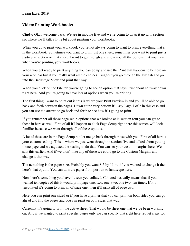## **Video: Printing Workbooks**

**Cindy:** Okay welcome back. We are in module five and we're going to wrap it up with section six where we'll talk a little bit about printing your workbooks.

When you go to print your workbook you're not always going to want to print everything that's in the workbook. Sometimes you want to print just one sheet, sometimes you want to print just a particular section on that sheet. I want to go through and show you all the options that you have when you're printing your workbooks.

When you get ready to print anything you can go up and use the Print that happens to be here on your icon bar but if you really want all the choices I suggest you go through the File tab and go into the Backstage View and print that way.

When you click on the File tab you're going to see an option that says Print about halfway down right here. And you're going to have lots of options when you're printing.

The first thing I want to point out is this is where your Print Preview is and you'll be able to go back and forth between the pages. Down at the very bottom it'll say Page 1 of 2 in this case and you can use the arrows to go back and forth to see how it's going to print.

If you remember all those page setup options that we looked at in section four you can get to those in here as well. First of all if I happen to click Page Setup right here this screen will look familiar because we went through all of these options.

A lot of these are in the Page Setup but let me go back through those with you. First of all here's your custom scaling. This is where we just went through in section five and talked about getting it one page and we adjusted the scaling to do that. You can set your custom margins here. We saw this earlier. And if we didn't like any of these we could go to the Custom Margins and change it that way.

The next thing is the paper size. Probably you want 8.5 by 11 but if you wanted to change it then here's that option. You can turn the paper from portrait to landscape here.

Now here's something you haven't seen yet, collated. Collated basically means that if you wanted ten copies of this it would print page one, two, one, two, one two, ten times. If it's uncollated it's going to print all of page one, then it'll print all of page two.

Here you can print one sided or if you have a printer that you can print on both sides you can go ahead and flip the pages and you can print on both sides that way.

Currently it's going to print the active sheet. That would be sheet one that we've been working on. And if we wanted to print specific pages only we can specify that right here. So let's say for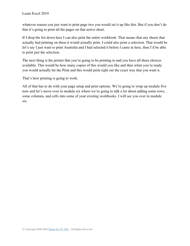whatever reason you just want to print page two you would set it up like this. But if you don't do that it's going to print all the pages on that active sheet.

If I drop the list down here I can also print the entire workbook. That means that any sheets that actually had printing on them it would actually print. I could also print a selection. That would be let's say I just want to print Australia and I had selected it before I came in here, then I'd be able to print just the selection.

The next thing is the printer that you're going to be printing to and you have all these choices available. This would be how many copies of this would you like and then when you're ready you would actually hit the Print and this would print right out the exact way that you want it.

That's how printing is going to work.

All of that has to do with your page setup and print options. We're going to wrap up module five now and let's move over to module six where we're going to talk a lot about adding some rows, some columns, and cells into some of your existing workbooks. I will see you over in module six.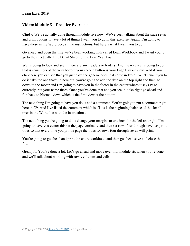### **Video: Module 5 – Practice Exercise**

**Cindy:** We've actually gone through module five now. We've been talking about the page setup and print options. I have a lot of things I want you to do in this exercise. Again, I'm going to have these in the Word doc, all the instructions, but here's what I want you to do.

Go ahead and open that file we've been working with called Loan Workbook and I want you to go to the sheet called the Detail Sheet for the Five Year Loan.

We're going to look and see if there are any headers or footers. And the way we're going to do that is remember at the very bottom your second button is your Page Layout view. And if you click here you can see that you just have the generic ones that come in Excel. What I want you to do is take the one that's in here out, you're going to add the date on the top right and then go down to the footer and I'm going to have you in the footer in the center where it says Page 1 currently, put your name there. Once you've done that and you see it looks right go ahead and flip back to Normal view, which is the first view at the bottom.

The next thing I'm going to have you do is add a comment. You're going to put a comment right here in C9. And I've listed the comment which is "This is the beginning balance of this loan" over in the Word doc with the instructions.

The next thing you're going to do is change your margins to one inch for the left and right. I'm going to have you center this on the page vertically and then set rows four through seven as print titles so that every time you print a page the titles for rows four through seven will print.

You're going to go ahead and print the entire workbook and then go ahead save and close the file.

Great job. You've done a lot. Let's go ahead and move over into module six when you're done and we'll talk about working with rows, columns and cells.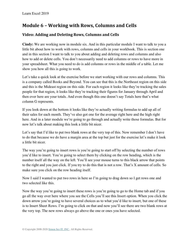# **Module 6 – Working with Rows, Columns and Cells**

# **Video: Adding and Deleting Rows, Columns and Cells**

**Cindy:** We are working now in module six. And in this particular module I want to talk to you a little bit about how to work with rows, columns and cells in your workbook. This is section one and in this section I want to talk to you about adding and deleting rows and columns and also how to add or delete cells. You don't necessarily need to add columns or rows to have more in your spreadsheet. What you need to do is add columns or rows in the middle of a table. Let me show you how all this is going to work.

Let's take a quick look at the exercise before we start working with our rows and columns. This is a company called Books and Beyond. You can see that this is the Northeast region on this side and this is the Mideast region on this side. For each region it looks like they're tracking the sales people for that region, it looks like they're tracking their figures for January through April and then over here are your totals. And even though this one doesn't say Totals here that's what column G represents.

If you look down at the bottom it looks like they're actually writing formulas to add up all of their sales for each month. They've also got one for the average right here and the high right here. And in a later module we're going to go through and actually write those formulas. But for now let's talk about making this look a little bit nicer.

Let's say that I'd like to put two blank rows at the very top of this. Now remember I don't have to do that because we do have a margin area at the top but just for the exercise let's make it look a little bit nicer.

The way you're going to insert rows is you're going to start off by selecting the number of rows you'd like to insert. You're going to select them by clicking on the row heading, which is the number itself all the way on the left. You'll see your mouse turns to this black arrow that points to the right and you just click. If you try to do this that is not a row. That's X amount of cells. So make sure you click on the row heading itself.

Now I said I wanted to put two rows in here so I'm going to drag down so I get rows one and two selected like this.

Now the way you're going to insert these rows is you're going to go to the Home tab and if you go all the way over here where you see the Cells you'll see this Insert option. When you click the down arrow you're going to have several choices as to what you'd like to insert, but one of these is to Insert Sheet Rows. I'm going to click on that and now you'll see there are two blank rows at the very top. The new rows always go above the one or ones you have selected.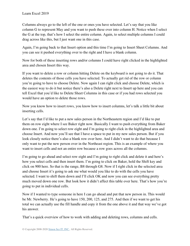Columns always go to the left of the one or ones you have selected. Let's say that you like column G to represent May and you want to push these over into column H. Notice when I select the G at the top, that's how I select the entire column. Again, to select multiple columns I could drag across like this, but I just want one in this case.

Again, I'm going back to that Insert option and this time I'm going to Insert Sheet Columns. And you can see it pushed everything over to the right and I have a blank column.

Now for both of these inserting rows and/or columns I could have right clicked in the highlighted area and chosen Insert this way.

If you want to delete a row or column hitting Delete on the keyboard is not going to do it. That deletes the contents of those cells you have selected. To actually get rid of the row or column you're going to have to choose Delete. Now again I can right click and choose Delete, which is the easiest way to do it but notice there's also a Delete right next to Insert up here and you can tell Excel that you'd like to Delete Sheet Columns in this case or if you had rows selected you would have an option to delete those rows.

Now you know how to insert rows, you know how to insert columns, let's talk a little bit about inserting cells.

Let's say that I'd like to put a new sales person in the Northeastern region and I'd like to put them on row eight where I see Baker right now. Basically I want to push everything from Baker down one. I'm going to select row eight and I'm going to right click in the highlighted area and choose Insert. And now you'll see that I have a space to put in my new sales person. But if you look closely notice there's also a blank row over here. And I didn't want to do that because I only want to put the new person over in the Northeast region. This is an example of where you want to insert cells and not an entire row because a row goes across all the columns.

I'm going to go ahead and select row eight and I'm going to right click and delete it and here's how you select cells and then insert them. I'm going to click on Baker, hold the Shift key and click on 900 here. So that is the range, B8 through G8. Now if I right click in the selected area and choose Insert it's going to ask me what would you like to do with the cells you have selected. I want to shift them down and I'll click OK and now you can see everything pretty much moved down one row. But look how it didn't affect this table over here. That's how you're going to put in individual cells.

Now if I wanted to type someone in here I can go ahead and put that new person in. This would be Mr. Newberry. He's going to have 150, 200, 125, and 275. And then if we want to get his total we can actually use the fill handle and copy it from the one above it and that way we've got his answer.

That's a quick overview of how to work with adding and deleting rows, columns and cells.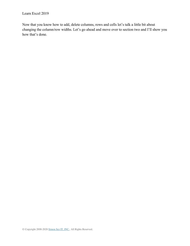Now that you know how to add, delete columns, rows and cells let's talk a little bit about changing the column/row widths. Let's go ahead and move over to section two and I'll show you how that's done.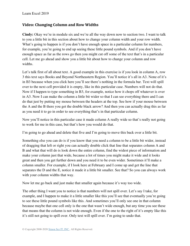### **Video: Changing Column and Row Widths**

**Cindy:** Okay we're in module six and we're all the way down now to section two. I want to talk to you a little bit in this section about how to change your column width and your row width. What's going to happen is if you don't have enough space in a particular column for numbers, for example, you're going to end up seeing these little pound symbols. And if you don't have enough space as far as the rows go then you might cut off some of the text that's in a particular cell. Let me go ahead and show you a little bit about how to change your column and row widths.

Let's talk first of all about text. A good example in this exercise is if you look in column A, row 3 this text says Books and Beyond Northeastern Region. You'll notice it's all in A3. None of it's in B3 because when you click here you'll see there's nothing in the formula bar. Text will spill over to the next cell provided it is empty, like in this particular case. Numbers will not do that. Now if I happen to type something in B3, for example, notice how it chops off whatever is over in A3. Now I can make the column a little bit wider so that I can see everything there and I can do that just by putting my mouse between the headers at the top. See how if your mouse between the A and the B there you get the double black arrow? And then you can actually drag this as far as you need it to go in order to see everything that's in that particular column.

Now you'll notice in this particular case it made column A really wide so that's really not going to work for me in this case, but that's how you would do that.

I'm going to go ahead and delete that five and I'm going to move this back over a little bit.

Something else you can do is if you know that you need a column to be a little bit wider, instead of dragging that left or right you can actually double click that line that separates column A and B and what that will do is look down the entire column, find the widest piece of information and make your column just that wide, because a lot of times you might make it wide and it looks great and then you get further down and you need it to be even wider. Sometimes it'll make a column smaller. For example, if I look here at February and I come up and get the line that separates the D and the E, notice it made it a little bit smaller. See that? So you can always work with your column widths that way.

Now let me go back and just make that smaller again because it's way too wide.

The other thing I want you to notice is that numbers will not spill over. Let's say I take, for example, and I happen to make it a little smaller like this you'll see that eventually you're going to see these little pound symbols like this. And sometimes you'll only see one in that column because maybe that one cell only is the one that wasn't wide enough, but any time you see these that means that the column is not wide enough. Even if the one to the right of it's empty like this it's still not going to spill over. Only text will spill over. I'm going to undo that.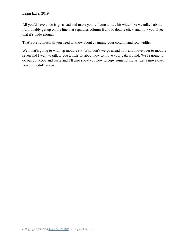All you'd have to do is go ahead and make your column a little bit wider like we talked about. I'd probably get up on the line that separates column E and F, double click, and now you'll see that it's wide enough.

That's pretty much all you need to know about changing your column and row widths.

Well that's going to wrap up module six. Why don't we go ahead now and move over to module seven and I want to talk to you a little bit about how to move your data around. We're going to do our cut, copy and paste and I'll also show you how to copy some formulas. Let's move over now to module seven.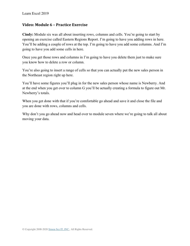### **Video: Module 6 – Practice Exercise**

**Cindy:** Module six was all about inserting rows, columns and cells. You're going to start by opening an exercise called Eastern Regions Report. I'm going to have you adding rows in here. You'll be adding a couple of rows at the top. I'm going to have you add some columns. And I'm going to have you add some cells in here.

Once you get those rows and columns in I'm going to have you delete them just to make sure you know how to delete a row or column.

You're also going to insert a range of cells so that you can actually put the new sales person in the Northeast region right up here.

You'll have some figures you'll plug in for the new sales person whose name is Newberry. And at the end when you get over to column G you'll be actually creating a formula to figure out Mr. Newberry's totals.

When you get done with that if you're comfortable go ahead and save it and close the file and you are done with rows, columns and cells.

Why don't you go ahead now and head over to module seven where we're going to talk all about moving your data.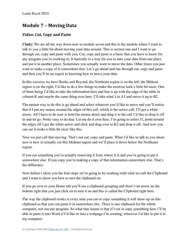# **Module 7 – Moving Data**

## **Video: Cut, Copy and Paste**

**Cindy:** We are all the way down now to module seven and this is the module where I want to talk to you a little bit about moving your data around. This is section one and I want to go through cut, copy and paste with you. Cut, copy and paste is a basic that you have to know for any program you're working in. It basically is a way for you to take your data from one place and put it in another place. Sometimes you actually want to move the data. Other times you just want to make a copy of it somewhere else. Let's go ahead and run through cut, copy and paste and then you'll be an expert in knowing how to move your data.

In this exercise we have Books and Beyond, the Northeast region is on the left, the Mideast region is on the right. I'd like to do a few things to make the exercise look a little bit nicer. One of them being I'd like to take the information here and line it up with the edge of the table in column K and maybe the same thing over here. I'll take what's in A3 and move it up to B2.

The easiest way to do this is go ahead and select whatever you'd like to move and you'll notice that if I put my mouse around the edges of this cell, which is the active cell, I'll get a white arrow. All I have to do now is hold the mouse down and drag it to the cell I'd like to drop it off in and let go. Pretty easy to do that. Let me do it over here. I'm going to select J3, point around the edges till I get the white arrow and click and drag over to K2 and drop it off. And now you can see it looks a little bit nicer like this.

Now we just call that moving. That's not cut, copy and paste. What I'd like to talk to you about now is how to actually cut this Mideast region and we'll place it down below the Northeast region.

If you cut something you're actually removing it from where it is and you're going to put it somewhere else. If you copy you're making a copy of that information somewhere else. That's the difference.

Now before I show you the four steps we're going to be working with what we call the Clipboard and I want to show you how to turn the clipboard on.

If you go over to your Home tab you'll see a clipboard grouping and there's an arrow on the bottom right that you just click on to turn it on and this is called the Clipboard right here.

The way the clipboard works is every time you cut or copy something it will show up on this clipboard so that you can paste it in somewhere else. There is one clipboard for the whole computer, not one per program. So what that means is that if I cut or copy something here I'll be able to paste it into Word if I'd like or into a webpage I'm creating, wherever I'd like to put it in my computer.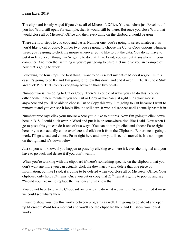The clipboard is only wiped if you close all of Microsoft Office. You can close just Excel but if you had Word still open, for example, then it would still be there. But once you close Word that would close all of Microsoft Office and then everything on the clipboard would be gone.

There are four steps to cut, copy and paste. Number one, you're going to select whatever it is you'd like to cut or copy. Number two, you're going to choose the Cut or Copy options. Number three, you're going to click the mouse wherever you'd like to put the data. You do not have to put it in Excel even though we're going to do that. Like I said, you can put it anywhere in your computer. And then the last thing is you're just going to paste. Let me give you an example of how that's going to work.

Following the four steps, the first thing I want to do is select my entire Mideast region. In this case it's going to be K2 and I'm going to follow this down and end it over in P16. K2, hold Shift and click P16. That selects everything between those two points.

Number two is I'm going to Cut or Copy. There's a couple of ways you can do this. You can either come up here to where you see Cut or Copy or you can just right click your mouse anywhere and you'll be able to choose Cut or Copy this way. I'm going to Cut because I want to remove it and you can see it looks like it's still here. It won't disappear until I actually paste it in.

Number three says click your mouse where you'd like to put this. Now I'm going to click down here in B18. I could click over in Word and put it in or somewhere else, like I said. Now when I go to paste this you can do it one of two ways. You can do it right click and choose Paste right here or you can actually come over here and click on it from the Clipboard. Either one is going to work. I'll go ahead and choose Paste right here and now you'll see it's moved it. It's no longer on the right and it's down below.

Just so you will know, if you happen to paste by clicking over here it leaves the original and you have to go back and delete it if you don't want it.

When you're working with the clipboard if there's something specific on the clipboard that you don't want anymore you can actually click the down arrow and delete that one piece of information, but like I said, it's going to be deleted when you close all of Microsoft Office. Your clipboard only holds 24 items. Once you cut or copy that  $25<sup>th</sup>$  item it's going to pop up and say "Would you like me to replace the first one?" Just know that.

You do not have to turn the Clipboard on to actually do what we just did. We just turned it on so we could see what's there.

I want to show you how this works between programs as well. I'm going to go ahead and open up Microsoft Word for a moment and you'll see the clipboard there and I'll show you how it works.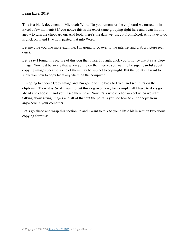This is a blank document in Microsoft Word. Do you remember the clipboard we turned on in Excel a few moments? If you notice this is the exact same grouping right here and I can hit this arrow to turn the clipboard on. And look, there's the data we just cut from Excel. All I have to do is click on it and I've now pasted that into Word.

Let me give you one more example. I'm going to go over to the internet and grab a picture real quick.

Let's say I found this picture of this dog that I like. If I right click you'll notice that it says Copy Image. Now just be aware that when you're on the internet you want to be super careful about copying images because some of them may be subject to copyright. But the point is I want to show you how to copy from anywhere on the computer.

I'm going to choose Copy Image and I'm going to flip back to Excel and see if it's on the clipboard. There it is. So if I want to put this dog over here, for example, all I have to do is go ahead and choose it and you'll see there he is. Now it's a whole other subject when we start talking about sizing images and all of that but the point is you see how to cut or copy from anywhere in your computer.

Let's go ahead and wrap this section up and I want to talk to you a little bit in section two about copying formulas.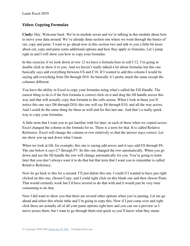## **Video: Copying Formulas**

**Cindy:** Hey. Welcome back. We're in module seven and we're talking in this module about how to move your data around. We've already done section one where we went through the basics of cut, copy and paste. I want to go ahead now in this section two and talk to you a little bit more about cut, copy and paste some additional options and how they apply to formulas. Let's jump right in and I will show you how to copy your formulas.

In this exercise if we look down at row 12 we have a formula here in cell C12. I'm going to double click to show it to you. And we haven't really talked a lot about formulas but this one basically says add everything between C6 and C10. If I wanted to add this column I would be saying add everything from D6 through D10. So basically it's pretty much the same except the columns different.

You have the ability in Excel to copy your formulas using what's called the Fill Handle. The easiest thing to do is if the first formula is correct click on it and drag the fill handle across this way and that will actually copy that formula to the cells across. When I look at these you'll notice this one says D6 through D10, this one will say E6 through E10, and all the way across. And I could do the same thing for these as well and for this last one. And that's a really quick way to copy your formulas.

A little term that I want you to get familiar with for later, in each of these when we copied across Excel changed the column in the formula for us. There is a term for that. It is called Relative Reference. Excel will change the column or row relatively so that the answer stays correct. Let me show you up and down what I mean.

When we look at G6, for example, this one is saying add across and it says add C6 through F6. The one below it says C7 through F7. So this one changed the row automatically. When you go down and use the fill handle the row will change automatically for you. You're going to learn later that you don't always want it to do that but that term that I want you to remember is called Relative Reference.

Now let go back to this for a second. I'll just delete this one. I could if I wanted to have just right clicked on this one, chosen Copy, and I could right click on this blank one and then choose Paste. That would certainly work but I'd have several to do that with and it would just be very time consuming to do that.

Now I did want to show you that there are several other options when you're pasting. Let me go ahead and select this whole table and I'm going to copy this. Now if I just come over and right click these are actually all of all your paste options right here and you can see a preview as I move across them, but I want to go through them real quick so you'll know what they mean.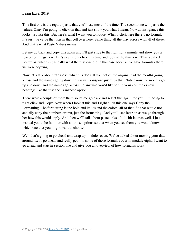This first one is the regular paste that you'll use most of the time. The second one will paste the values. Okay I'm going to click on that and just show you what I mean. Now at first glance this looks just like this. But here's what I want you to notice. When I click here there's no formula. It's just the value that was in that cell over here. Same thing all the way across with all of these. And that's what Paste Values means.

Let me go back and copy this again and I'll just slide to the right for a minute and show you a few other things here. Let's say I right click this time and look at the third one. That's called Formulas, which is basically what the first one did in this case because we have formulas there we were copying.

Now let's talk about transpose, what this does. If you notice the original had the months going across and the names going down this way. Transpose just flips that. Notice now the months go up and down and the names go across. So anytime you'd like to flip your column or row headings like that use the Transpose option.

There were a couple of more there so let me go back and select this again for you. I'm going to right click and Copy. Now when I look at this and I right click this one says Copy the Formatting. The formatting is the bold and italics and the colors, all of that. So that would not actually copy the numbers or text, just the formatting. And you'll see later on as we go through her how this would apply. And then we'll talk about paste links a little bit later as well. I just wanted you to be familiar with all those options so that when you see them you would know which one that you might want to choose.

Well that's going to go ahead and wrap up module seven. We've talked about moving your data around. Let's go ahead and really get into some of these formulas over in module eight. I want to go ahead and start in section one and give you an overview of how formulas work.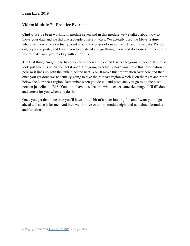### **Video: Module 7 – Practice Exercise**

**Cindy:** We've been working in module seven and in this module we've talked about how to move your data and we did that a couple different ways. We actually used the Move feature where we were able to actually point around the edges of our active cell and move data. We did cut, copy and paste, and I want you to go ahead and go through here and do a quick little exercise just to make sure you're okay with all of this.

The first thing I'm going to have you do is open a file called Eastern Regions Report 2. It should look just like this when you get it open. I'm going to actually have you move this information up here so it lines up with the table nice and neat. You'll move this information over here and then once you get done we're actually going to take the Mideast region which is on the right and put it below the Northeast region. Remember when you do cut and paste and you go to do the paste portion just click in B18. You don't have to select the whole exact same size range. It'll fill down and across for you when you do that.

Once you get that done then you'll have a little bit of a nicer looking file and I want you to go ahead and save it for me. And then we'll move over into module eight and talk about formulas and functions.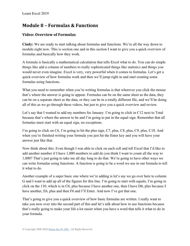# **Module 8 – Formulas & Functions**

## **Video: Overview of Formulas**

**Cindy:** We are ready to start talking about formulas and functions. We're all the way down to module eight now. This is section one and in this section I want to give you a quick overview of formulas and basically how they work.

A formula is basically a mathematical calculation that tells Excel what to do. You can do simple things like add a column of numbers to really sophisticated things like statistics and things you would never even imagine. Excel is very, very powerful when it comes to formulas. Let's get a quick overview of how formulas work and then we'll jump right in and start creating some formulas using functions.

What you need to remember when you're writing formulas is that wherever you click the mouse that's where the answer is going to appear. Formulas can be on the same sheet as the data, they can be on a separate sheet as the data, or they can be in a totally different file, and we'll be doing all of this as we go through these videos, but just to give you a quick overview and review.

Let's say that I wanted to add my numbers for January. I'm going to click in C12 next to Total because that's where the answer to be and I'm going to put in the equal sign. Remember that all formulas must start with an equal sign, no exceptions.

I'm going to click on C6, I'm going to hit the plus sign, C7, plus, C8, plus, C9, plus, C10. And when you're finished writing your formula you just hit the Enter key and you will have your answer just like that.

Now think about this. Even though I was able to click on each cell and tell Excel that I'd like to add another number if I have 1,000 numbers to add do you think I want to count all the way to 1,000? That's just going to take me all day long to do that. We're going to have other ways we can write formulas using functions. A function is going to be a word we use in our formula to tell it what to do.

Another example of a super basic one where we're adding is let's say we go over here to column G and I want to add up all of the figures for this line. I'm going to start with equals, I'm going to click on the 110, which is in C6, plus because I have another one, then I have D6, plus because I have another, E6, plus and then F6 and I'll Enter. And now I've got that one.

That's going to give you a quick overview of how basic formulas are written. I really want to take you now over into the second part of this and let's talk about how to use functions because that's really going to make your life a lot easier when you have a word that tells it what to do in your formula.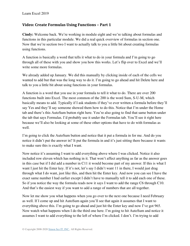## **Video: Create Formulas Using Functions – Part 1**

**Cindy:** Welcome back. We're working in module eight and we're talking about formulas and functions in this particular module. We did a real quick overview of formulas in section one. Now that we're section two I want to actually talk to you a little bit about creating formulas using functions.

A function is basically a word that tells it what to do in your formula and I'm going to go through all of these with you and show you how this works. Let's flip over to Excel and we'll write some more formulas.

We already added up January. We did this manually by clicking inside of each of the cells we wanted to add but that was the long way to do it. I'm going to go ahead and hit Delete here and talk to you a little bit about using functions in your formulas.

A function is a word that you use in your formula to tell it what to do. There are over 200 functions built into Excel. The most common of the 200 is the word Sum, S-U-M, which basically means to add. Typically if I ask students if they've ever written a formula before they'll say Yes and they'll say someone showed them how to do this. Notice that I'm under the Home tab and there's this AutoSum button right here. You're also going to find that same button under the tab that says Formulas. I'd probably use it under the Formulas tab. You'll see it right here because we'll also be looking at some of these other options that have to do with formulas as well.

I'm going to click the AutoSum button and notice that it put a formula in for me. And do you notice it didn't put the answer in? It put the formula in and it's just sitting there because it wants to make sure this is exactly what I want.

Now notice it's assuming I want to add everything above where I was clicked. Notice it also included row eleven which has nothing in it. That won't affect anything as far as the answer goes in this case but if I did add a number in C11 it would become part of my answer. If this is what I want I just hit the Enter key. If it's not, let's say I didn't want 11 in there, I would just drag through what I do want, just like this, and then hit the Enter key. And now you can see I have the exact same number I had earlier except I didn't have to manually tell it to add each one of these. So if you notice the way the formula reads now it says I want to add the range C6 through C10. And that's the easiest way if you want to add a range of numbers that are all together.

Now let me show you what happens when you go over to the next one because I need February as well. If I come up and hit AutoSum again you'll see that again it assumes that I want to everything above this. I'm going to go ahead and just hit the Enter key and now I've got 965. Now watch what happens when I do the third one here. I'm going to hit AutoSum and notice it assumes I want to add everything to the left of where I'm clicked. I don't. I'm trying to add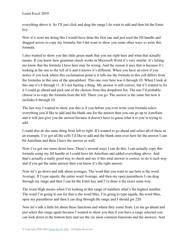everything above it. So I'll just click and drag the range I do want to add and then hit the Enter key.

Now if it were me doing this I would have done the first one and just used the fill handle and dragged across to copy my formula, but I did want to show you some other ways to write this formula.

I also wanted to show you this little green mark that you see right here and what that actually means. If you know how grammar check works in Microsoft Word it's very similar. It's letting me know that the formula I have here may be wrong. And the reason it says that is because it's looking at the one to the left of it and it knows it's different. When you have an error if you notice if you look where this exclamation point is it tells me the formula in this cell differs from the formulas in this area of the spreadsheet. This one over here was 6 through 10. When I look at this one it's 6 through 11. It's not hurting a thing. My answer is still correct, but if I wanted to fix it I could go ahead and pick one of the choices from this dropdown list. The one I'd probably choose is to copy the formula from the left. There you go. The answer is the same but now it includes 6 through 10.

The last way I wanted to show you this is if you before you ever write your formula select everything you'd like to add and the blank one for the answer then you can go up to AutoSum and it will just give you the answer because it doesn't have to guess what it is you're trying to add.

I could also do the same thing from left to right. If I wanted to go ahead and select all of these as an example, I've got all the cells I'd like to add and the blank ones over here for the answer I can hit AutoSum and there I have the answer as well.

Now I've got one more down here. There's several ways I can do this. I can actually copy this formula using my fill handle or I could have hit AutoSum and added everything above. And that's actually a really good way to check and see if this total answer is correct, to do it each way and if you get the same answer then you know it's the right answer.

Now let's go down and talk about averages. The word that you want to use here is the word Average. If I type equals, the entire word Average, and then my open parenthesis I can drag through my range and then I can hit the Enter key and I've done it the exact same way.

The word High means when I'm looking at this range of numbers what's the highest number. The word I'm going to use for that is the word Max. I'm going to type equals, the word Max, open my parenthesis and then I can drag through the range and I should get 220.

Now let's talk a little bit about these functions and where they come from. Let me go ahead and just select this range again because I wanted to show you that if you have a range selected you can look down at the bottom here and see the six most common functions and the answers. And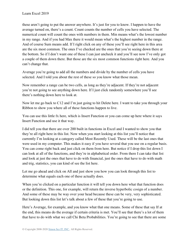these aren't going to put the answer anywhere. It's just for you to know. I happen to have the average turned on, there's a count. Count counts the number of cells you have selected. The numerical count will count the ones with numbers in them. Min means what's the lowest number in my range. And if you had Max there it would mean what's the highest number in the range. And of course Sum means add. If I right click on any of these you'll see right here in this area are the six most common. The ones I've checked are the ones that you're seeing down there at the bottom. So if I don't want one of these I can just uncheck it and you'll see now I've only got a couple of them down there. But those are the six most common functions right here. And you can't change that.

Average you're going to add all the numbers and divide by the number of cells you have selected. And I told you about the rest of these so you know what those mean.

Now remember a range can be two cells, as long as they're adjacent. If they're not adjacent you're not going to see anything down here. If I just click randomly somewhere you'll see there's nothing down here to look at.

Now let me go back to C12 and I'm just going to hit Delete here. I want to take you through your Ribbon to show you where all of these functions happen to live.

You can use this little fx here, which is Insert Function or you can come up here where it says Insert Function and use it that way.

I did tell you that there are over 200 built in functions in Excel and I wanted to show you that they're all right here in this list. Now when you start looking at this list you'll notice that currently I'm looking at a category called Most Recently Used. These will be the last ones that were used in my computer. This makes it easy if you have several that you use on a regular basis. You can come right back and just click on them from here. But notice if I drop this list down I can look at all of the functions, and they're in alphabetical order. From there I can take that list and look at just the ones that have to do with financial, just the ones that have to do with math and trig, statistics, you can kind of see the list here.

Let me go ahead and click on All and just show you how you can look through this list to determine what equals each one of these actually does.

When you're clicked on a particular function it will tell you down here what that function does or the definition. This one, for example, will return the inverse hyperbolic cosign of a number. And some of these may be way over your head because these can be very, very sophisticated. But looking down this list let's talk about a few of these that you're going to use.

Here's Average, for example, and you know what that one means. Some of these that say If at the end, this means do the average if certain criteria is met. You'll see that there's a lot of them that have to do with what we call Chi Beta Probabilities. You're going to see that there are some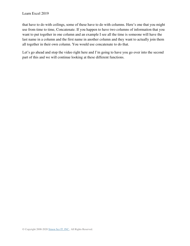that have to do with ceilings, some of these have to do with columns. Here's one that you might use from time to time, Concatenate. If you happen to have two columns of information that you want to put together in one column and an example I see all the time is someone will have the last name in a column and the first name in another column and they want to actually join them all together in their own column. You would use concatenate to do that.

Let's go ahead and stop the video right here and I'm going to have you go over into the second part of this and we will continue looking at these different functions.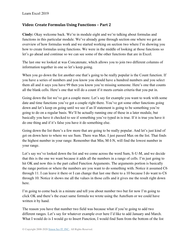## **Video: Create Formulas Using Functions – Part 2**

**Cindy:** Okay welcome back. We're in module eight and we're talking about formulas and functions in this particular module. We've already gone through section one where we got an overview of how formulas work and we started working on section two where I'm showing you how to create formulas using functions. We were in the middle of looking at those functions so let's go ahead and continue so we can see some of the other functions that are in Excel.

The last one we looked at was Concatenate, which allows you to join two different columns of information together in one so let's keep going.

When you go down the list another one that's going to be really popular is the Count function. If you have a series of numbers and you know you should have a hundred numbers and you select them all and it says you have 99 then you know you're missing someone. Here's one that counts all the blank cells. Here's one that will do a count if it meets certain criteria that you put in.

Going down the list we've got a couple more. Let's say for example you want to work with some date and time functions you've got a couple right there. You've got some other functions going down and let's keep on going until we see if an If statement is going to be something you're going to do on a regular basis. We'll be actually running one of these in a later module, but basically you have it checked to see if something you've typed in is true. If it is true you have it do one thing and if it's false you have it do something else.

Going down the list there's a few more that are going to be really popular. And let's just kind of get on down here to where we see Sum. There was Max. I just passed Max on the list. That finds the highest number in your range. Remember that Min, M-I-N, will find the lowest number in your range.

Let's say we've looked down the list and we come across the word Sum, S-U-M, and we decide that this is the one we want because it adds all the numbers in a range of cells. I'm just going to hit OK and now this is the part called Function Arguments. The arguments portion is basically the range portion or where the numbers are you want to do something with. Notice it assumed C6 through 11. I can leave it there or I can change that last one there to a 10 because I do want to C6 through 10. Notice it shows me all the values in those cells and it gives me the result right down here.

I'm going to come back in a minute and tell you about number two but for now I'm going to click OK and there's the exact same formula we wrote using the AutoSum or we could have written it by hand.

The reason you have that number two field was because what if you're going to add two different ranges. Let's say for whatever example over here I'd like to add January and March. What I would do is I would go to Insert Function, I would find Sum from the bottom of the list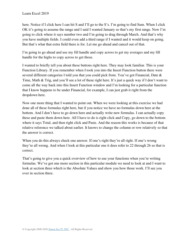here. Notice if I click here I can hit S and I'll go to the S's. I'm going to find Sum. When I click OK it's going to assume the range and I said I wanted January so that's my first range. Now I'm going to click where it says number two and I'm going to drag through March. And that's why you have multiple fields. I could even add a third range if I wanted and it would keep on going. But that's what that extra field there is for. Let me go ahead and cancel out of that.

I'm going to go ahead and use my fill handle and copy across to get my averages and my fill handle for the highs to copy across to get those.

I wanted to briefly tell you about these buttons right here. They may look familiar. This is your Function Library. If you remember when I took you into the Insert Function button there were several different categories I told you that you could pick from. You've got Financial, Date & Time, Math & Trig, and you'll see a lot of these right here. It's just a quick way if I don't want to come all the way back into this Insert Function window and I'm looking for a particular function that I know happens to be under Financial, for example, I can just grab it right from the dropdown here.

Now one more thing that I wanted to point out. When we were looking at this exercise we had done all of these formulas right here, but if you notice we have no formulas down here at the bottom. And I don't have to go down here and actually write new formulas. I can actually copy these and paste them down here. All I have to do is right click and Copy, go down to the bottom where it says Total, and then right click and Paste. And the reason this works is because of that relative reference we talked about earlier. It knows to change the column or row relatively so that the answer is correct.

When you do this always check one answer. If one's right they're all right. If one's wrong they're all wrong. And when I look at this particular one it does refer to 22 through 26 so that is correct.

That's going to give you a quick overview of how to use your functions when you're writing formulas. We've got one more section in this particular module we need to look at and I want to look at section three which is the Absolute Values and show you how those work. I'll see you over in section three.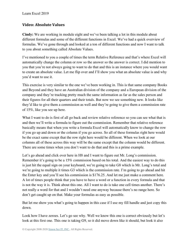## **Video: Absolute Values**

**Cindy:** We are working in module eight and we've been talking a lot in this module about different formulas and some of the different functions in Excel. We've had a quick overview of formulas. We've gone through and looked at a ton of different functions and now I want to talk to you about something called Absolute Values.

I've mentioned to you a couple of times the term Relative Reference and that's where Excel will automatically change the column or row so the answer so the answer is correct. I did mention to you that you're not always going to want to do that and this is an instance where you would want to create an absolute value. Let me flip over and I'll show you what an absolute value is and why you'd want to use it.

This exercise is very similar to the one we've been working in. This is that same company Books and Beyond and they have an Australian division of the company and a European division of the company and they're tracking pretty much the same information as far as the sales person and their figures for all their quarters and their totals. But now we see something new. It looks like they'd like to give them a commission as well and they're going to give them a commission rate of 15%, like you see up here.

What I want to do is first of all go back and review relative reference so you can see what that is and then we'll write a formula to figure out the commission. Remember that relative reference basically means that when you write a formula Excel will automatically know to change the row if you go up and down or the column if you go across. So all of these formulas right here would be the exact same except that the row right here would be different. When we look at our columns all of these across this way will be the same except that the column would be different. There are some times when you don't want to do that and this is a prime example.

Let's go ahead and click over here in H8 and I want to figure out Mr. Long's commission. Remember it's going to be a 15% commission based on his total. And the easiest way to do this is just hit the equal sign on your keyboard, we're going to take G8 which is Mr. Long's total and we're going to multiple it times G3 which is the commission rate. I'm going to go ahead and hit the Enter key and you'll see his commission is \$176.25. And let me just make a comment here. A lot of times people think that you have to have a word or a function in every formula and that is not the way it is. Think about this one. All I want to do is take one cell times another. There's not really a word for that and I wouldn't need one anyway because there's no range here. So don't get caught up on that. Make your formulas as easy as possible.

But let me show you what's going to happen in this case if I use my fill handle and just copy this down.

Look how I have zeroes. Let's go see why. Well we know this one is correct obviously but let's look at this first one. This one is taking G9, so it did move down like it should, but look it also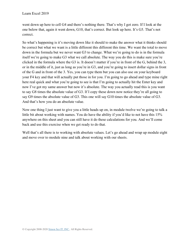went down up here to cell G4 and there's nothing there. That's why I got zero. If I look at the one below that, again it went down, G10, that's correct. But look up here. It's G5. That's not correct.

So what's happening is it's moving down like it should to make the answer what it thinks should be correct but what we want is a little different this different this time. We want the total to move down in the formula but we never want G3 to change. What we're going to do is in the formula itself we're going to make G3 what we call absolute. The way you do this is make sure you're clicked in the formula where the G3 is. It doesn't matter if you're in front of the G, behind the 3, or in the middle of it, just as long as you're in G3, and you're going to insert dollar signs in front of the G and in front of the 3. Yes, you can type them but you can also use on your keyboard your F4 key and that will actually put those in for you. I'm going to go ahead and type mine right here real quick and what you're going to see is that I'm going to actually hit the Enter key and now I've got my same answer but now it's absolute. The way you actually read this is you want to say G8 times the absolute value of G3. If I copy these down now notice they're all going to say G9 times the absolute value of G3. This one will say G10 times the absolute value of G3. And that's how you do an absolute value.

Now one thing I just want to give you a little heads up on, in module twelve we're going to talk a little bit about working with names. You do have the ability if you'd like to not have this 15% anywhere on this sheet and you can still have it do these calculations for you. And we'll come back and use this exercise when we get ready to do that.

Well that's all there is to working with absolute values. Let's go ahead and wrap up module eight and move over to module nine and talk about working with our sheets.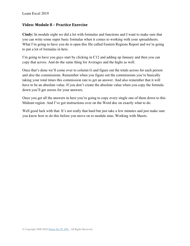#### **Video: Module 8 – Practice Exercise**

**Cindy:** In module eight we did a lot with formulas and functions and I want to make sure that you can write some super basic formulas when it comes to working with your spreadsheets. What I'm going to have you do is open this file called Eastern Regions Report and we're going to put a lot of formulas in here.

I'm going to have you guys start by clicking in C12 and adding up January and then you can copy that across. And do the same thing for Averages and the highs as well.

Once that's done we'll come over to column G and figure out the totals across for each person and also the commissions. Remember when you figure out the commissions you're basically taking your total times this commission rate to get an answer. And also remember that it will have to be an absolute value. If you don't create the absolute value when you copy the formula down you'll get zeroes for your answers.

Once you get all the answers in here you're going to copy every single one of them down to this Mideast region. And I've got instructions over on the Word doc on exactly what to do.

Well good luck with that. It's not really that hard but just take a few minutes and just make sure you know how to do this before you move on to module nine, Working with Sheets.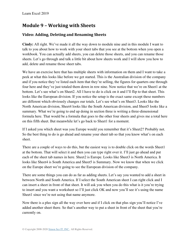# **Module 9 – Working with Sheets**

# **Video: Adding, Deleting and Renaming Sheets**

**Cindy:** All right. We've made it all the way down to module nine and in this module I want to talk to you about how to work with your sheet tabs that you see at the bottom when you open a workbook. You can actually add sheets, you can delete those sheets, and you can rename those sheets. Let's go through and talk a little bit about how sheets work and I will show you how to add, delete and rename those sheet tabs.

We have an exercise here that has multiple sheets with information on them and I want to take a peek at what this looks like before we get started. This is the Australian division of the company and if you notice they've listed each item that they're selling, the figures for quarters one through four here and they've just totaled them down in row nine. Now notice that we're on Sheet1 at the bottom. Let's see what's on Sheet2. All I have to do is click on it and I'll flip to that sheet. This looks like the European division. If you notice the setup is the exact same except these numbers are different which obviously changes our totals. Let's see what's on Sheet3. Looks like the North American division, Sheet4 looks like the South American division, and Sheet5 looks like a summary. What we're going to end up doing in section three is writing a three-dimensional formula here. That would be a formula that goes to the other four sheets and gives me a total here on this fifth sheet. But meanwhile let's go back to Sheet1 for a moment.

If I asked you which sheet was you Europe would you remember that it's Sheet2? Probably not. So the best thing to do is go ahead and rename your sheet tab so that you know what's on each sheet.

There are a couple of ways to do this, but the easiest way is to double click on the words Sheet1 at the bottom. That will select it and then you can type right over it. I'll just go ahead and put each of the sheet tab names in here. Sheet2 is Europe. Looks like Sheet3 is North America. It looks like Sheet4 is South America and Sheet5 is Summary. Now we know that when we click on the Europe sheet we're going to see the European division of the company.

There are some things you can do as far as adding sheets. Let's say you wanted to add a sheet in between North and South America. If I select the South American sheet I can right click and I can insert a sheet in front of that sheet. It will ask you when you do this what is it you're trying to insert and you want a worksheet so I'll just click OK and now you'll see it's using the name Sheet1 since we're not using that name anymore.

Now there is a plus sign all the way over here and if I click on that plus sign you'll notice I've added another sheet there. So that's another way to put a sheet in front of the sheet that you're currently on.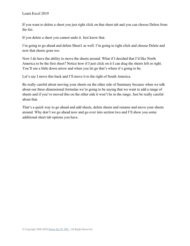If you want to delete a sheet you just right click on that sheet tab and you can choose Delete from the list.

If you delete a sheet you cannot undo it. Just know that.

I'm going to go ahead and delete Sheet1 as well. I'm going to right click and choose Delete and now that sheets gone too.

Now I do have the ability to move the sheets around. What if I decided that I'd like North America to be the first sheet? Notice how if I just click on it I can drag the sheets left or right. You'll see a little down arrow and when you let go that's where it's going to be.

Let's say I move this back and I'll move it to the right of South America.

Be really careful about moving your sheets on the other side of Summary because when we talk about our three-dimensional formulas we're going to be saying that we want to add a range of sheets and if you've moved this on the other side it won't be in the range. Just be really careful about that.

That's a quick way to go ahead and add sheets, delete sheets and rename and move your sheets around. Why don't we go ahead now and go over into section two and I'll show you some additional sheet tab options you have.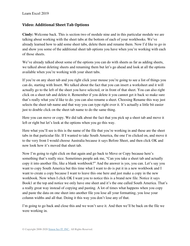## **Video: Additional Sheet Tab Options**

**Cindy:** Welcome back. This is section two of module nine and in this particular module we are talking about working with the sheet tabs at the bottom of each of your workbooks. We've already learned how to add some sheet tabs, delete them and rename them. Now I'd like to go in and show you some of the additional sheet tab options you have when you're working with each of those sheets.

We've already talked about some of the options you can do with sheets as far as adding sheets, we talked about deleting sheets and renaming them but let's go ahead and look at all the options available when you're working with your sheet tabs.

If you're on any sheet tab and you right click your mouse you're going to see a list of things you can do, starting with Insert. We talked about the fact that you can insert a worksheet and it will actually go to the left of the sheet you have selected, or in front of that sheet. You can also right click on a sheet tab and delete it. Remember if you delete it you cannot get it back so make sure that's really what you'd like to do. you can also rename a sheet. Choosing Rename this way just selects the sheet tab name and that way you can type right over it. It's actually a little bit easier just to double click on the sheet tab name to do the same thing.

Here you can move or copy. We did talk about the fact that you pick up a sheet tab and move it left or right but let's look at the options when you go this way.

Here what you'll see is this is the name of the file that you're working in and these are the sheet tabs in that particular file. If I wanted to take South America, the one I'm clicked on, and move it to the very front I would choose Australia because it says Before Sheet, and then click OK and now look how it's moved that sheet tab.

Now I'm going to right click on that again and go back to Move or Copy because here's something that's really nice. Sometimes people ask me, "Can you take a sheet tab and actually copy it into another file, like a blank workbook?" And the answer is yes, you can. Let's say you want to copy South America but this time what I want to do is put it in a new workbook and I want to create a copy because I want to leave this one here and just make a copy in the new workbook. Now when I click OK I want you to notice this is a brand new file. Notice it says Book1 at the top and notice we only have one sheet and it's the one called South America. That's a really great way instead of copying and pasting. A lot of times what happens when you copy and paste the data on one sheet into another file you lose all your formatting, you lose your column widths and all that. Doing it this way you don't lose any of that.

I'm going to go back and close this and we won't save it. And then we'll be back on the file we were working in.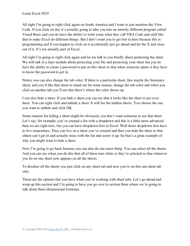All right I'm going to right click again on South America and I want to just mention the View Code. If you click on this it's actually going to take you into an entirely different program called Visual Basic and you do have the ability to write some what they call VBA Code and stuff like that to make Excel do different things. But I don't want you to get lost in here because this is programming and if you happen to click on it accidentally just go ahead and hit the X and close out of it. It's not actually part of Excel.

All right I'm going to right click again and let me talk to you briefly about protecting the sheet. We will talk in a later module about protecting your file and protecting your sheet but you do have the ability to create a password to put on this sheet so that when someone opens it they have to know the password to get in.

Notice you can also change the tab color. If there is a particular sheet, like maybe the Summary sheet, and you'd like that sheet to stand out for some reason, change the tab color and when you click on another tab you'll see that there's where the color shows up.

I can also hide a sheet. If you hide a sheet you can see that it looks like the sheet is not even there. You can right click and unhide a sheet. It will list the hidden sheets. You choose the one you want to unhide and click OK.

Some reasons for hiding a sheet might be obviously you don't want someone to see that sheet. Let's say, for example, you've created a list with a dropdown and this is a little more advanced than we are right now, but you can have dropdown lists in Excel. Well those dropdown lists have to live somewhere. They can live on a sheet you've created and then you hide the sheet so that others can't get in and actually mess with the list and screw it up. So that's a great example of why you might want to hide a sheet.

Now I'm going to go back because you can also do one more thing. You can select all the sheets. And you can see when you do this that all of these turn white or they're selected so that whatever you do on one sheet now appears on all the sheets.

To deselect all the sheets you just click on any sheet tab and now you're on this one sheet tab only.

Those are the options that you have when you're working with sheet tabs. Let's go ahead and wrap up this section and I'm going to have you go over to section three where we're going to talk about three-dimensional formulas.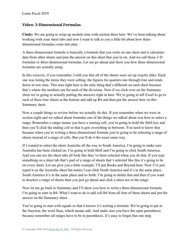### **Video: 3-Dimensional Formulas**

**Cindy:** We are going to wrap up module nine with section three here. We've been talking about working with your sheet tabs and now I want to talk to you a little bit about how threedimensional formulas come into play.

A three-dimensional formula is basically a formula that you write on one sheet and it calculates data from other sheets and puts the answer on this sheet that you're on. And we call those 3-D formulas or three-dimensional formulas. Let me go ahead and show you how three-dimensional formulas are actually setup.

In this exercise, if you remember, I told you that all of the sheets were set up exactly alike. Each one was listing the items they were selling, the figures for quarters one through four and totals down in row nine. This area right here is the only thing that's different on each sheet because that's where the numbers are for each of the divisions. Now if we click over on the Summary sheet we're going to actually putting the answers right in here. We're going to tell Excel to go to each of these four sheets at the bottom and add up B4 and then put the answer here on this Summary sheet.

Now a couple things to review before we actually do this. If you remember when we were in section eight and we talked about formulas one of the things we talked about was how to select a range. Remember a range means you have a starting cell, you're going to hold the Shift key and then you'll click the ending cell so that it gets everything in between. You need to know that because when you're writing a three-dimensional formula you're going to be selecting a range of sheets instead of a range of cells. But you'll do it the exact same way.

If I wanted to select the sheet Australia all the way to South America, I'm going to make sure Australia has been clicked on, I'm going to hold Shift and I'm going to click South America. And you can see the sheet tabs all look like they've been selected when you do that. If you type something on a sheet tab that's part of a range of sheets that's selected like this it's going to be on every sheet. Let me give you a little example. I'll put Books and Beyond here. Now I've just typed it on the Australia sheet but notice I can click North America and it's in the same place, South America it's in the same place and so forth. I'm going to delete that and then if you want to deselect a range of sheets then you just go ahead and click a sheet not in the range.

Now let me go back to Summary and I'll show you how to write a three-dimensional formula. I'm going to start in B4. What I want to do is add cell B4 from all four of these sheets and put the answer on the Summary sheet.

You're going to start with equals so that it knows it's writing a formula. We're going to put in the function, the word Sum, which means add. And make sure you have the open parenthesis because remember all ranges have to be in parenthesis. It's easy to forget that one step.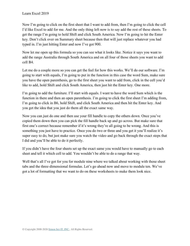Now I'm going to click on the first sheet that I want to add from, then I'm going to click the cell I'd like Excel to add for me. And the only thing left now is to say add the rest of these sheets. To get the range I'm going to hold Shift and click South America. Now I'm going to hit the Enter key. Don't click over on Summary sheet because then that will just replace whatever you had typed in. I'm just hitting Enter and now I've got 900.

Now let me open up this formula so you can see what it looks like. Notice it says you want to add the range Australia through South America and on all four of those sheets you want to add cell B4.

Let me do a couple more so you can get the feel for how this works. We'll do our software. I'm going to start with equals, I'm going to put in the function in this case the word Sum, make sure you have the open parenthesis, go to the first sheet you want to add from, click in the cell you'd like to add, hold Shift and click South America, then just hit the Enter key. One more.

I'm going to add the furniture. I'll start with equals. I want to have the word Sum which is the function in there and then an open parenthesis. I'm going to click the first sheet I'm adding from, I'm going to click in B6, hold Shift, and click South America and then hit the Enter key. And you get the idea that you just do them all the exact same way.

Now you can just do one and then use your fill handle to copy the others down. Once you've copied them down then you can pick the fill handle back up and go across. But make sure that first one's correct because remember if it's wrong they're all going to be wrong. And this is something you just have to practice. Once you do two or three and you get it you'll realize it's super easy to do, but just make sure you watch the video and go back through the exact steps that I did and you'll be able to do it perfectly.

If you didn't have the four sheets set up the exact same you would have to manually go to each sheet and tell it which cell to add. You wouldn't be able to do a range that way.

Well that's all I've got for you for module nine where we talked about working with those sheet tabs and the three-dimensional formulas. Let's go ahead now and move to module ten. We've got a lot of formatting that we want to do on these worksheets to make them look nice.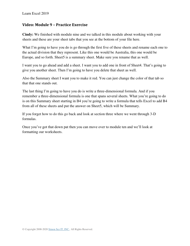## **Video: Module 9 – Practice Exercise**

**Cindy:** We finished with module nine and we talked in this module about working with your sheets and these are your sheet tabs that you see at the bottom of your file here.

What I'm going to have you do is go through the first five of these sheets and rename each one to the actual division that they represent. Like this one would be Australia, this one would be Europe, and so forth. Sheet5 is a summary sheet. Make sure you rename that as well.

I want you to go ahead and add a sheet. I want you to add one in front of Sheet4. That's going to give you another sheet. Then I'm going to have you delete that sheet as well.

Also the Summary sheet I want you to make it red. You can just change the color of that tab so that that one stands out.

The last thing I'm going to have you do is write a three-dimensional formula. And if you remember a three-dimensional formula is one that spans several sheets. What you're going to do is on this Summary sheet starting in B4 you're going to write a formula that tells Excel to add B4 from all of these sheets and put the answer on Sheet5, which will be Summary.

If you forget how to do this go back and look at section three where we went through 3-D formulas.

Once you've got that down pat then you can move over to module ten and we'll look at formatting our worksheets.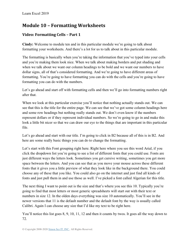# **Module 10 – Formatting Worksheets**

# **Video: Formatting Cells – Part 1**

**Cindy:** Welcome to module ten and in this particular module we're going to talk about formatting your worksheets. And there's a lot for us to talk about in this particular module.

The formatting is basically when you're taking the information that you've typed into your cells and you're making them look nice. When we talk about making borders and put shading and when we talk about we want our column headings to be bold and we want our numbers to have dollar signs, all of that's considered formatting. And we're going to have different areas of formatting. You're going to have formatting you can do with the cells and you're going to have formatting you can do with the numbers.

Let's go ahead and start off with formatting cells and then we'll go into formatting numbers right after that.

When we look at this particular exercise you'll notice that nothing actually stands out. We can see that this is the title for the entire page. We can see that we've got some column headings here and some row headings but nothing really stands out. We don't even know if the numbers represent dollars or if they represent individual numbers. So we're going to go in and make this look a little bit nicer so that we can draw our eye to the things that are important in this particular file.

Let's go ahead and start with our title. I'm going to click in B2 because all of this is in B2. And here are some really basic things you can do to change the formatting.

Let's start with this Font grouping right here. Right here where you see this word Arial, if you click the dropdown list you're going to see a list of different fonts that you could use. Fonts are just different ways the letters look. Sometimes you get cursive writing, sometimes you get more space between the letters. And you can see that as you move your mouse across these different fonts that it gives you a little preview of what they look like in the background there. You could choose any of these that you like. You could also go on the internet and just find all kinds of fonts and just pull them in and use those as well. I've picked a font called Algerian for this title.

The next thing I want to point out is the size and that's where you see this 10. Typically you're going to find that most letters or most generic spreadsheets will start out with their text or numbers in size 12. In the olden days everything was size 10 automatically. You'll see in the newer versions that 11 is the default number and the default font by the way is usually called Calibri. Again I can choose any size that I'd like my text to be right here.

You'll notice this list goes 8, 9, 10, 11, 12 and then it counts by twos. It goes all the way down to 72.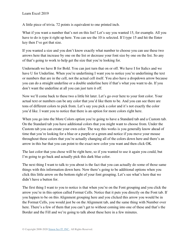A little piece of trivia. 72 points is equivalent to one printed inch.

What if you want a number that's not on this list? Let's say you wanted 15, for example. All you have to do is type it right up here. You can see the 10 is selected. If I type 15 and hit the Enter key then I've got that size.

If you wanted a size and you don't know exactly what number to choose you can use these two arrows here that increase by one on the list or decrease your font size by one on the list. So any of that's going to work to help get the size that you're looking for.

Underneath we have B for Bold. You can just turn that on or off. We have I for Italics and we have U for Underline. When you're underlining I want you to notice you're underlining the text or numbers that are in the cell, not the actual cell itself. You also have a dropdown arrow because you can do a straight underline or a double underline here if that's what you want to do. If you don't want the underline at all you can just turn it off.

Now we'll come back to these two a little bit later. Let's go over here to your font color. Your actual text or numbers can be any color that you'd like them to be. And you can see there are tons of different colors to pick from. Let's say you pick a color and it's not exactly the color you'd like. I want you to notice that there is an option for more colors right here.

When you go into the More Colors option you're going to have a Standard tab and a Custom tab. On the Standard tab you have additional colors that you might want to choose from. Under the Custom tab you can create your own color. The way this works is you generally know ahead of time that you're looking for a blue or a purple or a green and notice if you move your mouse throughout these colors that you're actually changing all of the colors down here and there's an arrow in this bar that you can point to the exact new color you want and then click OK.

The last color that you chose will be right here, so if you wanted to use it again you could, but I'm going to go back and actually pick this dark blue color.

The next thing I want to talk to you about is the fact that you can actually do some of those same things with this information down here. Now there's going to be additional options when you click this little arrow on the bottom right of your font grouping. Let's see what's here that we didn't have a button for.

The first thing I want to you to notice is that when you're on the Font grouping and you click the arrow you're in this option called Format Cells. Notice that it puts you directly on the Font tab. If you happen to be on this Alignment grouping here and you clicked this arrow you would be in the Format Cells, you would just be on the Alignment tab, and the same thing with Number over here. There's a few of them that you can't get to without coming into one of these and that's the Border and the Fill and we're going to talk about these here in a few minutes.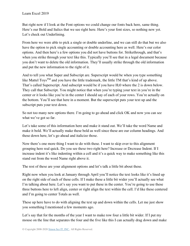But right now if I look at the Font options we could change our fonts back here, same thing. Here's our Bold and Italics that we see right here. Here's your font sizes, so nothing new yet. Let's check out Underlining.

From here we were able to pick a single or double underline, and we can still do that but we also have the option to pick single accounting or double accounting here as well. Here's our color options. And then here's a few options you did not have buttons for. Strikethrough, and that's when you strike through your text like this. Typically you'll see that in a legal document because you don't want to delete the old information. They'll usually strike through the old information and put the new information to the right of it.

And to tell you what Super and Subscript are. Superscript would be when you type something like Mattel Toys<sup>TM</sup> and you have the little trademark, the little TM that's kind of up above. That's called Superscript. And subscript would be if you have H<sub>2</sub>0 where the 2 is down below. They call that Subscript. You might notice that when you're typing your text in you're in the center or it looks like you're in the center I should say of each of your rows. You're actually on the bottom. You'll see that here in a moment. But the superscript puts your text up and the subscript puts your text down.

So not too many new options there. I'm going to go ahead and click OK and now you can see what we've got so far.

Let's take some of this information here and make it stand out. We'll take the word Name and make it bold. We'll actually make these bold as well since these are our column headings. And these down here, let's go ahead and italicize those.

Now there's one more thing I want to do with these. I want to skip over to this alignment grouping here real quick. Do you see these two right here? Increase or Decrease Indent. If I increase indent it's like indenting within a cell and it's a quick way to make something like this stand out from the word Name right above it.

The rest of these are your alignment options and let's talk a little bit about these.

Right now when you look at January through April you'll notice the text looks like it's lined up on the right side of each of these cells. If I make these a little bit wider you'll actually see what I'm talking about here. Let's say you want to put these in the center. You're going to use these three buttons here to left align, center or right align the text within the cell. I'd like these centered and I'm going to center Totals as well.

These up here have to do with aligning the text up and down within the cells. Let me just show you something I mentioned a few moments ago.

Let's say that for the months of the year I want to make row four a little bit wider. If I put my mouse on the line that separates the four and the five like this I can actually drag down and make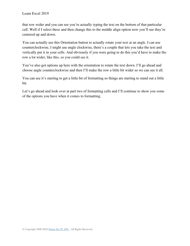that row wider and you can see you're actually typing the text on the bottom of that particular cell. Well if I select these and then change this to the middle align option now you'll see they're centered up and down.

You can actually use this Orientation button to actually rotate your text at an angle. I can use counterclockwise, I might use angle clockwise, there's a couple that lets you take the text and vertically put it in your cells. And obviously if you were going to do this you'd have to make the row a lot wider, like this, so you could see it.

You've also got options up here with the orientation to rotate the text down. I'll go ahead and choose angle counterclockwise and then I'll make the row a little bit wider so we can see it all.

You can see it's starting to get a little bit of formatting so things are starting to stand out a little bit.

Let's go ahead and look over at part two of formatting cells and I'll continue to show you some of the options you have when it comes to formatting.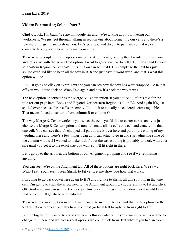## **Video: Formatting Cells – Part 2**

**Cindy:** Look, I'm back. We are in module ten and we're talking about formatting our worksheets. We just got through talking in section one about formatting our cells and there's a few more things I want to show you. Let's go ahead and dive into part two so that we can complete talking about how to format your cells.

There were a couple of more options under the Alignment grouping that I wanted to show you and let's start with the Wrap Text option. I want to go down here to cell B18. Books and Beyond Mideastern Region. All of that's in B18. You can see that C18 is empty so the text has just spilled over. I'd like to keep all the text in B18 and just have it word wrap, and that's what this option will do.

I'm just going to click on Wrap Text and you can see now the text has word wrapped. To take it off you would just click on Wrap Text again and now it's back the way it was.

The next option underneath is the Merge & Center option. If you notice all of this text for the title for our page here, Books and Beyond Northeastern Region, is all in B2. And again it's just spilled over because these cells are empty. I'd like it to actually be centered across my table. That means I need to center it from column B to column G.

The way Merge & Center works is you select the cells you'd like to center across and you just choose the Merge & Center option and now it's made all six cells one cell and centered in that one cell. You can see that it's chopped off part of the B over here and part of the ending of my wording there and there's a few things I can do. I can actually go in and start adjusting some of the column widths if I wanted to make it all fit but the easiest thing is probably to work with your size until you get it to the exact size you want so it'll fit right in there.

Let's go up to the arrow at the bottom of our Alignment grouping and see if we're missing anything.

You can see we're on the Alignment tab. All of these options are right back here. We saw a Wrap Text. You haven't seen Shrink to Fit yet. Let me show you how that works.

I'm going to go back down here again to B18 and I'd like to shrink all this so it fits in that one cell. I'm going to click the arrow next to the Alignment grouping, choose Shrink to Fit and click OK. And now you can see the text is super tiny because it has shrunk it down so it would fit in that one cell. I'll go ahead and undo that.

There was one more option in here I just wanted to mention to you and that is the option for the text direction. You can actually have your text go from left to right or from right to left.

But the big thing I wanted to show you here is this orientation. If you remember we were able to change it up here and we had several options we could pick from. But what if you had an exact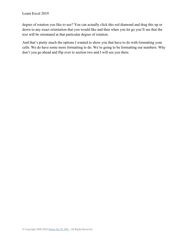degree of rotation you like to use? You can actually click this red diamond and drag this up or down to any exact orientation that you would like and then when you let go you'll see that the text will be orientated at that particular degree of rotation.

And that's pretty much the options I wanted to show you that have to do with formatting your cells. We do have some more formatting to do. We're going to be formatting our numbers. Why don't you go ahead and flip over to section two and I will see you there.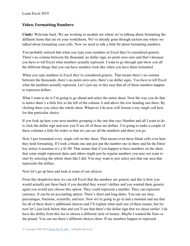## **Video: Formatting Numbers**

**Cindy:** Welcome back. We are working in module ten where we're talking about formatting the different items that are on your worksheets. We've already gone through section one where we talked about formatting your cells. Now we need to talk a little bit about formatting numbers.

You probably noticed that when you type your numbers in Excel they're considered generic. There's no comma between the thousand, no dollar sign, no point-zero-zero and that's because you have to tell Excel what numbers actually represent. I want to go through and show you all the different things that you can have numbers look like when you have them formatted.

When you type numbers in Excel they're considered generic. That means there's no comma between the thousands, there's no point-zero-zero, there's no dollar signs. You have to tell Excel what the numbers actually represent. Let's just say in this case that all of these numbers happen to represent dollars.

What I want to do is I'm going to go ahead and select the entire sheet. Now the way you do that is notice there's a little box to the left of the column A and above the row heading one there. By clicking there you select the whole sheet. Whatever I do now will format every single cell here for that particular choice.

If you look up here your next number grouping is the one that says Number and all I want to do is click the dollar sign and now you'll see all of these are dollars. I'm going to make a couple of these columns a little bit wider so that we can see all the numbers and there you go.

Now I just formatted every single cell on this sheet. That means even these blank cells over here they hold formatting. If I took a blank one and just put the number one in there and hit the Enter key notice it assumes it's a \$1.00. That means that if you happen to have numbers on the sheet that some might represent dates and others might just be regular numbers you may not want to start by selecting the whole sheet like I did. You may want to just select just that one area that represents the dollars.

Now let's go up here and look at some of our choices.

From this dropdown here we can tell Excel that the numbers are generic and this is how you would actually put these back if you decided they weren't dollars and you wanted them generic again you would just choose this option. They could represent a number. They can represent currency. It can be an accounting option. There's short and long dates. You can see time, percentages, fractions, scientific, and text. Now we're going to go in and a moment and see that for all of these there's additional choices and I'll explain what each one of these means, but for now let's just look below that and you'll see that there's the dollar sign that we chose earlier. I do have the ability from this list to choose a different style of money. Maybe I wanted the Euro or the pound. You can see there's different choices there. If my numbers happen to represent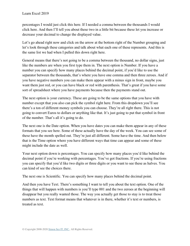percentages I would just click this here. If I needed a comma between the thousands I would click here. And then I'll tell you about these two in a little bit because these let you increase or decrease your decimal to change the displayed value.

Let's go ahead right now and click on the arrow at the bottom right of the Number grouping and let's look through these categories and talk about what each one of these represents. And this is the same list we had when I pulled this down right here.

General means that there's not going to be a comma between the thousand, no dollar signs, just like the numbers are when you first type them in. The next option is Number. If you have a number you can specify how many places behind the decimal point, if you'd like to use the separator between the thousands, that's where you have one comma and then three zeroes. And if you have negative numbers you can make them appear with a minus sign in front, maybe you want them just red, or you can have black or red with parenthesis. That's great if you have some sort of spreadsheet where you have payments because then the payments stand out.

The next option is your currency. These are going to be the same options that you have with number except that you also can pick the symbol right here. From this dropdown you'll see there's a ton of different money symbols you can choose. They're all right there. This is not going to convert Euros to dollars or anything like that. It's just going to put that symbol in front of the number. That's all it's going to do.

The next one is the Date option. When you have dates you can make them appear in any of these formats that you see here. Some of these actually have the day of the week. You can see some of these have the month spelled out. They're just all different. Some have the time. And then below that is the Time option where you have different ways that time can appear and some of these might include the date as well.

Your next option down is percentages. You can specify how many places you'd like behind the decimal point if you're working with percentages. You've got fractions. If you're using fractions you can specify that you'd like two digits or three digits or you want to see these as halves. You can kind of see the choices there.

The next one is Scientific. You can specify how many places behind the decimal point.

And then you have Text. There's something I want to tell you about the text option. One of the things that will happen with numbers is you'll type 001 and the two zeroes at the beginning will disappear but you really wanted those. The way you actually get those to stay is to treat those numbers as text. Text format means that whatever is in there, whether it's text or numbers, is treated as text.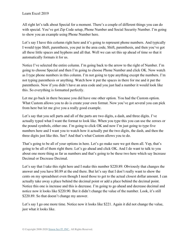All right let's talk about Special for a moment. There's a couple of different things you can do with special. You've got Zip Code setup, Phone Number and Social Security Number. I'm going to show you an example using Phone Number here.

Let's say I have this column right here and it's going to represent phone numbers. And typically I would type Shift, parenthesis, you put in the area code, Shift, parenthesis, and then you've got all these little spaces and hyphens and all that. Well we can set this up ahead of time so that it automatically formats it for us.

Notice I've selected the entire column. I'm going back to the arrow to the right of Number. I'm going to choose Special and then I'm going to choose Phone Number and click OK. Now watch as I type phone numbers in this column. I'm not going to type anything except the numbers. I'm not typing parenthesis or anything. Watch how it put the spaces in there for me and it put the parenthesis. Now if you didn't have an area code and you just had a number it would look like this. So everything is formatted perfectly.

Let me go back in there because you did have one other option. You had the Custom option. What Custom allows you to do is create your own format. Now you've got several you can pick from here but let me give you a really good example.

Let's say that you sell parts and all of the parts are two digits, a dash, and three digits. I've actually typed what I want the format to look like. When you type this you can use the zeroes or the pound symbols, either one. I'm going to click OK and now I'm just going to type five numbers here and I want you to watch how it actually put the two digits, the dash, and then the three digits just like this. See? And that's what Custom allows you to do.

That's going to be all of your options in here. Let's go make sure we got them all. Yep, that's going to be all of them right there. Let's go ahead and click OK. And I do want to talk to you about one more thing as far as numbers and that's going to be these two here which say Increase Decimal or Decrease Decimal.

Let's say that I take this right here and I make this number \$220.89. Obviously that changes the answer and you have \$0.89 at the end there. But let's say that I don't really want to show the cents on my spreadsheet even though I need those to get to the actual closest dollar amount. I can actually take away a place behind the decimal point or add a place behind the decimal point. Notice this one is increase and this is decrease. I'm going to go ahead and decrease decimal and notice now it looks like \$220.90. But it didn't change the value of the number. Look, it's still \$220.89. So that doesn't change my answer.

Let's say I go one more time. Notice now it looks like \$221. Again it did not change the value, just what it looks like.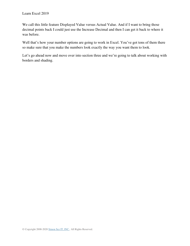We call this little feature Displayed Value versus Actual Value. And if I want to bring those decimal points back I could just use the Increase Decimal and then I can get it back to where it was before.

Well that's how your number options are going to work in Excel. You've got tons of them there so make sure that you make the numbers look exactly the way you want them to look.

Let's go ahead now and move over into section three and we're going to talk about working with borders and shading.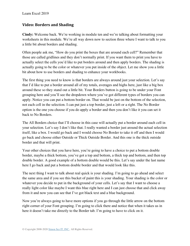## **Video: Borders and Shading**

**Cindy:** Welcome back. We're working in module ten and we're talking about formatting your worksheets in this module. We're all way down now to section three where I want to talk to you a little bit about borders and shading.

Often people ask me, "How do you print the boxes that are around each cell?" Remember that those are called gridlines and they don't normally print. If you want them to print you have to actually select the cells you'd like to put borders around and then apply borders. The shading is actually going to be the color or whatever you put inside of the object. Let me show you a little bit about how to use borders and shading to enhance your workbooks.

The first thing you need to know is that borders are always around just your selection. Let's say that I'd like to put a border around all of my totals, averages and highs here, just like a big box around these so they stand out a little bit. Your Borders button is going to be under your Font grouping here and you'll see the dropdown where you've got different types of borders you can apply. Notice you can put a bottom border on. That would be just on the bottom of the selection, not each cell in the selection. I can put just a top border, just a left or a right. The No Border option is the one you choose if you do apply a border and then you don't like it you can set it back to No Borders.

The All Borders choice that I'll choose in this case will actually put a border around each cell in your selection. Let's say I don't like that. I really wanted a border just around the actual selection itself, like a box. I would go back and I would choose No Border to take it off and then I would go back and choose either Outside or Thick Outside Border. And this one is the thick outside border and that will print.

Your other choices that you have here, you're going to have a choice to put a bottom double border, maybe a thick bottom, you've got a top and bottom, a thick top and bottom, and then top double border. A good example of a bottom double would be this. Let's say under the last name here I go back and put a bottom double border and that would look like this.

The next thing I want to talk about real quick is your shading. I'm going to go ahead and select the same area and if you see this bucket of paint this is your shading. Your shading is the color or whatever you decide to put in the background of your cells. Let's say that I want to choose a really light color like maybe I want this blue right here and I can just choose that and click away from it and now you can see that I've got black text and a blue background.

Now you're always going to have more options if you go through the little arrow on the bottom right corner of your Font grouping. I'm going to click there and notice that when it takes us in here it doesn't take me directly to the Border tab. I'm going to have to click on it.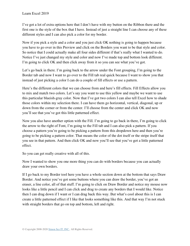I've got a lot of extra options here that I don't have with my button on the Ribbon there and the first one is the style of the box that I have. Instead of just a straight line I can choose any of these different styles and I can also pick a color for my border.

Now if you pick a style and a color and you just click OK nothing is going to happen because you have to go over in this Preview and click on the Borders you want to be that style and color. So notice that I could actually make all four sides different if that's really what I wanted to do. Notice I've just changed my style and color and now I've made top and bottom look different. I'm going to click OK and then click away from it so you can see what you've got.

Let's go back in there. I'm going back to the arrow under the Font grouping, I'm going to the Border tab and now I want to go over to the Fill tab real quick because I want to show you that instead of just picking a color I can do a couple of fill effects or use a pattern.

Here's the different colors that we can choose from and here's fill effects. Fill Effects allow you to mix and match two colors. Let's say you want to use this yellow and maybe we want to use this particular blueish-gray color. Now that I've got two colors I can also tell Excel how to shade those colors within my selection there. I can have them go horizontal, vertical, diagonal, up or down from the corner or from the center. I'll choose from the center and click OK and now you'll see that you've got this little patterned effect.

Now you also have another option with the Fill. I'm going to go back in there, I'm going to click the arrow to the right of Font, I'm going to the Fill tab and I can also pick a pattern. If you choose a pattern you're going to be picking a pattern from this dropdown here and then you're going to be picking a pattern color. That means the color of the dot itself or the stripe itself that you see in that pattern. And then click OK and now you'll see that you've got a little patterned effect.

So you can get really creative with all of this.

Now I wanted to show you one more thing you can do with borders because you can actually draw your own borders.

If I go back to my Border tool here you have a whole section down at the bottom that says Draw Border. And notice you've got some buttons where you can draw the border, you've got an eraser, a line color, all of that stuff. I'm going to click on Draw Border and notice my mouse now looks like a little pencil and I can click and drag to create any borders that I would like. Notice then I can drag down if I want or I can drag back this way. But what's cool about this is I can create a little patterned effect if I like that looks something like this. And that way I'm not stuck with straight borders that go on top and bottom, left and right.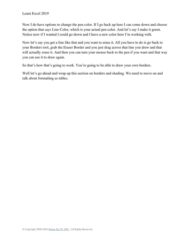Now I do have options to change the pen color. If I go back up here I can come down and choose the option that says Line Color, which is your actual pen color. And let's say I make it green. Notice now if I wanted I could go down and I have a new color here I'm working with.

Now let's say you get a line like that and you want to erase it. All you have to do is go back to your Borders tool, grab the Eraser Border and you just drag across that line you drew and that will actually erase it. And then you can turn your mouse back to the pen if you want and that way you can use it to draw again.

So that's how that's going to work. You're going to be able to draw your own borders.

Well let's go ahead and wrap up this section on borders and shading. We need to move on and talk about formatting as tables.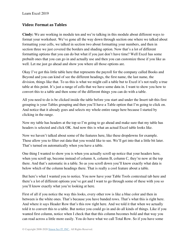## **Video: Format as Tables**

**Cindy:** We are working in module ten and we're talking in this module about different ways to format your worksheet. We've gone all the way down through section one where we talked about formatting your cells, we talked in section two about formatting your numbers, and then in section three we just covered the borders and shading option. Now that's a lot of different formatting options that you can do but what if you just don't have time? Well Excel has some prebuilt ones that you can go in and actually use and then you can customize those if you like as well. Let me just go ahead and show you where all those options are.

Okay I've got this little table here that represents the payroll for the company called Books and Beyond and you can kind of see the different headings, the first name, the last name, the division, things like that. To us this is what we might call a table but to Excel it's not really a true table at this point. It's just a range of cells that we have some data in. I want to show you how to convert this to a table and then some of the different things you can do with a table.

All you need to do is be clicked inside the table before you start and under the Insert tab this first grouping is your Tables grouping and then you'll have a Table option that I'm going to click on. And notice that it already goes and selects my whole entire range here because I started by clicking in the range.

Now my table has headers at the top so I'm going to go ahead and make sure that my table has headers is selected and click OK. And now this is what an actual Excel table looks like.

Now we haven't talked about some of the features here, like these dropdowns for example. These allow you to filter out data that you would like to see. We'll get into that a little bit later. That's turned on automatically when you have a table.

One thing I wanted to show you is when you actually scroll up notice that your headers here, when you scroll up, become instead of column A, column B, column C, they're now at the top there. And that's automatic in a table. So as you scroll down you'll know exactly what data is below which of the column headings there. That is really a cool feature about a table.

But here's what I wanted you to notice. You now have your Table Tools contextual tab here and there's a lot of different options you've got and I want to go through some of these with you so you'll know exactly what you're looking at here.

First of all if you notice the way this looks, every other row is like a blue color and then in between is the white ones. That's because you have banded rows. That's what this is right here. And where it says Header Row that's this row right here. And we told it that when we actually told it to convert this to a table. But notice you could go in and do all kinds of things. Like if you wanted first column, notice when I check that that this column becomes bold and that way you can read across a little more easily. You do have what we call Total Row. So if you have some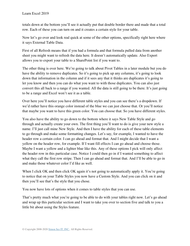totals down at the bottom you'll see it actually put that double border there and made that a total row. Each of these you can turn on and it creates a certain style for your table.

Now let's go over and look real quick at some of the other options, specifically right here where it says External Table Data.

First of all Refresh means that if you had a formula and that formula pulled data from another sheet you might want to refresh the data here. It doesn't automatically update. Also Export allows you to export your table to a SharePoint list if you want to.

The other thing is over here. We're going to talk about Pivot Tables in a later module but you do have the ability to remove duplicates. So it's going to pick up any columns, it's going to look down that information in the column and if it sees any that it thinks are duplicates it's going to let you know and then you can do what you want to with those duplicates. You can also just convert this all back to a range if you wanted. All the data is still going to be there. It's just going to be a range and Excel won't see it as a table.

Over here you'll notice you have different table styles and you can see there's a dropdown. If we'd rather have this orange color instead of the blue we can just choose that. Or you'll notice that maybe you want to have this green color. You can choose that. So you have different styles.

You also have the ability to go down to the bottom where it says New Table Style and go through and actually create your own. The first thing you'll want to do is give your new style a name. I'll just call mine New Style. And then I have the ability for each of these table elements to go through and make some formatting changes. Let's say, for example, I wanted to have the header row a certain color. I can go ahead and format that. And I might decide that I want a yellow on the header row, for example. If I want fill effects I can go ahead and choose those. Maybe I want a yellow and a lighter blue like this. Any of these options I pick will only affect the header row in this particular case. Notice I could then go in if I wanted something to affect what they call the first row stripe. Then I can go ahead and format that. And I'll be able to go in and make those whatever color I'd like as well.

When I click OK and then click OK again it's not going to automatically apply it. You're going to notice that on your Table Styles you now have a Custom Style. And you can click on it and then you'll see that's the style that you chose.

You now have lots of options when it comes to table styles that you can use.

That's pretty much what you're going to be able to do with your tables right now. Let's go ahead and wrap up this particular section and I want to take you over to section five and talk to you a little bit about using the Styles feature.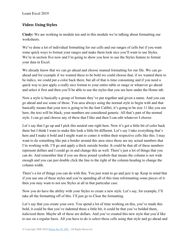## **Video: Using Styles**

**Cindy:** We are working in module ten and in this module we're talking about formatting our worksheets.

We've done a lot of individual formatting for our cells and our ranges of cells but if you want some quick ways to format your ranges and make them look nice you'll want to use Styles. We're in section five now and I'm going to show you how to use the Styles feature to format your data in Excel.

We already know that we can go ahead and choose manual formatting for our file. We can go ahead and for example if we wanted these to be bold we could choose that, if we wanted them to be italics, we could put a color back there, but all of that is time consuming and if you need a quick way to just apply a really nice format to your entire table or range or whatever go ahead and select it first and then you'll be able to use the styles that you see here under the Home tab.

Now a style is basically a group of formats they've put together and given a name. And you can go ahead and use some of those. You area always using the normal style to begin with and that basically means that your text is going to be the font Calibri, it's going to be size 11 like you see here, the text will be black, your numbers are considered generic. All that's part of the normal style. I can go and choose any of these that I like and then I can edit whatever I choose.

Let's say that I go up and I pick this neutral one right here. Now it's got a little bit of color back there but I think I want to make this look a little bit different. Let's say I take everything that's here and I make it bold and I might want to center it within their respective cells like this. I may want to do something like put a border around this area since those are my actual numbers that I'm working with. I'll go and apply a thick outside border. It could be that all of these numbers represent dollars and I could go in and change this as well. There's just a lot of things that you can do. And remember that if you see these pound symbols that means the column is not wide enough and you can just double click the line to the right of the column heading to change the column width.

There's a lot of things you can do with this. You just want to go and jazz it up. Keep in mind that if you use one of these styles and you're spending all of this time reformatting some pieces of it then you may want to not use Styles at all in that particular case.

Now you do have the ability with your Styles to create a new style. Let's say, for example, I'll take all the formatting off of this. I'll just go to Clear the formatting.

Let's say that you create your own. You spend a lot of time working on this, you've made this bold, it could be that you've indented these a little bit, it could be that you've bolded them, italicized them. Maybe all of these are dollars. And you've created this new style that you'd like to use on a regular basis. All you have to do is select those cells using that style and go ahead and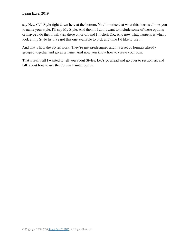say New Cell Style right down here at the bottom. You'll notice that what this does is allows you to name your style. I'll say My Style. And then if I don't want to include some of these options or maybe I do then I will turn these on or off and I'll click OK. And now what happens is when I look at my Style list I've got this one available to pick any time I'd like to use it.

And that's how the Styles work. They're just predesigned and it's a set of formats already grouped together and given a name. And now you know how to create your own.

That's really all I wanted to tell you about Styles. Let's go ahead and go over to section six and talk about how to use the Format Painter option.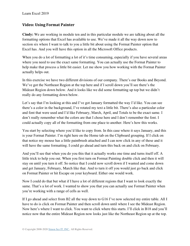## **Video: Using Format Painter**

**Cindy:** We are working in module ten and in this particular module we are talking about all the formatting options that Excel has available to use. We've made it all the way down now to section six where I want to talk to you a little bit about using the Format Painter option that Excel has. And you will have this option in all the Microsoft Office products.

When you do a lot of formatting a lot of it's time consuming, especially if you have several areas where you need to use the exact same formatting. You can actually use the Format Painter to help make that process a little bit easier. Let me show you how working with the Format Painter actually helps out.

In this exercise we have two different divisions of our company. There's our Books and Beyond. We've got the Northeast Region at the top here and if I scroll down you'll see there's the Mideast Region down below. And it looks like we did some formatting up top but we didn't really do any formatting down below.

Let's say that I'm looking at this and I've got January formatted the way I'd like. You can see there's a color in the background, I've rotated my text a little bit. There's also a particular color and font that were used and I'd like February, March, April, and Totals to be the exact same. I don't really remember what the colors are that I chose here and I don't remember the font. I could actually copy all of the formatting from one place to another. Here's how this works.

You start by selecting where you'd like to copy from. In this case where it says January, and this is your Format Painter. I'm right here on the Home tab on the Clipboard grouping. If I click on that notice my mouse has a little paintbrush attached and I can now click in any of these and it will have the same formatting. I could go ahead and turn this back on and click on February.

And you'll see that when you do you this that it actually works one time and turns itself off. A little trick to help you out. When you first turn on Format Painting double click and then it will stay on until you turn it off. So notice that I could now scroll down if I wanted and come down and get January, February, March like that. And to turn it off you would just go back and click on Format Painter or hit Escape on your keyboard. Either one would work.

Now I could do that but what if I have a lot of different regions that I want to look exactly the same. That's a lot of work. I wanted to show you that you can actually use Format Painter when you're working with a range of cells as well.

If I go ahead and select from B2 all the way down to G16 I've now selected my entire table. All I have to do is click on Format Painter and then scroll down until where I see the Mideast Region. Now here's where I want to click. You want to click where this starts. I'll click in B18 and you'll notice now that the entire Mideast Region now looks just like the Northeast Region up at the top.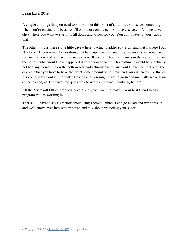A couple of things that you need to know about this. First of all don't try to select something when you're pasting this because it'll only work on the cells you have selected. As long as you click where you want to start it'll fill down and across for you. You don't have to worry about that.

The other thing is there's one little caveat here. I actually added row eight and that's where I put Newberry. If you remember us doing that back up in section one, that means that we now have five names here and we have five names here. If you only had four names in the top and five on the bottom what would have happened is when you copied the formatting it would have actually not had any formatting on the bottom row and actually every row would have been off one. The caveat is that you have to have the exact same amount of columns and rows when you do this or it's going to turn out a little funky looking and you might have to go in and manually make some of those changes. But that's the quick way to use your Format Painter right here.

All the Microsoft Office products have it and you'll want to make it your best friend in any program you're working in.

That's all I have to say right now about using Format Painter. Let's go ahead and wrap this up and we'll move over into section seven and talk about protecting your sheets.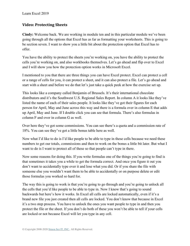Learn Excel 2019

### **Video: Protecting Sheets**

**Cindy:** Welcome back. We are working in module ten and in this particular module we've been going through all the options that Excel has as far as formatting your worksheets. This is going to be section seven. I want to show you a little bit about the protection option that Excel has to offer.

You have the ability to protect the sheets you're working on, you have the ability to protect the cells you're working on, and also workbooks themselves. Let's go ahead and flip over to Excel and I will show you how the protection option works in Microsoft Excel.

I mentioned to you that there are three things you can have Excel protect. Excel can protect a cell or a range of cells for you, it can protect a sheet, and it can also protect a file. Let's go ahead and start with a sheet and before we do that let's just take a quick peek at how the exercise set up.

This looks like a company called Benjamin of Brussels. It's their international chocolate distributors and it's the Southwest U.S. Regional Sales Report. In column A it looks like they've listed the name of each of their sales people. It looks like they've got their figures for each person for April, May and June across this way and there is a formula over in column E that adds up April, May and June. If I double click you can see that formula. There's also formulas in column F and over in column G as well.

Over here they've got some commissions. You can see there's a quota and a commission rate of 18%. You can see they've got a little bonus table here as well.

Now what I'd like to do is I'd like people to be able to type in these cells because we need these numbers to get our totals, commissions and then to work on the bonus a little bit later. But what I want to do is I want to protect all of these so that people can't type in there.

Now some reasons for doing this. If you write formulas one of the things you're going to find is that sometimes it takes you a while to get the formula correct. And once you figure it out you don't want to accidentally type over it and lose what you did. Or if you share the file with someone else you wouldn't want them to be able to accidentally or on purpose delete or edit those formulas you worked so hard for.

The way this is going to work is that you're going to go through and you're going to unlock all the cells that you'd like people to be able to type in. Now I know that's going to sound backwards but here's how it works. In Excel all cells are locked automatically, even if it's a brand new file you just created then all cells are locked. You don't know that because in Excel it's a two step process. You have to unlock the ones you want people to type in and then you protect the file or the sheet. If you don't do both of these you won't be able to tell if your cells are locked or not because Excel will let you type in any cell.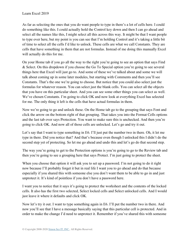As far as selecting the ones that you do want people to type in there's a lot of cells here. I could do something like this. I could actually hold the Control key down and then I can go ahead and select all the names like this, I might select all this across this way. It might be that I want people to type over here, but my point is you can see that I'm holding Control and it's taking a little bit of time to select all the cells I'd like to unlock. These cells are what we call Constants. They are cells that have something in them that are not formulas. Instead of me doing this manually Excel will actually do this for me.

On your Home tab if you go all the way to the right you're going to see an option that says Find & Select. On this dropdown if you choose the Go To Special option you're going to see several things here that Excel will just go to. And some of these we've talked about and some we will talk about coming up in some later modules, but starting with Comments and then you'll see Constants. That's the one we're going to choose. But notice that you could also select just the formulas for whatever reason. You can select just the blank cells. You can select all the objects that you have on this particular sheet. And you can see some other things you can select as well. We've chosen Constants. I'm going to click OK and now look at everything Excel has selected for me. The only thing it left is the cells that have actual formulas in them.

Now we're going to go and unlock these. On the Home tab go to the grouping that says Font and click the arrow on the bottom right of that grouping. That takes you into the Format Cells options and the last tab over says Protection. You want to make sure this is unchecked. And then you're going to click OK. And now all of those cells are unlocked. Let's go and try it out.

Let's say that I want to type something in E6. I'll just put the number two in there. Oh, it let me type in there. Did you notice that? And that's because even though I unlocked this I didn't do the second step yet of protecting. So let me go ahead and undo this and let's go do that second step.

The way you're going to get to the Protection options is you're going to go to the Review tab and then you're going to see a grouping here that says Protect. I'm just going to protect the sheet.

When you choose that option it will ask you to set up a password. I'm not going to do it right now because I'll probably forget it but in real life I want you to go ahead and do that because especially if you shared this with someone else you don't want them to be able to go in and just unprotect it. It's kind of pointless if you don't have a password here.

I want you to notice that it says it's going to protect the worksheet and the contents of the locked cells. It also has the first two selected, Select locked cells and Select unlocked cells. And I would just leave it where it defaults and click OK.

Now let's try it out. I want to type something again in E6. I'll put the number two in there. And now you'll see that I have a message basically saying that this particular cell is protected. And in order to make the change I'd need to unprotect it. Remember if you've shared this with someone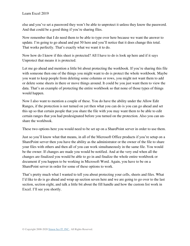else and you've set a password they won't be able to unprotect it unless they know the password. And that could be a good thing if you're sharing files.

Now remember that I do need them to be able to type over here because we want the answer to update. I'm going to go ahead and put 50 here and you'll notice that it does change this total. That works perfectly. That's exactly what we want it to do.

Now how do I know if this sheet is protected? All I have to do is look up here and if it says Unprotect that means it is protected.

Let me go ahead and mention a little bit about protecting the workbook. If you're sharing this file with someone then one of the things you might want to do is protect the whole workbook. Maybe you want to keep people from deleting some columns or rows, you might not want them to add or delete some sheets in there or move things around. It could be you just want them to view the data. That's an example of protecting the entire workbook so that none of those types of things would happen.

Now I also want to mention a couple of these. You do have the ability under the Allow Edit Ranges, if the protection is not turned on yet then what you can do is you can go ahead and set this up so that certain people that you share the file with you may want them to be able to edit certain ranges that you had predesignated before you turned on the protection. Also you can unshare the workbook.

These two options here you would need to be set up on a SharePoint server in order to use them.

Just so you'll know what that means, in all of the Microsoft Office products if you're setup on a SharePoint server then you have the ability as the administrator or the owner of the file to share your files with others and then all of you can work simultaneously in the same file. You would be the owner. If changes are made you would be notified. And at the very end when all the changes are finalized you would be able to go in and finalize the whole entire workbook or document if you happen to be working in Microsoft Word. Again, you have to be on a SharePoint server in order for some of these options to work.

That's pretty much what I wanted to tell you about protecting your cells, sheets and files. What I'd like to do is go ahead and wrap up section seven here and we are going to go over to the last section, section eight, and talk a little bit about the fill handle and how the custom list work in Excel. I'll see you shortly.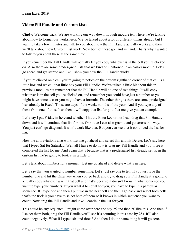### **Video: Fill Handle and Custom Lists**

**Cindy:** Welcome back. We are working our way down through module ten where we're talking about how to format our worksheets. We've talked about a lot of different things already but I want to take a few minutes and talk to you about how the Fill Handle actually works and then we'll talk about how Custom List work. Now both of these go hand in hand. That's why I wanted to talk to you about these at the same time.

If you remember the Fill Handle will actually let you copy whatever is in the cell you're clicked on. Also there are some predesigned lists that we kind of mentioned in an earlier module. Let's go ahead and get started and I will show you how the Fill Handle works.

If you're clicked on a cell you're going to notice on the bottom righthand corner of that cell is a little box and we call that little box your Fill Handle. We've talked a little bit about this in previous modules but remember that the Fill Handle will do one of two things. It will copy whatever is in the cell you're clicked on, and remember you could have just a number or you might have some text or you might have a formula. The other thing is there are some predesigned lists already in Excel. Those are days of the week, months of the year. And if you type any of those from one of those lists then it will copy that list for you. Let me give you an example.

Let's say I put Friday in here and whether I hit the Enter key or not I can drag that Fill Handle down and it will continue that list for me. Or notice I can also grab it and go across this way. You just can't go diagonal. It won't work like that. But you can see that it continued the list for me.

Now the abbreviations also work. Let me go ahead and select this and hit Delete. Let's say here that I typed Sat for Saturday. Well all I have to do now is drag my Fill Handle and you'll see it completed the list for me. And again that's because that is a predesigned list already set up in the custom list we're going to look at in a little bit.

Let's talk about numbers for a moment. Let me go ahead and delete what's in here.

Let's say that you wanted to number something. Let's just say one to ten. If you just type the number one and hit the Enter key when you go back and try to drag your Fill Handle it's going to actually copy whatever was in that cell and that's because it doesn't know in what sequence you want to type your numbers. If you want it to count for you, you have to type in a particular sequence. If I type one and then I put two in the next cell and then I go back and select both cells, that's the trick is you have to select both of them so it knows in which sequence you want to count. Now drag the Fill Handle and it will continue the list for you.

This could be any sequence. I might come over here and say 25 and then 50 like this. And then if I select them both, drag the Fill Handle you'll see it's counting in this case by 25s. It'll also count negatively. What if I typed six and three? And then I do the same thing it will go zero,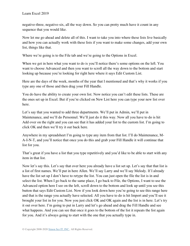negative-three, negative-six, all the way down. So you can pretty much have it count in any sequence that you would like.

Now let me go ahead and delete all of this. I want to take you into where these lists live basically and how you can actually work with these lists if you want to make some changes, add your own list, things like that.

Where we're going is to the File tab and we're going to the Options in Excel.

When we get in here what you want to do is you'll notice there's some options on the left. You want to choose Advanced and then you want to scroll all the way down to the bottom and start looking up because you're looking for right here where it says Edit Custom List.

Here are the days of the week, months of the year that I mentioned and that's why it works if you type any one of those and then drag your Fill Handle.

You do have the ability to create your own list. Now notice you can't edit these lists. These are the ones set up in Excel. But if you're clicked on New List here you can type your new list over here.

Let's say that you wanted to add three departments. We'll put in Admin, we'll put in Maintenance, and we'll do Personnel. We'll just do it this way. Now all you have to do is hit Add over on the right and you can see that it has added your list to the custom list. I'm going to click OK and then we'll try it out back here.

Anywhere in my spreadsheet I'm going to type any item from that list. I'll do Maintenance, M-A-I-N-T, and you'll notice that once you do this and grab your Fill Handle it will continue that list for you.

That's great if you have a list that you type repetitively and you'd like to be able to start with any item in that list.

Now let's say this. Let's say that over here you already have a list set up. Let's say that that list is a list of first names. We'll put in here Allen. We'll say Larry and we'll say Melody. If I already have the list set up I don't have to retype the list. You can just open the file the list is in and select the list. When I go back to the same place, I go back to File, the Options, I want to use the Advanced option here I see on the left, scroll down to the bottom and look up until you see this button that says Edit Custom List. Now if you look down here you're going to see this range here and that is the range you actually have selected. All you have to do is hit Import and you'll see it brought your list in for you. Now you just click OK and OK again and the list is in here. Let's try it out over here. I'm going to put in Larry and let's go ahead and drag the Fill Handle and see what happens. And you can see that once it goes to the bottom of the list it repeats the list again for you. And it's always going to start with the one that you actually type in.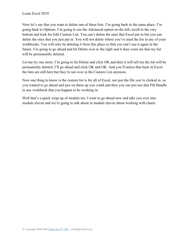Now let's say that you want to delete one of these lists. I'm going back to the same place. I'm going back to Options. I'm going to use the Advanced option on the left, scroll to the very bottom and look for Edit Custom List. You can't delete the ones that Excel put in but you can delete the ones that you just put in. You will not delete where you've used the list in any of your workbooks. You will only be deleting it from this place so that you can't use it again in the future. I'm going to go ahead and hit Delete over to the right and it does warn me that my list will be permanently deleted.

Let me try one more. I'm going to hit Delete and click OK and then it will tell me the list will be permanently deleted. I'll go ahead and click OK and OK. And you'll notice that back in Excel the lists are still here but they're not over in the Custom List anymore.

Now one thing to know is the custom list is for all of Excel, not just the file you're clicked in. so you wanted to go ahead and just set them up you could and then you can just use that Fill Handle in any workbook that you happen to be working in.

Well that's a quick wrap up of module ten. I want to go ahead now and take you over into module eleven and we're going to talk about in module eleven about working with charts.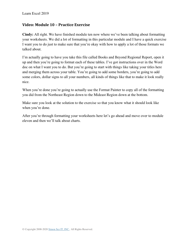### **Video: Module 10 – Practice Exercise**

**Cindy:** All right. We have finished module ten now where we've been talking about formatting your worksheets. We did a lot of formatting in this particular module and I have a quick exercise I want you to do just to make sure that you're okay with how to apply a lot of those formats we talked about.

I'm actually going to have you take this file called Books and Beyond Regional Report, open it up and then you're going to format each of these tables. I've got instructions over in the Word doc on what I want you to do. But you're going to start with things like taking your titles here and merging them across your table. You're going to add some borders, you're going to add some colors, dollar signs to all your numbers, all kinds of things like that to make it look really nice.

When you're done you're going to actually use the Format Painter to copy all of the formatting you did from the Northeast Region down to the Mideast Region down at the bottom.

Make sure you look at the solution to the exercise so that you know what it should look like when you're done.

After you're through formatting your worksheets here let's go ahead and move over to module eleven and then we'll talk about charts.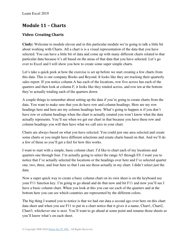## **Module 11 – Charts**

## **Video: Creating Charts**

**Cindy:** Welcome to module eleven and in this particular module we're going to talk a little bit about working with Charts. All a chart is is a visual representation of the data that you have selected. You can have a little bit of data and come up with many different charts related to that particular data because it's all based on the areas of that data that you have selected. Let's go over to Excel and I will show you how to create some super simple charts.

Let's take a quick peek at how the exercise is set up before we start creating a few charts from this data. This is our company Books and Beyond. It looks like they are tracking their quarterly sales report. If you notice column A has each of the locations, row five across has each of the quarters and then look at column F, it looks like they totaled across, and row ten at the bottom they're actually totaling each of the quarters down.

A couple things to remember about setting up the data if you're going to create charts from the data. You want to make sure that you do have row and column headings. Here are my row headings here and here are my column headings here. What's going to happen is if you don't have row or column headings when the chart is actually created you won't know what the data actually represents. You'll see when we get our chart in that because you have these row and column headings you will then have what we call axis in your chart.

Charts are always based on what you have selected. You could just one area selected and create some charts or you might have different selections and create charts based on that. And we'll do a few of those so you'll get a feel for how this works.

I want to start with a simple, basic column chart. I'd like to chart each of my locations and quarters one through four. I'm actually going to select the range A5 through E9. I want you to notice that I've actually selected the locations or the headings over here and I've selected quarter one, two, three, and four here so that I can see those actually in my chart. I didn't select just the data.

Now a super quick way to create a basic column chart on its own sheet is on the keyboard use your F11 function key. I'm going to go ahead and do that now and hit F11 and now you'll see I have a basic column chart. When you look at this you can see each of the quarters and at the bottom here you can see which countries are represented by the different colors.

The big thing I wanted you to notice is that we had our data a second ago over here on this chart data sheet and when you use F11 to put in a chart notice that it gives it a name, Chart1, Chart2, Chart3, whichever one is next. You'll want to go ahead at some point and rename those sheets so you'll know what's on each sheet.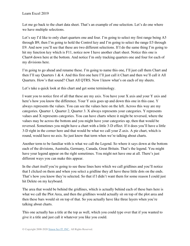Let me go back to the chart data sheet. That's an example of one selection. Let's do one where we have multiple selections.

Let's say I'd like to only chart quarters one and four. I'm going to select my first range being A5 through B9, then I'm going to hold the Control key and I'm going to select the range E5 through E9. And now you'll see that these are two different selections. If I do the same thing I'm going to hit my function key which is F11, notice now I have another chart sheet. Notice this one is Chart4 down here at the bottom. And notice I'm only tracking quarters one and four for each of my divisions here.

I'm going to go ahead and rename these. I'm going to name this one, I'll just call them Chart and then I'll say Quarters 1 & 4. And this first one here I'll just call it Chart and then we'll call it All Quarters. How's that sound? Chart All QTRS. Now I know what's on each of my sheets.

Let's take a quick look at this chart and get some terminology.

I want you to notice first of all that these are my axis. You have your X axis and your Y axis and here's how you know the difference. Your Y axis goes up and down this one in this case. Y always represents the values. You can see the values here on the left. Across this way are my categories. Quarter 1, Quarter 2, Quarter 3. X always represents your categories. Y represents values and X represents categories. You can have charts where it might be reversed, where the values may be across the bottom and you might have your categories up, then that would be reversed. Sometimes you might have a chart with a little 3-D effect. If it does you'll have a little 3-D right in the corner here and that would be what we call your Z axis. A pie chart, which is round, would have no axis. So just know that term when we're talking about charts.

Another term to be familiar with is what we call the Legend. So where it says down at the bottom each of the divisions, Australia, Germany, Canada, Great Britain. That's the legend. You might have your legend appear on the right sometimes. You might not have one at all. There's just different ways you can make this appear.

In the chart itself you're going to see these lines here which we call gridlines and you'll notice that I clicked on them and when you select a gridline they all have these little dots on the ends. That's how you know they're selected. So that if I didn't want them for some reason I could just hit Delete on my keyboard.

The area that would be behind the gridlines, which is actually behind each of these bars here is what we call the Plot Area, and then the gridlines would actually sit on top of the plot area and then these bars would sit on top of that. So you actually have like three layers when you're talking about charts.

This one actually has a title at the top as well, which you could type over that if you wanted to give it a title and just call it whatever you like you could.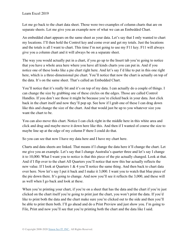Let me go back to the chart data sheet. Those were two examples of column charts that are on separate sheets. Let me give you an example now of what we can an Embedded Chart.

An embedded chart appears on the same sheet as your data. Let's say that I only wanted to chart my locations. I'll then hold the Control key and come over and get my totals. Just the locations and the totals is all I want to chart. This time I'm not going to use my F11 key. F11 will always give you a column chart and it will always be on a separate sheet.

The way you would actually put in a chart, if you go up to the Insert tab you're going to notice that you have a whole area here where you have all kinds charts you can put in. And if you notice one of these looks like a pie chart right here. And let's say I'd like to put in this one right here, which is a three-dimensional pie chart. You'll notice that now the chart is actually on top of the data. It's on the same sheet. That's called an Embedded Chart.

You'll notice that it's really bit and it's on top of my data. I can actually do a couple of things. I can change the size by grabbing one of these circles on the edges. Those are called Control Handles. If you don't see those it might be because you're clicked back in your data. Just click back in the chart itself and now they'll pop up. See how if I grab one of these I can drag down like this and change the size of the chart. And that would just be up to you whatever size you want the chart to be.

You can also move this chart. Notice I can click right in the middle here in this white area and click and drag and maybe move it down here like this. And then if I wanted of course the size to maybe line up at the edge of my column F there I could do that.

So you can see that now I have my data here and I have my chart here.

Charts and data sheets are linked. That means if I change the data here it'll change the chart. Let me give you an example. Let's say that I change Australia's quarter three and let's say I change it to 10,000. What I want you to notice is that this piece of the pie actually changed. Look at that. And if I flip over to the chart All Quarters you'll notice that now this bar actually reflects the new value. If I look at Quarters 1 & 4 you'll notice the same thing. And then back to chart data over here. Now let's say I put it back and I make it 3,000. I want you to watch that blue piece of the pie down there. It's going to change. And now you'll see it reflects the 3,000, and these will as well when I go back and look at these.

When you're printing your chart, if you're on a sheet that has the data and the chart if you're just clicked on the chart itself you're going to print just the chart, you won't print the data. If you'd like to print both the data and the chart make sure you're clicked out to the side and then you'll be able to print them both. I'll go ahead and do a Print Preview and just show you. I'm going to File, Print and now you'll see that you're printing both the chart and the data like I said.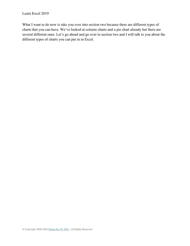What I want to do now is take you over into section two because there are different types of charts that you can have. We've looked at column charts and a pie chart already but there are several different ones. Let's go ahead and go over to section two and I will talk to you about the different types of charts you can put in in Excel.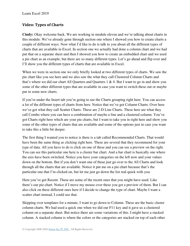### **Video: Types of Charts**

**Cindy:** Okay welcome back. We are working in module eleven and we're talking about charts in this module. We've already gone through section one where I showed you how to create charts a couple of different ways. Now what I'd like to do is talk to you about all the different types of charts that are available in Excel. In section one we actually had done a column chart and we had put that on a separate sheet and then I showed you how to create an embedded chart and we used a pie chart as an example, but there are so many different types. Let's go ahead and flip over and I'll show you the different types of charts that are available in Excel.

When we were in section one we only briefly looked at two different types of charts. We saw the pie chart like you see here and we also saw the what they call Clustered Column Charts and that's where we did our chart All Quarters and Quarters 1 & 4. But I want to go in and show you some of the other different types that are available in case you want to switch these out or maybe put in some new charts.

If you're under the Insert tab you're going to see the Charts grouping right here. You can access a lot of the different types of charts from here. Notice that we've got Column Charts. Over here we've got what they call Scatter Charts. These are 2-D Line Charts. These here are what they call Combo where you can have a combination of maybe a line and a clustered column. You've got Charts right here which are your pie charts, but I want to take you in right here and show you some of the other types of charts that are available and some of the options just in case you want to take this a little bit deeper.

The first thing I wanted you to notice is there is a tab called Recommended Charts. That would have been the same thing as clicking right here. These are several that they recommend for your type of data. All you have to do is click on one of these and you can see a preview on the right. You can see this particular one here is a cluster bar chart. And a bar chart is basically one where the axis have been switched. Notice you have your categories on the left now and your values down on the bottom. But if you don't want one of these just go over to the All Charts and look through all the charts that are available. Notice it put me on a pie chart because that's the particular one that I'm clicked on, but let me just go down the list real quick with you.

Here you've got Recent. These are some of the recent ones that you might have used. Like there's our pie chart. Notice if I move my mouse over these you get a preview of them. But I can also click on these different ones here if I decide to change the type of chart. Maybe I want a scatter chart instead, I could use that.

Skipping over templates for a minute, I want to go down to Column. These are the basic cluster column charts. We had used a quick one when we did our F11 key and it gave us a clustered column on a separate sheet. But notice there are some variations of this. I might have a stacked column. A stacked column is where the colors or the categories are stacked on top of each other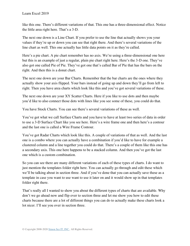like this one. There's different variations of that. This one has a three-dimensional effect. Notice the little area right here. That's a 3-D.

The next one down is a Line Chart. If you prefer to use the line that actually shows you your values if they're up or down you can see that right there. And there's several variations of the line chart as well. This one actually has little data points on it as they're called.

Here's a pie chart. A pie chart remember has no axis. We're using a three-dimensional one here but this is an example of just a regular, plain pie chart right here. Here's the 3-D one. They've also got one called Pie of Pie. They've got one that's called Bar of Pie that has the bars on the right. And then this is a donut chart.

The next one down are your Bar Charts. Remember that the bar charts are the ones where they actually show your axis flipped. Your bars instead of going up and down they'll go from left to right. Then you have area charts which look like this and you've got several variations of these.

The next one down are your XY Scatter Charts. Here if you like to use dots and then maybe you'd like to also connect those dots with lines like you see some of these, you could do that.

You have Stock Charts. You can see there's several variations of these as well.

You've got what we call Surface Charts and you have to have at least two series of data in order to use a 3-D Surface Chart like you see here. Here's a wire frame one and then here's a contour and the last one is called a Wire Frame Contour.

You've got Radar Charts which look like this. A couple of variations of that as well. And the last one is a combo where you can actually have a combination if you'd like to have for example a clustered column and a line together you could do that. There's a couple of them like this one has a secondary axis. This one here happens to be a stacked column. And then you've got the last one which is a custom combination.

So you can see there are many different variations of each of these types of charts. I do want to just mention the templates folder right here. You can actually go through and edit these which we'll be talking about in section three. And if you've done that you can actually save these as a template in case you want to use want to use it later on and it would show up in that templates folder right there.

That's really all I wanted to show you about the different types of charts that are available. Why don't we go ahead now and flip over to section three and let me show you how to edit these charts because there are a lot of different things you can do to actually make these charts look a lot nicer. I'll see you over in section three.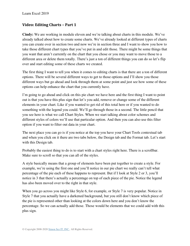### **Video: Editing Charts – Part 1**

**Cindy:** We are working in module eleven and we're talking about charts in this module. We've already talked about how to create some charts. We've already looked at different types of charts you can create over in section two and now we're in section three and I want to show you how to take those different chart types that you've put in and edit those. There might be some things that you want that aren't currently on the chart that you chose or you may want to move those to a different area or delete them totally. There's just a ton of different things you can do so let's flip over and start editing some of these charts we created.

The first thing I want to tell you when it comes to editing charts is that there are a ton of different options. There will be several different ways to get to those options and I'll show you those different ways but go ahead and look through them at some point and just see how some of these options can help enhance the chart that you currently have.

I'm going to go ahead and click on this pie chart we have here and the first thing I want to point out is that you have this plus sign that let's you add, remove or change some of the different elements in your chart. Like if you wanted to get rid of this total here or if you wanted to do something with the legend you could. We'll go through those in a second. The little pencil that you see here is what we call Chart Styles. When we start talking about color schemes and different styles of colors we'll use that particular option. And then you can also use this filter option if you want to filter out data in your chart.

The next place you can go is if you notice at the top you have your Chart Tools contextual tab and when you click on it there are two tabs below, the Design tab and the Format tab. Let's start with this Design tab.

Probably the easiest thing to do is to start with a chart styles right here. There is a scrollbar. Make sure to scroll so that you can all of the styles.

A style basically means that a group of elements have been put together to create a style. For example, we're using the first one and you'll notice in our pie chart we really can't tell what percentage of the pie each of these happens to represent. But if I look at Style 2 or 3, you'll notice in 3 that there's actually a percentage on top of each piece of the pie. Notice the legend has also been moved over to the right in that style.

When you go across you might like Style 6, for example, or Style 7 is very popular. Notice in Style 7 that you actually have a darkened background, but you still don't know which piece of the pie is represented other than looking at the colors down here and you don't know the percentage. So we can actually add those. Those would be elements that we could add with this plus sign.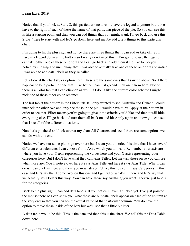Notice that if you look at Style 8, this particular one doesn't have the legend anymore but it does have to the right of each of these the name of that particular piece of the pie. So you can see this is like a starting point and then you can add things that you might want. I'll go back and use this Style 7 here to start with and let's go down here and maybe add a few things to this particular chart.

I'm going to hit the plus sign and notice there are three things that I can add or take off. So I have my legend down at the bottom so I really don't need this if I'm going to use the legend. I can take either one of these on or off and I can go back and add them if I'd like to. So you'll notice by clicking and unclicking that I was able to actually take one of these on or off and notice I was able to add data labels as they're called.

Let's look at the chart styles option here. These are the same ones that I saw up above. So if there happens to be a particular one that I like better I can just go and click on it from here. Notice there is a Color tab that I can click on as well. If I don't like the current color scheme I might pick one of these other color schemes.

The last tab at the bottom is the Filters tab. If I only wanted to see Australia and Canada I could uncheck the other two and only see those in the pie. I would have to hit Apply at the bottom in order to see that. Filter means you're going to give it the criteria you'd like and then it will hide everything else. I'll go back and turn them all back on and hit Apply again and now you can see that I see all of the different locations.

Now let's go ahead and look over at my chart All Quarters and see if there are some options we can do with this one.

Notice we have our same plus sign over here but I want you to notice this time that I have several different chart elements I can choose from. Axis, which you do want. Remember your axis are where you have your Y axis representing the values here and your X axis representing your categories here. But I don't have what they call Axis Titles. Let me turn those on so you can see what those are. You'll notice over here it says Axis Title and here it says Axis Title. What I can do is I can click in there and then type in whatever I'd like this to say. I'll say Categories in this case and let's say that I come over on this one and I get rid of what's in there and let's say that we actually say Dollars this way. You can have those say anything you want. They're just labels for the categories.

Back to the plus sign. I can add data labels. If you notice I haven't clicked yet. I've just pointed the mouse there so I can show you what these are but data labels appear on each of the column at the very end so that you can see the actual value of that particular column. You do have the option to move those inside of the bars but we'll see that a little bit later.

A data table would be this. This is the data and then this is the chart. We call this the Data Table down here.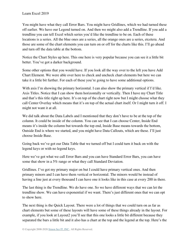You might have what they call Error Bars. You might have Gridlines, which we had turned these off earlier. We have our Legend turned on. And then we might also add a Trendline. If you add a trendline you can tell Excel which series you'd like the trendline to be on. Each of these locations is a series. All the blue ones are a series, all the orange ones are a series, etcetera. And those are some of the chart elements you can turn on or off for the charts like this. I'll go ahead and turn off the data table at the bottom.

Notice the Chart Styles up here. This one here is very popular because you can see it a little bit better. You've got a darker background.

Some other options that you would have. If you look all the way over to the left you have Add Chart Element. We were able over here to check and uncheck chart elements but here we can take it a little bit further. For each of these you're going to have some additional options.

With axis I'm showing the primary horizontal. I can also show the primary vertical if I'd like. Axis Titles. Notice that I can show them horizontally or vertically. Then I have my Chart Title and that's this title right up here. It's on top of the chart right now but I might choose what they call Center Overlay which means that it's on top of the actual chart itself. Or I might turn it off. I might not want it at all.

We did talk about the Data Labels and I mentioned that they don't have to be at the top of the column. It could be inside of the column. You can see that I can choose Center, Inside End means it's inside the column but towards the top end, Inside Base means towards the bottom, Outside End is where we started, and you might have Data Callouts, which are these. I'll just choose Inside Base.

Going back we've got our Data Table that we turned off but I could turn it back on with the legend keys or with no legend keys.

Here we've got what we call Error Bars and you can have Standard Error Bars, you can have some that show in a 5% range or what they call Standard Deviation.

Gridlines. I've got my primary major on but I could have primary vertical ones. And then primary minors and I can have them vertical or horizontal. The minors would be instead of having a line just at every thousand I can have one it looks like in this case at every 200 in there.

The last thing is the Trendline. We do have one. So we have different ways that we can let the trendline show. We can have exponential if we want. There's just different ones that we can opt to show here.

The next thing is the Quick Layout. There were a lot of things that we could turn on as far as chart elements but some of these layouts will have some of these things already in the layout. For example, if you look at Layout2 you'll see that this one looks a little bit different because they separated the bars a little bit and it also has a chart at the top and the legend at the top. Here's the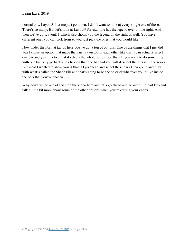normal one, Layout3. Let me just go down. I don't want to look at every single one of these. There's so many. But let's look at Layout9 for example has the legend over on the right. And then we've got Layout11 which also shows you the legend on the right as well. You have different ones you can pick from so you just pick the ones that you would like.

Now under the Format tab up here you've got a ton of options. One of the things that I just did was I chose an option that made the bars lay on top of each other like this. I can actually select one bar and you'll notice that it selects the whole series. See that? If you want to do something with one bar only go back and click on that one bar and you will deselect the others in the series. But what I wanted to show you is that if I go ahead and select these bars I can go up and play with what's called the Shape Fill and that's going to be the color or whatever you'd like inside the bars that you've chosen.

Why don't we go ahead and stop the video here and let's go ahead and go over into part two and talk a little bit more about some of the other options when you're editing your charts.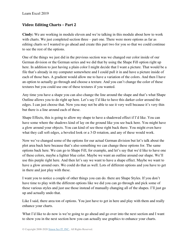### **Video: Editing Charts – Part 2**

**Cindy:** We are working in module eleven and we're talking in this module about how to work with charts. We just completed section three – part one. There were more options as far as editing charts so I wanted to go ahead and create this part two for you so that we could continue to see the rest of the options.

One of the things we just did in the previous section was we changed our color inside of our German division or the German series and we did that by using the Shape Fill option right up here. In addition to just having a plain color I might decide that I want a picture. That would be a file that's already in my computer somewhere and I could pull it in and have a picture inside of each of those bars. A gradient would allow me to have a variation of the colors. And then I have an option to actually go through and choose a texture. And you can't change the color of these textures but you could use one of these textures if you wanted.

Any time you have a shape you can also change the line around the shape and that's what Shape Outline allows you to do right up here. Let's say I'd like to have this darker color around the edges. I can just choose that. Now you may not be able to see it very well because it's very thin but there is a line around each of these.

Shape Effects, this is going to allow my shape to have a shadowed effect if I'd like. You can have some where the shadows kind of lay on the ground like you see back here. You might have a glow around your objects. You can kind of see those right back there. You might even have what they call soft edges, a beveled look or a 3-D rotation, and any of these would work.

Now we've changed some of the options for our actual German division but let's talk about the plot area back here because that's also something we can change these options for. The same options back here. We can go to Shape Fill, for example, and let's say that we'd like to have one of these colors, maybe a lighter blue color. Maybe we want an outline around our shape. We'll use this purple right here. And then let's say we want to have a shape effect. Maybe we want to have a glow around ours. We could do that as well. Lots of different options and you have to get in there and just play with these.

I want you to notice a couple of other things you can do. there are Shape Styles. If you don't have time to play with the different options like we did you can go through and pick some of these various styles and just use those instead of manually changing all of the shapes. I'll just go up and actually undo that.

Like I said, there area ton of options. You just have to get in here and play with them and really enhance your charts.

What I'd like to do now is we're going to go ahead and go over into the next section and I want to show you in the next section how you can actually use graphics to enhance your charts.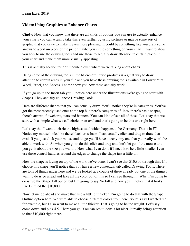### **Video: Using Graphics to Enhance Charts**

**Cindy:** Now that you know that there are all kinds of options you can use to actually enhance your charts you can actually take this even further by using pictures or maybe some sort of graphic that you draw to make it even more pleasing. It could be something like you draw some arrows to a certain piece of the pie or maybe you circle something on your chart. I want to show you how to use the drawing tools and use those to actually draw attention to certain places in your chart and make them more visually appealing.

This is actually section four of module eleven where we're talking about charts.

Using some of the drawing tools in the Microsoft Office products is a great way to draw attention to certain areas in your file and you have these drawing tools available in PowerPoint, Word, Excel, and Access. Let me show you how these actually work.

If you go up to the Insert tab you'll notice here under the Illustrations we're going to start with Shapes. They actually call these Drawing Tools.

Here are different shapes that you can actually draw. You'll notice they're in categories. You've got the most recently used ones at the top but there's categories of lines, there's basic shapes, there's arrows, flowcharts, stars and banners. You can kind of see all of these. Let's say that we start with a simple what we call circle or an oval and that's going to be this one right here.

Let's say that I want to circle the highest total which happens to be Germany. That's in F7. Notice my mouse looks like these black crosshairs. I can actually click and drag to draw that oval. If you just click your mouse and let go you'll have a teeny tiny one that you really won't be able to work with. So when you go to do this click and drag and don't let go of the mouse until you get it about the size you want it. Now what I can do is if I need it to be a little smaller I can use these control handles around the edges to change the shape just a little bit.

Now the shape is laying on top of the work we've done. I can't see that \$10,800 through this. If I choose this shape you'll notice that you have a new contextual tab called Drawing Tools. There are tons of things under here and we've looked at a couple of these already but one of the things I want to do is go ahead and take all the color out of this so I can see through it. What I'm going to do is use the Shape Fill option but I'm going to say No Fill and now you'll notice that it looks like I circled the \$10,800.

Now let me go ahead and make that line a little bit thicker. I'm going to do that with the Shape Outline option here. We were able to choose different colors from here. So let's say I wanted red, for example, but I also want to make a little thicker. That's going to be the weight. Let's say I come down and pick 4.5. There you go. You can see it looks a lot nicer. It really brings attention to that \$10,800 right there.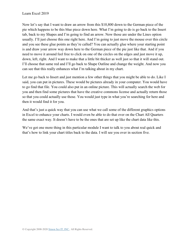Now let's say that I want to draw an arrow from this \$10,800 down to the German piece of the pie which happens to be this blue piece down here. What I'm going to do is go back to the Insert tab, back to my Shapes and I'm going to find an arrow. Now those are under the Lines option usually. I'll just choose this one right here. And I'm going to just move the mouse over this circle and you see these glue points as they're called? You can actually glue where your starting point is and draw your arrow way down here to the German piece of the pie just like that. And if you need to move it around feel free to click on one of the circles on the edges and just move it up, down, left, right. And I want to make that a little bit thicker as well just so that it will stand out. I'll choose that same red and I'll go back to Shape Outline and change the weight. And now you can see that this really enhances what I'm talking about in my chart.

Let me go back to Insert and just mention a few other things that you might be able to do. Like I said, you can put in pictures. These would be pictures already in your computer. You would have to go find that file. You could also put in an online picture. This will actually search the web for you and then find some pictures that have the creative commons license and actually return those so that you could actually use those. You would just type in what you're searching for here and then it would find it for you.

And that's just a quick way that you can use what we call some of the different graphics options in Excel to enhance your charts. I would even be able to do that over on the Chart All Quarters the same exact way. It doesn't have to be the ones that are set up like the chart data like this.

We've got one more thing in this particular module I want to talk to you about real quick and that's how to link your chart titles back to the data. I will see you over in section five.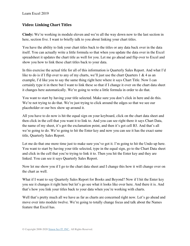### **Video: Linking Chart Titles**

**Cindy:** We're working in module eleven and we're all the way down now to the last section in here, section five. I want to briefly talk to you about linking your chart titles.

You have the ability to link your chart titles back to the titles or any data back over in the data itself. You can actually write a little formula so that when you update the data over in the Excel spreadsheet it updates the chart title as well for you. Let me go ahead and flip over to Excel and show you how to link these chart titles back to your data.

In this exercise the actual title for all of this information is Quarterly Sales Report. And what I'd like to do is if I flip over to any of my charts, we'll just use the chart Quarters 1 & 4 as an example, I'd like you to say the same thing right here where it says Chart Title. Now I can certainly type it in there but I want to link these so that if I change it over on the chart data sheet it changes here automatically. We're going to write a little formula in order to do that.

You want to start by having your title selected. Make sure you don't click in here and do this. We're not trying to do that. We're just trying to click around the edges so that we see our placeholder or our box show up around it.

All you have to do now is hit the equal sign on your keyboard, click on the chart data sheet and then click in the cell that you want it to link to. And you can see right there it says Chart Data, the name of my sheet, it's got the exclamation point, and then it's got cell B3. And that's all we're going to do. We're going to hit the Enter key and now you can see it has the exact same title, Quarterly Sales Report.

Let me do that one more time just to make sure you've got it. I'm going to hit the Undo up here. You want to start by having your title selected, type in the equal sign, go to the Chart Data sheet and click in the cell that you're trying to link it to. Then you hit the Enter key and they are linked. You can see it says Quarterly Sales Report.

Now let me show you if I go to the chart data sheet and I change this how it will change over on the chart as well.

What if I want to say Quarterly Sales Report for Books and Beyond? Now if I hit the Enter key you see it changes it right here but let's go see what it looks like over here. And there it is. And that's how you link your titles back to your data when you're working with charts.

Well that's pretty much all we have as far as charts are concerned right now. Let's go ahead and move over into module twelve. We're going to totally change focus and talk about the Names feature that Excel has.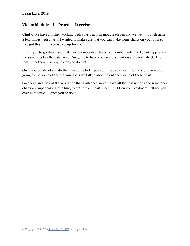### **Video: Module 11 – Practice Exercise**

**Cindy:** We have finished working with charts now in module eleven and we went through quite a few things with charts. I wanted to make sure that you can make some charts on your own so I've got this little exercise set up for you.

I want you to go ahead and make some embedded charts. Remember embedded charts appear on the same sheet as the data. Also I'm going to have you create a chart on a separate sheet. And remember there was a quick way to do that.

Once you go ahead and do that I'm going to let you edit these charts a little bit and then we're going to use some of the drawing tools we talked about to enhance some of these charts.

Go ahead and look at the Word doc that's attached so you have all the instructions and remember charts are super easy. Little hint, to put in your chart sheet hit F11 on your keyboard. I'll see you over in module 12 once you're done.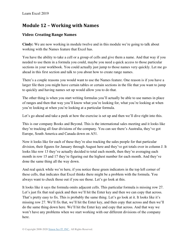## **Module 12 – Working with Names**

## **Video: Creating Range Names**

**Cindy:** We are now working in module twelve and in this module we're going to talk about working with the Names feature that Excel has.

You have the ability to take a cell or a group of cells and give them a name. And that way if you needed to use them in a formula you could, maybe you need a quick access to those particular sections in your workbook. You could actually just jump to those names very quickly. Let me go ahead in this first section and talk to you about how to create range names.

There's a couple reasons you would want to use the Names feature. One reason is if you have a larger file then you might have certain tables or certain sections in the file that you want to jump to quickly and having names set up would allow you to do that.

The other thing is when you start writing formulas you'll actually be able to use names in place of ranges and then that way you'll know what you're looking for, what you're looking at when you're looking at when you're looking at a particular formula.

Let's go ahead and take a peek at how the exercise is set up and then we'll dive right into this.

This is our company Books and Beyond. This is the international sales meeting and it looks like they're tracking all four divisions of the company. You can see there's Australia, they've got Europe, South America and Canada down on A51.

Now it looks like for each of these they're also tracking the sales people for that particular division, their figures for January through August here and they've got totals over in column J. It looks like row 13 they've actually decided to total each month, then they're averaging each month in row 15 and 17 they're figuring out the highest number for each month. And they've done the same thing all the way down.

And real quick while we're here, if you notice these green indicators in the top left corner of these cells, that indicates that Excel thinks there might be a problem with the formula. You always want to check those out if you see those. Let's go look at this.

It looks like it says the formula omits adjacent cells. This particular formula is missing row 27. Let's just fix that real quick and then we'll hit the Enter key and then we can copy that across. That's pretty easy to fix. This is probably the same thing. Let's go look at it. It looks like it's missing row 27. We'll fix that, we'll hit the Enter key, and then copy that across and then we'll do the same thing down here. We'll hit the Enter key and copy that across. And that way we won't have any problems when we start working with our different divisions of the company here.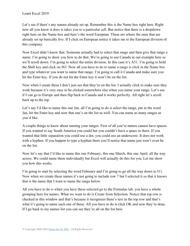Let's see if there's any names already set up. Remember this is the Name box right here. Right now all you know it does is takes you to a particular cell. But notice that there is a dropdown right here on the Name box and here's the word European. These are where the ones that are already set up basically live. If I click on European notice it takes me to the European division of this company.

Now Excel didn't know that. Someone actually had to select that range and then give that range a name. I'm going to show you how to do that. We're going to use Canada in our example here so we'll scroll down. I'm going to select the entire division. In this case it's A51. I'm going to hold the Shift key and click on J63. Now all you have to do to name a range is click in the Name box and type whatever you want to name that range. I'm going to call it Canada and make sure you hit the Enter key. If you do not hit the Enter key it won't be on the list.

Now when I create these I don't just see that they're on the list. I actually click to make sure they work because it's very easy to be clicked somewhere else when you name your range. Let's see if I can go to Europe and then flip back to Canada and it works perfectly. All right let's scroll back up to the top.

Let's say I'd like to name this one Jan. all I'm going to do is select the range, put in the word Jan, hit the Enter key and now that one's on the list as well. You can name as many ranges as you'd like.

A couple things to know about naming your ranges. First of all you're names cannot have spaces. If you wanted to say South America you could but you couldn't have a space in there. If you wanted that little separation you could use a dot, you could use an underscore. It does not work with a hyphen. If you happen to type a hyphen there you'll notice that name just won't even be on the list.

Now let's say that I'd like to name this one February, this one March, this one April, all the way across. We could name them individually but Excel will actually do this for you. Let me show you how this works.

I'm going to start by selecting the word February and I'm going to go all the way down to I11. Now when we create these names it's not going to include row 7 but I selected it so that it knows that is the name that I want to name the range below.

All you have to do is when you have these selected go to the Formulas tab, you have a whole grouping here for names. What we want to do is Create from Selection. Notice that top row is checked in this window and that's because it recognizes there's text in the top row and that's what it's going to name each one of these. All you have to do is click OK and now they're done. If I go back to my names list you can see they're all on the list here.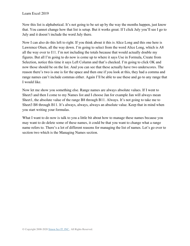Now this list is alphabetical. It's not going to be set up by the way the months happen, just know that. You cannot change how that list is setup. But it works great. If I click July you'll see I go to July and it doesn't include the word July there.

Now I can also do this left to right. If you think about it this is Alice Long and this one here is Lawrence Olsen, all the way down. I'm going to select from the word Alice Long, which is A8 all the way over to I11. I'm not including the totals because that would actually double my figures. But all I'm going to do now is come up to where it says Use in Formula, Create from Selection, notice this time it says Left Column and that's checked. I'm going to click OK and now those should be on the list. And you can see that these actually have two underscores. The reason there's two is one is for the space and then one if you look at this, they had a comma and range names can't include commas either. Again I'll be able to use these and go to any range that I would like.

Now let me show you something else. Range names are always absolute values. If I went to Sheet3 and then I come to my Names list and I choose Jan for example Jan will always mean Sheet1, the absolute value of the range B8 through B11. Always. It's not going to take me to Sheet3 B8 through B11. It's always, always, always an absolute value. Keep that in mind when you start writing your formulas.

What I want to do now is talk to you a little bit about how to manage these names because you may want to do delete some of these names, it could be that you want to change what a range name refers to. There's a lot of different reasons for managing the list of names. Let's go over to section two which is the Managing Names section.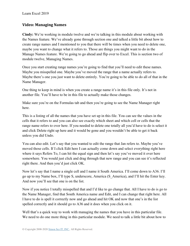### **Video: Managing Names**

**Cindy:** We're working in module twelve and we're talking in this module about working with the Names feature. We've already gone through section one and talked a little bit about how to create range names and I mentioned to you that there will be times when you need to delete one, maybe you want to change what it refers to. Those are things you might want to do in the Manage Names feature. We're going to go ahead and flip over to Excel. This is section two of module twelve, Managing Names.

Once you start creating range names you're going to find that you'll need to edit these names. Maybe you misspelled one. Maybe you've moved the range that a name actually refers to. Maybe there's one you just want to delete entirely. You're going to be able to do all of that in the Name Manager.

One thing to keep in mind is when you create a range name it's in this file only. It's not in another file. You'll have to be in this file to actually make those changes.

Make sure you're on the Formulas tab and then you're going to see the Name Manager right here.

This is a listing of all the names that you have set up in this file. You can see the values in the cells that it refers to and you can also see exactly which sheet and which cell or cells that the range name refers to over here. If you needed to delete one totally all you'd have to do is select it and click Delete right up here and it would be gone and you wouldn't be able to get it back unless you did Undo.

You can also edit. Let's say that you wanted to edit the range that Jan refers to. Maybe you've moved those cells. If I click Edit here I can actually come down and select everything right here where it says Refers To, I can hit the equal sign and then let's say you've moved it over here somewhere. You would just click and drag through that new range and you can see it's reflected right there. And then you'd just click OK.

Now let's say that I name a single cell and I name it South America. I'll come down to A36. I'll go up to my Name box, I'll type S, underscore, America (S\_America), and I'll hit the Enter key. And now you'll see that one is on the list.

Now if you notice I totally misspelled that and I'd like to go change that. All I have to do is go to the Name Manager, find that South America name and Edit, and I can change that right here. All I have to do is spell it correctly now and go ahead and hit OK and now that one's in the list spelled correctly and it should go to A36 and it does when you click on it.

Well that's a quick way to work with managing the names that you have in this particular file. We need to do one more thing in this particular module. We need to talk a little bit about how to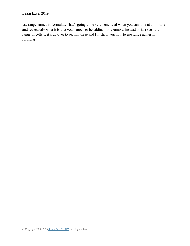use range names in formulas. That's going to be very beneficial when you can look at a formula and see exactly what it is that you happen to be adding, for example, instead of just seeing a range of cells. Let's go over to section three and I'll show you how to use range names in formulas.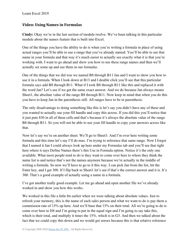### **Video: Using Names in Formulas**

**Cindy:** Okay we're in the last section of module twelve. We've been talking in this particular module about the names feature that is built into Excel.

One of the things you have the ability to do is when you're writing a formula in place of using actual ranges you'll be able to use a range that you've already named. You'll be able to see that name in your formula and that way it's much easier to actually see exactly what it is that you're working with. I want to go ahead and show you how to use these range names and then we'll actually set some up and use them in our formulas.

One of the things that we did was we named B8 through B11 Jan and I want to show you how to use it in a formula. When I look down at B13 and I double click you'll see that this particular formula says add B8 through B11. What if I took B8 through B11 like this and replaced it with the word Jan? Let's see if we get the same exact answer. And we do because Jan always means Sheet1, the absolute value of the range B8 through B11. Now keep in mind that when you do this you have to keep Jan in the parenthesis still. All ranges have to be in parenthesis.

The only disadvantage to doing something like this is let's say you didn't have any of these and you wanted to actually use your fill handle and copy this across. If you did this you'll notice that it just puts 830 in all of these cells and that's because it's always the absolute value of the range B8 through B11. So you will not be able to use your fill handle to copy your answers across like that.

Now let's say we're on another sheet. We'll go to Sheet3. And I'm over here writing some formula and this time let's say I'll do max. I'm trying to reference that same range. Now I forgot that I named it Jan I could always look up here under my Formulas tab and you'll see that right here where it says Define Names there's this Use in Formula option. Notice it's the only one available. What most people tend to do is they want to come over here to where they think the name list is and notice that's not the names anymore because we're actually in the middle of writing a formula. So now we'll have to go to it this way. I can pick Jan from the list, hit the Enter key, and I get 300. If I flip back to Sheet1 let's see if that's the correct answer and it is. It's 300. That's a good example of actually using a name in a formula.

I've got another really good example. Let me go ahead and open another file we've already worked in and show you how this works.

We worked in this file a little bit earlier when we were talking about absolute values. Just to refresh your memory, this is the name of each sales person and what we want to do is pay them a commission rate of 15% up here. And we'll base that 15% on their total. All we're going to do is come over here to H8 and I'm going to put in the equal sign and I'm going to say take this, which is their total, and multiply it times the 15%, which is in G3. And then we talked about the fact that we could copy this down and we would get zeroes because this is that relative reference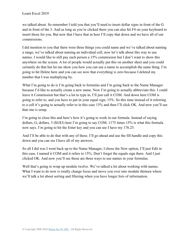we talked about. So remember I told you that you'll need to insert dollar signs in front of the G and in front of the 3. And as long as you're clicked there you can also hit F4 on your keyboard to insert those for you. But now that I have that in here I'll copy that down and we have all of our commissions.

I did mention to you that there were three things you could name and we've talked about naming a range, we've talked about naming an individual cell, now let's talk about this way to use names. I would like to still pay each person a 15% commission but I don't want to show this anywhere on the screen. A lot of people would actually put this on another sheet and you could certainly do that but let me show you how you can use a name to accomplish the same thing. I'm going to hit Delete here and you can see now that everything is zero because I deleted my number that I was multiplying by.

What I'm going to do is I'm going back to formulas and I'm going back to the Name Manager because I'd like to actually create a new name. Now I'm going to actually abbreviate this. I could leave it Commission but that's a lot to type in. I'll just call it COM. And down here COM is going to refer to, and you have to put in your equal sign, 15%. So this time instead of it referring to a cell it's going to actually refer to in this case 15% and then I'll click OK. And now you'll see that one is setup.

I'm going to close this and here's how it's going to work in our formula. Instead of saying dollars, G, dollars, 3 (\$G\$3) here I'm going to say COM. 1175 times 15% is what this formula now says. I'm going to hit the Enter key and you can see I have my 176.25.

And I'll be able to do that with any of these. I'll go ahead and use the fill handle and copy this down and you can see I have all of my answers.

So all I did was I went back up to the Name Manager, I chose the New option, I'll just Edit in this case, I named it COM and it refers to 15%. Don't forget the equals sign there. And I just clicked OK. And now you'll see those are three ways to use names in your formulas.

Well that's going to wrap up module twelve. We've talked a lot about working with names. What I want to do now is totally change focus and move you over into module thirteen where we'll talk a lot about sorting and filtering when you have longer lists of information.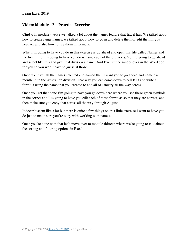### **Video: Module 12 – Practice Exercise**

**Cindy:** In module twelve we talked a lot about the names feature that Excel has. We talked about how to create range names, we talked about how to go in and delete them or edit them if you need to, and also how to use them in formulas.

What I'm going to have you do in this exercise is go ahead and open this file called Names and the first thing I'm going to have you do is name each of the divisions. You're going to go ahead and select like this and give that division a name. And I've put the ranges over in the Word doc for you so you won't have to guess at those.

Once you have all the names selected and named then I want you to go ahead and name each month up in the Australian division. That way you can come down to cell B13 and write a formula using the name that you created to add all of January all the way across.

Once you get that done I'm going to have you go down here where you see these green symbols in the corner and I'm going to have you edit each of these formulas so that they are correct, and then make sure you copy that across all the way through August.

It doesn't seem like a lot but there is quite a few things on this little exercise I want to have you do just to make sure you're okay with working with names.

Once you're done with that let's move over to module thirteen where we're going to talk about the sorting and filtering options in Excel.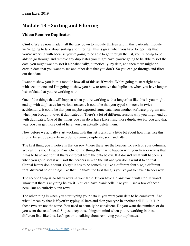# **Module 13 – Sorting and Filtering**

## **Video: Remove Duplicates**

**Cindy:** We've now made it all the way down to module thirteen and in this particular module we're going to talk about sorting and filtering. This is great when you have longer lists that you're working with because you're going to be able to go through the list, you're going to be able to go through and remove any duplicates you might have, you're going to be able to sort the data, you might want to sort it alphabetically, numerically, by date, and then there might be certain data that you want to see and other data that you don't. So you can go through and filter out that data.

I want to show you in this module how all of this stuff works. We're going to start right now with section one and I'm going to show you how to remove the duplicates when you have longer lists of data that you're working with.

One of the things that will happen when you're working with a longer list like this is you might end up with duplicates for various reasons. It could be that you typed someone in twice accidentally, it could be that you maybe exported some data from another software program and when you brought it over it duplicated it. There's a lot of different reasons why you might end up with duplicates. One of the things you can do is have Excel find those duplicates for you and that way you can get those out of here, you can actually delete them.

Now before we actually start working with this let's talk for a little bit about how files like this should be set up properly in order to remove duplicate, sort, and filter.

The first thing you'll notice is that on row 4 here these are the headers for each of your columns. We call this your Header Row. One of the things that has to happen with your header row is that it has to have one format that's different from the data below. If it doesn't what will happen is when you go to sort it will sort the headers in with the list and you don't want it to do that. Capital letters don't count. Okay? It has to be something like a different font size, a different font, different color, things like that. So that's the first thing is you've got to have a header row.

The second thing is no blank rows in your table. If you have a blank row it will stop. It won't know that there's anything below it. You can have blank cells, like you'll see a few of those here. But no entirely blank rows.

The other thing is when you start typing your data in you want your data to be consistent. And what I mean by that is if you're typing 40 here and then you type in another cell F-O-R-T-Y those two are not the same. You need to actually be consistent. Do you want the numbers or do you want the actual text? So just keep those things in mind when you're working in these different lists like this. Let's get on to talking about removing your duplicates.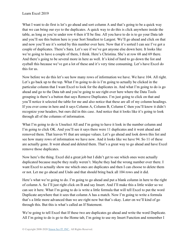What I want to do first is let's go ahead and sort column A and that's going to be a quick way that we can bring our eye to the duplicates. A quick way to do this is click anywhere inside the table, as long as you're under row 4 then it'll be fine. All you have to do is to go your Data tab and you'll see this button here is your Sort Smallest to Largest. We'll go ahead and click on that and now you'll see it's sorted by this number over here. Now that it's sorted I can see I've got a couple of duplicates. There's Sara. Let's see if we've got anyone else down here. It looks like we're going to have a couple of them, I think. Here's Christina. She's at row 68 and 69 there. And there's going to be several more in here as well. It's kind of hard to go down the list and eyeball this because we've got a lot of these and it's very time consuming. Let's have Excel do this for us.

Now before we do this let's see how many rows of information we have. We have 104. All right. Let's go back up to the top. What I'm going to do is I'm going to actually be clicked in the particular column that I want Excel to look for the duplicates in. And what I'm going to do is go ahead and go to the Data tab and you're going to see right over here where the Data Tools grouping is there's a button that says Remove Duplicates. I'm just going to click on that and you'll notice it selected the table for me and also notice that these are all of my column headings. If you ever come in here and it says Column A, Column B, Column C then you'll know it didn't recognize your headers, but ours did in this case. And notice that it looks like it's going to look through all of the columns of information.

What I'm going to do is Unselect All and I'm going to have it look in the number column and I'm going to click OK. And you'll see it says there were 11 duplicates and it went ahead and removed them. That leaves 91 that are unique values. Let's go ahead and look down this list and see how many rows of information we have now. And it looks like we have 94. So 11 of these are actually gone. It went ahead and deleted them. That's a great way to go ahead and have Excel remove those duplicates.

Now here's the thing. Excel did a great job but I didn't get to see which ones were actually duplicated because maybe they really weren't. Maybe they had the wrong number over there. I want Excel to actually show me which ones are duplicates and then I can choose to delete them or not. Let me go ahead and Undo and that should bring back all 104 rows and it did.

Here's what we're going to do. I'm going to go ahead and put a blank column in here to the right of column A. So I'll just right click on B and say Insert. And I'll make this a little wider so we can see it here. What I'm going to do is write a little formula that will tell Excel to put the word Duplicate anywhere that it sees that column A has a match. Now I'm going to write a formula that's a little more advanced than we are right now but that's okay. Later on we'll kind of go through this. But this is what's called an If Statement.

We're going to tell Excel that If these two are duplicates go ahead and write the word Duplicate. All I'm going to do is go to the Home tab, I'm going to use my Insert Function and remember I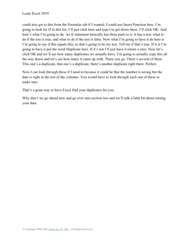could also get to this from the Formulas tab if I wanted. I could use Insert Function here. I'm going to look for If in this list. I'll just click here and type I to get down there. I'll click OK. And here's what I'm going to do. An If statement basically has three parts to it. It has a test, what to do if the test is true, and what to do if the test is false. Now what I'm going to have it do here is I'm going to say if this equals this, so that's going to be my test. Tell me if that's true. If it is I'm going to have it put the word Duplicate here. If it's not I'll just have it return a zero. Now let's click OK and we'll see how many duplicates we actually have. I'm going to actually copy this all the way down and let's see how many it came up with. There you go. There's several of them. This one's a duplicate, that one's a duplicate, there's another duplicate right there. Perfect.

Now I can look through these if I need to because it could be that the number is wrong but the date is right in the rest of the columns. You would have to look through each one of these to make sure.

That's a great way to have Excel find your duplicates for you.

Why don't we go ahead now and go over into section two and we'll talk a little bit about sorting your data.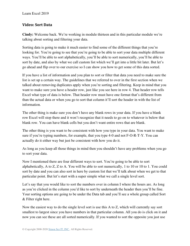### **Video: Sort Data**

**Cindy:** Welcome back. We're working in module thirteen and in this particular module we're talking about sorting and filtering your data.

Sorting data is going to make it much easier to find some of the different things that you're looking for. You're going to see that you're going to be able to sort your data multiple different ways. You'll be able to sort alphabetically, you'll be able to sort numerically, you'll be able to sort by date, and also by what we call custom list which we'll get into a little bit later. But let's go ahead and flip over to our exercise so I can show you how to get some of this data sorted.

If you have a list of information and you plan to sort or filter that data you need to make sure the list is set up a certain way. The guidelines that we referred to over in the first section when we talked about removing duplicates apply when you're sorting and filtering. Keep in mind that you want to make sure you have a header row, just like you see here in row 4. That header row tells Excel what type of data is below. That header row must have one format that's different from than the actual data or when you go to sort that column it'll sort the header in with the list of information.

The other thing is make sure you don't have any blank rows in your data. If you have a blank row Excel will stop there and it won't recognize that it needs to go on to whatever is below that blank row. You can have blank cells but you don't want entire rows that are blank.

The other thing is you want to be consistent with how you type in your data. You want to make sure if you're typing numbers, for example, that you type 4-0 and not F-O-R-T-Y. You can actually do it either way but just be consistent with how you do it.

As long as you keep all those things in mind then you shouldn't have any problems when you go to sort your data.

Now I mentioned there are four different ways to sort. You're going to be able to sort alphabetically, A to Z, Z to A. You will be able to sort numerically, 1 to 10 or 10 to 1. You could sort by date and you can also sort in here by custom list that we'll talk about when we get to that particular point. But let's start with a super simple what we call a single level sort.

Let's say that you would like to sort the numbers over in column I where the hours are. As long as you're clicked in the column you'd like to sort by underneath the header then you'll be fine. Your sorting options are going to be under the Data tab and you'll see a whole group called Sort & Filter right here.

Now the easiest way to do the single level sort is use this A to Z, which will currently say sort smallest to largest since you have numbers in that particular column. All you do is click on it and now you can see these are all sorted numerically. If you wanted to sort the opposite you just use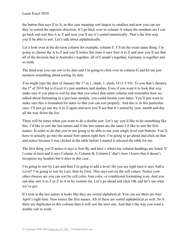the button that says Z to A, in this case meaning sort largest to smallest and now you can see they're sorted the opposite direction. If I go back over to column A where the numbers are I can go back and sort this A to Z and now you'll see it's sorted numerically. That's the first way you'll be able to sort. Let's talk about alphabetically.

Let's look over at the division column for example, column E. I'll do the exact same thing. I'm going to choose the A to Z and you'll notice this time it says Sort A to Z and now you'll see that all of the division that is Australia's together, all of Canada's together, Germany is together and so forth.

The third way you can sort is by date and I'm going to click over in column G and let me just mention something about sorting by date.

You might type the date of January the  $1<sup>st</sup>$  as 1, slash, 1, slash, 18 (1/1/18). To you that's January the  $1<sup>st</sup>$  of 2018 but to Excel it's just numbers and slashes. Even if you want it to look that way make sure if you plan to sort by date that you select that entire column and remember how we talked about formatting in a previous module, you could format your dates. You'll just want to make sure this is formatted for dates so that you can sort properly. And this is in this particular case. I'll just go use my A to Z again and now you'll see that it's sorted by year, month and day all the way down the list.

There will be times when you want to do a double sort. Let's say you'd like to do something like this. I'd like to sort the last names and if the last names are the same I'd like to sort the first names. In order to do that you're not going to be able to use your single level sort buttons. You'll have to actually go into the actual Sort option right here. I'm going to go ahead and click on that and notice because I was clicked in the table before I started it selected the table for me.

The first thing you'll notice it says is Sort By and here's where my column headings are listed. If I come in here and it says Column A, Column B, Column C that's how I know that it doesn't recognize my headers but it does in this case.

I'm going to sort by Last and then I'm going to add a level. Do you see right here it says Add a Level? I'm going to sort by Last, then by First. This says sort on the cell values. Notice your other choices are you can sort by cell color, font color, or conditional formatting icon. And you can also sort A to Z or Z to A or by custom list. Let's go ahead and click OK and let's see what we've got.

If I look at the last names it looks like they are sorted alphabetical. You can see there are four April's right here. Now notice the first names. All of these are sorted alphabetical as well. So if there are duplicates in this column then it will sort the next one. And that's the way you want a double sort to work.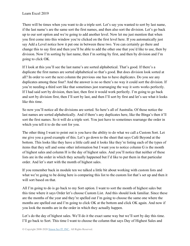There will be times when you want to do a triple sort. Let's say you wanted to sort by last name, if the last name's are the same sort the first names, and then also sort the division. Let's go back up to our sort option and we're going to add another level. Now let me just mention that when you first come into this window you're clicked on the first level here. If you automatically just say Add a Level notice how it put one in between these two. You can certainly go there and change this to say first and then you'll be able to add the other one that you'd like to use, then by division. Now I'm sorting by last name, then I'm sorting by first, and then by division and I'm going to click OK.

If I look at this you'll see the last name's are sorted alphabetical. That's good. If there's a duplicate the first names are sorted alphabetical so that's good. But does division look sorted at all? In order to sort the next column the previous one has to have duplicates. Do you see any duplicates among these four? And the answer is no so there's no way it could sort the division. If you're needing a third sort like that sometimes just rearranging the way it sorts works perfectly. If I had said sort by division, then last, then first it would work perfectly. I'm going to go back and sort by division first, then I'll sort by last, and then I'll sort by first and let's see what it looks like this time.

So now you'll notice all the divisions are sorted. So here's all of Australia. Of those notice the last names are sorted alphabetically. And if there's any duplicates here, like the Binga's then it'll sort the first names. So it will do a triple sort. You just have to sometimes rearrange the order in which you tell it to do the sort for you.

The other thing I want to point out is you have the ability to do what we call a Custom Sort. Let me give you a good example of this. Let's go down to the sheet that says Café Beyond at the bottom. This looks like they have a little café and it looks like they're listing each of the types of items that they sell and some other information but I want you to notice column G is the month of highest sales and column H is the day of highest sales. And you'll notice that neither of these lists are in the order in which they actually happened but I'd like to put them in that particular order. And let's start with the month of highest sales.

If you remember back in module ten we talked a little bit about working with custom lists and what we're going to be doing here is comparing this list to the custom list that's set up and then it will sort based on that.

All I'm going to do is go back to my Sort option. I want to sort the month of highest sales but this time where it says Order let's choose Custom List. And this should look familiar. Since these are the months of the year and they're spelled out I'm going to choose the same one where the months are spelled out and I'm going to click OK at the bottom and click OK again. And now if you look the months are in the order in which they actually happen.

Let's do the day of highest sales. We'll do it the exact same way but we'll sort by day this time. I'll go back to Sort. This time I want to choose the column that says Day of Highest Sales and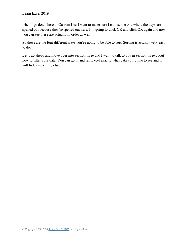when I go down here to Custom List I want to make sure I choose the one where the days are spelled out because they're spelled out here. I'm going to click OK and click OK again and now you can see these are actually in order as well.

So those are the four different ways you're going to be able to sort. Sorting is actually very easy to do.

Let's go ahead and move over into section three and I want to talk to you in section three about how to filter your data. You can go in and tell Excel exactly what data you'd like to see and it will hide everything else.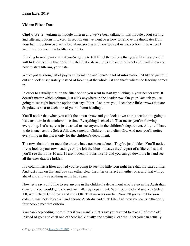### **Video: Filter Data**

**Cindy:** We're working in module thirteen and we've been talking in this module about sorting and filtering options in Excel. In section one we went over how to remove the duplicates from your list, in section two we talked about sorting and now we're down to section three where I want to show you how to filter your data.

Filtering basically means that you're going to tell Excel the criteria that you'd like to see and it will hide everything that doesn't match that criteria. Let's flip over to Excel and I will show you how to start filtering your data.

We've got this long list of payroll information and there's a lot of information I'd like to just pull out and look at separately instead of looking at the whole list and that's where the filtering comes in.

In order to actually turn on the filter option you want to start by clicking in your header row. It doesn't matter which column, just click anywhere in the header row. On your Data tab you're going to see right here the option that says Filter. And now you'll see these little arrows that are dropdowns next to each one of your column headings.

You'll notice that when you click the down arrow and you look down at this section it's going to list each item in that column one time. Everything is checked. That means you're showing everything. Let's say you just wanted to see anyone in the children's department. All you'd have to do is uncheck the Select All, check next to Children's and click OK. And now you'll notice everything in this list is only for the children's department.

The rows that did not meet the criteria have not been deleted. They're just hidden. You'll notice if you look at your row headings on the left the blue indicates they're part of a filtered list and you'll see that rows 10 and 11 are hidden, it looks like 13 and you can go down the list and see all the ones that are hidden.

If a column has a filter applied you're going to see this little icon right here that indicates a filter. And just click on that and you can either clear the filter or select all, either one, and that will go ahead and show everything in the list again.

Now let's say you'd like to see anyone in the children's department who's also in the Australian division. You would go back and first filter by department. We'll go ahead and uncheck Select All, we'll check Children's and click OK. That narrows our list. Now I'll go to the Division column, uncheck Select All and choose Australia and click OK. And now you can see that only four people met that criteria.

You can keep adding more filters if you want but let's say you wanted to take all of these off. Instead of going to each one of these individually and saying Clear the Filter you can actually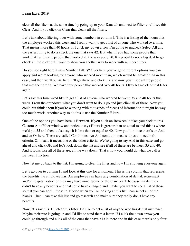clear all the filters at the same time by going up to your Data tab and next to Filter you'll see this Clear. And if you click on Clear that clears all the filters.

Let's talk about filtering over with some numbers in column I. This is a listing of the hours that the employee worked this week and I really want to get a list of anyone who worked overtime. That means more than 40 hours. If I click my down arrow I'm going to uncheck Select All and the easiest thing to do is check the one that says 42. But what if you had some people that worked 41 and some people that worked all the way up to 50. It's probably not a big deal to go check all those off but I want to show you another way to work with number filters.

Do you see right here it says Number Filters? Over here you've got different options you can apply and we're looking for anyone who worked more than, which would be greater than in this case, and then we'll put 40 here. I'll go ahead and click OK and now you'll see all the people that met the criteria. We have four people that worked over 40 hours. Okay let me clear that filter again.

Let's say this time we'd like to get a list of anyone who worked between 35 and 40 hours this week. From the dropdown what you don't want to do is go and just click all of these. Now you could but think about if you're working with thousands of pieces of information it might be way too much work. Another way to do this is use the Number Filters.

One of the options you have here is Between. If you click on Between it takes you back to this Custom AutoFilter window and notice it says Hours is greater than or equal to and this is where we'd put 35 and then it also says it is less than or equal to 40. Now you'll notice there's an And and an Or here. These are called Conditions. An And condition means it has to meet both criteria. Or means it meets one or the other criteria. We're going to say And in this case and go ahead and click OK and let's look down the list and see if all of these are between 35 and 40. And it looks like all of these are, all the way down. That's how you would do what we call a Between function.

Now let me go back to the list. I'm going to clear the filter and now I'm showing everyone again.

Let's go over to column H and look at this one for a moment. This is the column that represents the benefits the employee has. An employee can have any combination of dental, retirement and/or hospitalization or they may have none. Some of these are blank because maybe they didn't have any benefits and that could have changed and maybe you want to see a list of those so that you can go fill those in. Notice when you're looking at this list I can select all of the blanks. Then I can take this list and go research and make sure they really don't have any benefits.

Now let's say this. I'll clear this filter. I'd like to get a list of anyone who has dental insurance. Maybe their rate is going up and I'd like to send them a letter. If I click the down arrow you could go through and click all of the ones that have a D in there and in this case there's only four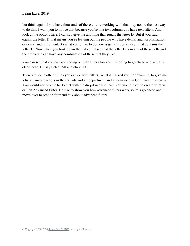but think again if you have thousands of these you're working with that may not be the best way to do this. I want you to notice that because you're in a text column you have text filters. And look at the options here. I can say give me anything that equals the letter D. But if you said equals the letter D that means you're leaving out the people who have dental and hospitalization or dental and retirement. So what you'd like to do here is get a list of any cell that contains the letter D. Now when you look down the list you'll see that the letter D is in any of these cells and the employee can have any combination of these that they like.

You can see that you can keep going on with filters forever. I'm going to go ahead and actually clear these. I'll say Select All and click OK.

There are some other things you can do with filters. What if I asked you, for example, to give me a list of anyone who's in the Canada and art department and also anyone in Germany children's? You would not be able to do that with the dropdown list here. You would have to create what we call an Advanced Filter. I'd like to show you how advanced filters work so let's go ahead and move over to section four and talk about advanced filters.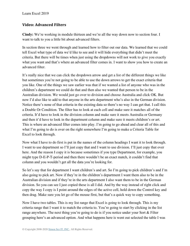### **Video: Advanced Filters**

**Cindy:** We're working in module thirteen and we're all the way down now to section four. I want to talk to you a little bit about advanced filters.

In section three we went through and learned how to filter out our data. We learned that we could tell Excel what type of data we'd like to see and it will hide everything that didn't meet the criteria. But there will be times when just using the dropdowns will not work to give you exactly what you want and that's where an advanced filter comes in. I want to show you how to create an advanced filter.

It's really nice that we can click the dropdown arrow and get a list of the different things we like but sometimes you're not going to be able to use the down arrows to get the exact criteria that you like. One of the things we saw earlier was that if we wanted a list of anyone who was in the children's department we could do that and then also we wanted that person to be in the Australian division. We would just go over to division and choose Australia and click OK. But now I'd also like to add to that anyone in the arts department who's also in the German division. Notice there's none of that criteria in the existing data so there's no way I can get that. I call this a Double Or Condition. The filter has to look at each cell and make sure it matches all of the criteria. It'd have to look in the division column and make sure it meets Australia or Germany and then it'd have to look in the department column and make sure it meets children's or art. This is where an advanced filter comes into play. I'm going to go ahead and clear all of this and what I'm going to do is over on the right somewhere I'm going to make a Criteria Table for Excel to look through.

Now what I have to do first is put in the names of the column headings I want it to look through. I want to use department so I'll just copy that and I want to use division. I'll just copy that over here. And the reason I copy it is because sometimes if you type Department, for example, you might type D-E-P-T-period and then there wouldn't be an exact match, it couldn't find that column and you wouldn't get all the data you're looking for.

So let's say that for department I want children's and art. So I'm going to pick children's and I'm also going to pick art. Now if they're in the children's department I want them also to be in the Australian division and if they're in the arts department I also want them to be in the German division. So you can see I just copied these is all I did. And by the way instead of right click and copy the way I copy is I point around the edges of the active cell, hold down the Control key and then drag. Make sure you let go of the mouse first, but that's a quick way to copy something.

Now I have two tables. This is my list range that Excel is going to look through. This is my criteria range that I want it to match the criteria to. You're going to start by clicking in the list range anywhere. The next thing you're going to do is if you notice under your Sort & Filter grouping here's an advanced option. And what happens here is went out selected the table I was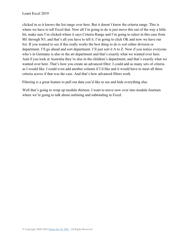clicked in so it knows the list range over here. But it doesn't know the criteria range. This is where we have to tell Excel that. Now all I'm going to do is just move this out of the way a little bit, make sure I'm clicked where it says Criteria Range and I'm going to select in this case from M1 through N3, and that's all you have to tell it. I'm going to click OK and now we have our list. If you wanted to see if this really works the best thing to do is sort either division or department. I'll go ahead and sort department. I'll just sort it A to Z. Now if you notice everyone who's in Germany is also in the art department and that's exactly what we wanted over here. And if you look at Australia they're also in the children's department, and that's exactly what we wanted over here. That's how you create an advanced filter. I could add as many sets of criteria as I would like. I could even add another column if I'd like and it would have to meet all three criteria across if that was the case. And that's how advanced filters work.

Filtering is a great feature to pull out data you'd like to see and hide everything else.

Well that's going to wrap up module thirteen. I want to move now over into module fourteen where we're going to talk about outlining and subtotaling in Excel.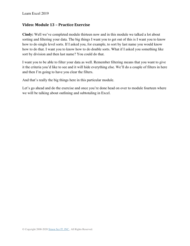#### **Video: Module 13 – Practice Exercise**

**Cindy:** Well we've completed module thirteen now and in this module we talked a lot about sorting and filtering your data. The big things I want you to get out of this is I want you to know how to do single level sorts. If I asked you, for example, to sort by last name you would know how to do that. I want you to know how to do double sorts. What if I asked you something like sort by division and then last name? You could do that.

I want you to be able to filter your data as well. Remember filtering means that you want to give it the criteria you'd like to see and it will hide everything else. We'll do a couple of filters in here and then I'm going to have you clear the filters.

And that's really the big things here in this particular module.

Let's go ahead and do the exercise and once you're done head on over to module fourteen where we will be talking about outlining and subtotaling in Excel.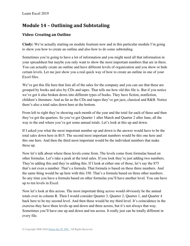# **Module 14 – Outlining and Subtotaling**

## **Video: Creating an Outline**

**Cindy:** We're actually starting on module fourteen now and in this particular module I'm going to show you how to create an outline and also how to do some subtotaling.

Sometimes you're going to have a lot of information and you might need all that information in your spreadsheet but maybe you only want to show the most important numbers that are in there. You can actually create an outline and have different levels of organization and you show or hide certain levels. Let me just show you a real quick way of how to create an outline in one of your Excel files.

We've got this file here that lists all of the sales for the company and you can see that these are grouped by books and also by CDs and tapes. That tells me how old this file is. But if you notice we've got it also broken down into different types of books. They have fiction, nonfiction, children's literature. And as far as the CDs and tapes they've got jazz, classical and R&B. Notice there's also a total sales down here at the bottom.

From left to right they're showing each month of the year and the total for each of these and then they've got the quarters. So you've got Quarter 1 after March and Quarter 2 after June, all the way to the end where you've got some annual totals. Let's look at this up and down.

If I asked you what the most important number up and down is the answer would have to be the total sales down here in B15. The second most important numbers would be this one here and this one here. And then the third most important would be the individual numbers that make these up.

Now let's talk about where these levels come from. The levels come from formulas based on other formulas. Let's take a peek at the total sales. If you look they're just adding two numbers. They're adding this and they're adding this. If I look at either one of those, let's say the 875 that's not even a number. That's a formula. That formula is based on these three numbers. And the same thing would be up here with this 350. That's a formula based on three other numbers. So any time you have a formula based on other formulas you'll have another level. You can have up to ten levels in Excel.

Now let's look at this across. The most important thing across would obviously be the annual totals over in column R. Then I would consider Quarter 3, Quarter 2, Quarter 1, and Quarter 4 back here to be my second level. And then these would be my third level. It's coincidence in the exercise they have three levels up and down and three across, but it's not always that way. Sometimes you'll have one up and down and ten across. It really just can be totally different in every file.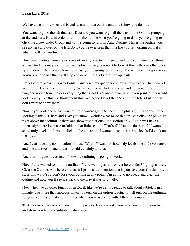We have the ability to take this and turn it into an outline and this is how you do this.

You want to go to the tab that says Data and you want to go all the way to the Outline grouping at the end here. Now in order to turn on the outline what you're going to do is you're going to click the arrow under Group and you're going to turn on Auto Outline. This is the outline you see up here and over on the left. So if you've ever seen that in a file you're working on that's what it is. It's an outline.

Now you'll notice there are two sets of levels, one, two, three up and down and one, two, three across. And this may sound backwards but the way you want to look at this is the ones that goes up and down when you're looking across you're going to use those. The numbers that go across you're going to use that for the up and down. So it's kind of the opposite.

Let's say that across this way I only want to see my quarters and my annual totals. That means I want to see levels two and one only. What I can do is click on the up and down numbers, the two, and notice how it hides everything that's not level one or two. And if you printed this would look exactly like this. So think about this. We needed level three to get these totals but then we don't want to show them.

Now if you look above each one of these you're going to see a little plus sign. If I happen to be looking at this 400 here and I say you know I wonder what made that up I can click the plus sign right above that column E there and show just that one little section only. And now I have a minus sign there I can use to fold up that little section. That's all I have to do there. If I wanted to show only level one I would click on the one and if I wanted to show all three levels I'd click on the three.

And I can have any combination of these. What if I want to show only levels one and two across and one and two up and down? I could certainly do that.

And that's a quick overview of how the outlining is going to work.

Now if you wanted to turn the outline off you would just come over here under Ungroup and say Clear the Outline. And before I clear it I just want to mention that if you save your file this way it stays this way. You don't lose your outline at any point. I'm going to go ahead and clear the outline and now you'll see it's back to the way it was originally.

Now when we do other functions in Excel, like we're getting ready to talk about subtotals in a minute, you'll see that subtotals when you turn on the option it actually will turn on the outlining for you. You'll see that a lot of times when you're working with different formulas.

That's a quick overview of how outlining works. I want to take you over now into section two and show you how the subtotal feature works.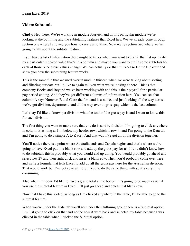### **Video: Subtotals**

**Cindy:** Hey there. We're working in module fourteen and in this particular module we're looking at the outlining and the subtotaling features that Excel has. We've already gone through section one where I showed you how to create an outline. Now we're section two where we're going to talk about the subtotal feature.

If you have a list of information there might be times when you want to divide that list up maybe by a particular repeated value that's in a column and maybe you want to put in some subtotals for each of those once those values change. We can actually do that in Excel so let me flip over and show you how the subtotaling feature works.

This is the same file that we used over in module thirteen when we were talking about sorting and filtering our data but I'd like to again tell you what we're looking at here. This is that company Books and Beyond we've been working with and this is their payroll for a particular pay period ending. And they've got different columns of information here. You can see that column A says Number, B and C are the first and last name, and just looking all the way across we've got division, department, and all the way over to gross pay which is the last column.

Let's say I'd like to know per division what the total of the gross pay is and I want to know this for each division.

The first thing you want to make sure that you do is sort by division. I'm going to click anywhere in column E as long as I'm below my header row, which is row 4, and I'm going to the Data tab and I'm going to do a simple A to Z sort. And that way I've got all of the division together.

You'll notice there is a point where Australia ends and Canada begins and that's where we're going to have Excel put in a blank row and add up the gross pay for us. If you didn't know how to do subtotals this is probably what you would end up doing. You would probably go ahead and select row 27 and then right click and insert a blank row. Then you'd probably come over here and write a formula that tells Excel to add up all the gross pay here for the Australian division. That would work but I've got several more I need to do the same thing with so it's very time consuming.

Also when I'm done I'd like to have a grand total at the bottom. It's going to be much easier if you use the subtotal feature in Excel. I'll just go ahead and delete that blank row.

Now that I have this sorted, as long as I'm clicked anywhere in the table, I'll be able to go to the subtotal feature.

When you're under the Data tab you'll see under the Outlining group there is a Subtotal option. I'm just going to click on that and notice how it went back and selected my table because I was clicked in the table when I clicked the Subtotal option.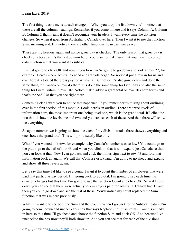The first thing it asks me is at each change in. When you drop the list down you'll notice that these are all the column headings. Remember if you come in here and it says Column A, Column B, Column C that means it doesn't recognize your headers. I want every time the division changes. So when it goes from Australia to Canada over here. Then I want it to use the function Sum, meaning add. But notice there are other functions I can use here as well.

These are my headers again and notice gross pay is checked. The only reason that gross pay is checked is because it's the last column here. You want to make sure that you have the correct column chosen that you want it to subtotal.

I'm just going to click OK and now if you look, we're going to go down and look at row 27, for example. Here's where Australia ended and Canada began. So notice it put a row in for us and over here it's totaled the gross pay for Australia. But notice it's also gone down and done the same thing for Canada on row 43 there. It's done the same thing for Germany and also the same thing for Great Britain in row 102. Notice it also added a grant total on row 103 here for us and that's the \$48,278 that you see right there.

Something else I want you to notice that happened. If you remember us talking about outlining over in the first section of this module. Look, here's an outline. There are three levels of information here, the most important one being level one, which is the grand total. If I click the two that'll show me levels one and two and you can see each of these. And then three will show me everything.

So again number two is going to show me each of my division totals, three shows everything and one shows the grand total. This will print exactly like this.

What if you wanted to know, for example, why Canada's number was so low? You could go to the plus sign to the left of row 43 and when you click on that it will expand just Canada so that you can look at that. Now I can go back and click the minus sign next to row 43 and fold that information back up again. We call that Collapse or Expand. I'm going to go ahead and expand and show all three levels again.

Let's say this time I'd like to see a count. I want it to count the number of employees that were paid that particular pay period. I'm going back to Subtotal, I'm going to say each time the division changes but this time I'm going to use the function Count and click OK. Now if I scroll down you can see that there were actually 22 employees paid for Australia, Canada had 15 and then you could go down and see the rest of these. You'll notice my count replaced the Sum function that was in here previously.

What if I wanted to see both the Sum and the Count? When I go back to the Subtotal feature I'm going to come down and uncheck this box that says Replace current subtotals. Count is already in here so this time I'll go ahead and choose the function Sum and click OK. And because I've unchecked the box now they'll both show up. And you can see that for each of the divisions.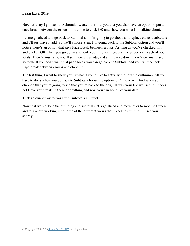Now let's say I go back to Subtotal. I wanted to show you that you also have an option to put a page break between the groups. I'm going to click OK and show you what I'm talking about.

Let me go ahead and go back to Subtotal and I'm going to go ahead and replace current subtotals and I'll just have it add. So we'll choose Sum. I'm going back to the Subtotal option and you'll notice there's an option that says Page Break between groups. As long as you've checked this and clicked OK when you go down and look you'll notice there's a line underneath each of your totals. There's Australia, you'll see there's Canada, and all the way down there's Germany and so forth. If you don't want that page break you can go back to Subtotal and you can uncheck Page break between groups and click OK.

The last thing I want to show you is what if you'd like to actually turn off the outlining? All you have to do is when you go back to Subtotal choose the option to Remove All. And when you click on that you're going to see that you're back to the original way your file was set up. It does not leave your totals in there or anything and now you can see all of your data.

That's a quick way to work with subtotals in Excel.

Now that we've done the outlining and subtotals let's go ahead and move over to module fifteen and talk about working with some of the different views that Excel has built in. I'll see you shortly.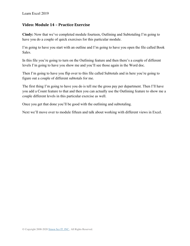#### **Video: Module 14 – Practice Exercise**

**Cindy:** Now that we've completed module fourteen, Outlining and Subtotaling I'm going to have you do a couple of quick exercises for this particular module.

I'm going to have you start with an outline and I'm going to have you open the file called Book Sales.

In this file you're going to turn on the Outlining feature and then there's a couple of different levels I'm going to have you show me and you'll see those again in the Word doc.

Then I'm going to have you flip over to this file called Subtotals and in here you're going to figure out a couple of different subtotals for me.

The first thing I'm going to have you do is tell me the gross pay per department. Then I'll have you add a Count feature to that and then you can actually use the Outlining feature to show me a couple different levels in this particular exercise as well.

Once you get that done you'll be good with the outlining and subtotaling.

Next we'll move over to module fifteen and talk about working with different views in Excel.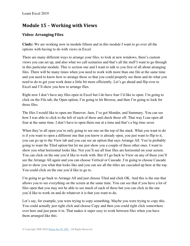## **Module 15 – Working with Views**

## **Video: Arranging Files**

**Cindy:** We are working now in module fifteen and in this module I want to go over all the options with having to do with views in Excel.

There are many different ways to arrange your files, to look at new windows, there's custom views you can set up, and also what we call scenarios and that's all the stuff I want to go through in this particular module. This is section one and I want to talk to you first of all about arranging files. There will be many times when you need to work with more than one file at the same time and you need to know how to arrange those so that you could properly see them and do what you need to do to get your work done a little bit more efficiently. Let's go ahead and flip over to Excel and I'll show you how to arrange files.

Right now I don't have any files open in Excel but I do have four I'd like to open. I'm going to click on the File tab, the Open option, I'm going to hit Browse, and then I'm going to look for those files.

The files I would like to open are Hanover, Jaen, I've got Monder, and Summary. You can see how I was able to click to the left of each of these and check those off. That way I can open all four at the same time. I don't have to open them one at a time and that's a big time saver.

When they're all open you're only going to see one on the top of the stack. What you want to do is if you want to open a different one that you know is already open, you just want to flip to it, you can go up to the View tab and you can see an option that says Arrange All. You're probably going to want the Tiled option but let me just show you a couple of these other ones. I want to show you what horizontal looks like. Not you'll see all four files are horizontal on your screen. You can click on the one you'd like to work with. But if I go back to View on any of these you'll see the Arrange All again and you can choose Vertical or Cascade. I'm going to choose Cascade just to show you what that looks like and you can see all the titles are cascaded up here at the top. You could click on the one you'd like to go to.

I'm going to go back to Arrange All and just choose Tiled and click OK. And this is the one that allows you to see everything on the screen at the same time. You can see that if you have a lot of files open that you may not be able to see much of each of these but you can click in the one you'd like to work on and do whatever it is that you want to do.

Let's say, for example, you were trying to copy something. Maybe you were trying to copy this. You could actually just right click and choose Copy and then you could right click somewhere over here and just paste it in. That makes it super easy to work between files when you have them arranged like this.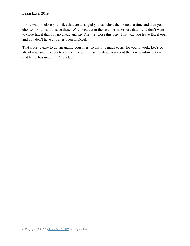If you want to close your files that are arranged you can close them one at a time and then you choose if you want to save these. When you get to the last one make sure that if you don't want to close Excel that you go ahead and say File, just close this way. That way you leave Excel open and you don't have any files open in Excel.

That's pretty easy to do, arranging your files, so that it's much easier for you to work. Let's go ahead now and flip over to section two and I want to show you about the new window option that Excel has under the View tab.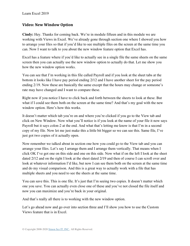#### **Video: New Window Option**

**Cindy:** Hey. Thanks for coming back. We're in module fifteen and in this module we are working with Views in Excel. We've already gone through section one where I showed you how to arrange your files so that if you'd like to see multiple files on the screen at the same time you can. Now I want to talk to you about the new window feature option that Excel has.

Excel has a feature where if you'd like to actually see in a single file the same sheets on the same screen then you can actually use the new window option to actually do that. Let me show you how the new window option works.

You can see that I'm working in this file called Payroll and if you look at the sheet tabs at the bottom it looks like I have pay period ending 2/12 and I have another sheet for the pay period ending 2/19. Now these are basically the same except that the hours may change or someone's rate may have changed and I want to compare these.

Right now if you notice I have to click back and forth between the sheets to look at these. But what if I could see them both on the screen at the same time? And that's my goal with the new window option. Here's how this works.

It doesn't matter which tab you're on and where you're clicked if you go to the View tab and click on New Window. Now what you'll notice is if you look at the name of your file it now says Payroll but it says colon-2 at the end. And what that's letting me know is that I'm in a second copy of my file. Now let me just make this a little bit bigger so we can see this. Same file, I've just got two copies of it actually open.

Now remember we talked about in section one how you could go to the View tab and you can arrange your files. Let's say I arrange them and I arrange them vertically. That means when I click OK I've got one on this side and one on this side. Now what if on the left I look at the sheet dated 2/12 and on the right I look at the sheet dated 2/19 and then of course I can scroll over and look at whatever information I'd like, but now I can see them both on the screen at the same time and do my visual comparison. And this is a great way to actually work with a file that has multiple sheets and you need to see the sheets at the same time.

You can save this. This is one file. It's just that I'm seeing two copies. It doesn't matter which one you save. You can actually even close one of these and you've not closed the file itself and now you can maximize and you're back in your original.

And that's really all there is to working with the new window option.

Let's go ahead now and go over into section three and I'll show you how to use the Custom Views feature that is in Excel.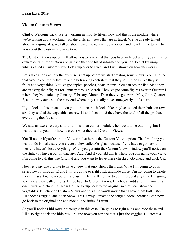### **Video: Custom Views**

**Cindy:** Welcome back. We're working in module fifteen now and this is the module where we're talking about working with the different views that are in Excel. We've already talked about arranging files, we talked about using the new window option, and now I'd like to talk to you about the Custom Views option.

The Custom Views option will allow you to take a list that you have in Excel and if you'd like to extract certain information and just see that one bit of information you can do that by using what's called a Custom View. Let's flip over to Excel and I will show you how this works.

Let's take a look at how the exercise is set up before we start creating some views. You'll notice that over in column A they're actually tracking each item that they sell. It looks like they sell fruits and vegetables. You've got apples, peaches, pears, plums. You can see the list. Also they are tracking their figures for January through March. They've got some figures over in Quarter 1 where they've totaled up January, February, March. Then they've got April, May, June, Quarter 2, all the way across to the very end where they actually have some yearly totals here.

If you look at this up and down you'll notice that it looks like they've totaled their fruits on row six, they totaled the vegetables on row 11 and then on 12 they have the total of all the produce, everything they've sold.

We saw an exercise very similar to this in an earlier module when we did the outlining, but I want to show you now how to create what they call Custom Views.

You'll notice if you're on the View tab that here's the Custom Views option. The first thing you want to do is make sure you create a view called Original because if you have to go back to it then you haven't lost everything. When you get into the Custom Views window you'll notice on the right you have a button that says Add. And if you add this is where you can name your view. I'm going to call this one Original and you want to leave these checked. Go ahead and click OK.

Now let's say that I'd like to have a view that only shows the fruits. What I'm going to do is select rows 7 through 12 and I'm just going to right click and hide those. I'm not going to delete them. Okay? And now you can see just the fruits. If I'd like to pull this up at any time I'm going to create a view called Fruits. I'll go back to Custom Views, I'll choose Add and I'll name this one Fruits, and click OK. Now I'd like to flip back to the original so that I can show the vegetables. I'll click on Custom Views and this time you'll notice that I have them both listed. I'll choose Original and click Show. This is why I created the original view, because I can now go back to the original one and hide all the fruits if I want.

So you'll notice I hid rows 2 through 6 in this case. I'm going to right click and hide those and I'll also right click and hide row 12. And now you can see that's just the veggies. I'll create a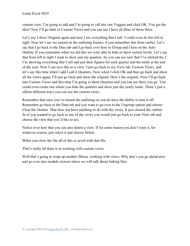custom view. I'm going to add and I'm going to call this one Veggies and click OK. You get the idea? Now I'll go back to Custom Views and you can see I have all three of those there.

Let's say I show Original again and now I see everything that I sell. I could even do this left to right. Now let's say we turned on the outlining feature, if you remember that from earlier. Let's say that I go back to the Data tab and I go back over here to Group and I turn on the Auto Outline. If you remember when we did this we were able to hide or show certain levels. Let's say that from left to right I want to show just my quarters. So you can see now that I've clicked the 2 I'm showing everything that I sell and just their figures for each quarter and the totals at the end of the year. Now I can save this as a view. I just go back to my View tab, Custom Views, and let's say this time when I add I call it Quarters. Now when I click OK and then go back and show all the views again, I'll just go back and show the original. Here's the original. Now I'll go back into Custom Views and this time I'm going to show Quarters and you can see there you go. You could even create one where you hide the quarters and show just the yearly totals. There's just a zillion different ways you can use the custom views.

Remember that once you've turned the outlining on you do have the ability to turn it off. Remember go back to the Data tab and you want to go over to the Ungroup option and choose Clear the Outline. That does not have anything to do with the views. It just cleared the outline. So if you wanted to go back to one of the views you would just go back to your View tab and choose the view that you'd like to see.

Notice over here that you can also delete a view. If for some reason you don't want it, for whatever reason, just select it and choose Delete.

When you close the file all of this is saved with that file.

That's really all there is to working with custom views.

Well that's going to wrap up module fifteen, working with views. Why don't you go ahead now and go over into module sixteen where we will talk about linking files.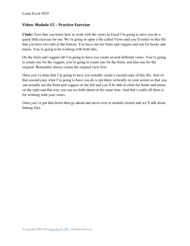#### **Video: Module 15 – Practice Exercise**

**Cindy:** Now that you know how to work with the views in Excel I'm going to have you do a quick little exercise for me. We're going to open a file called Views and you'll notice in this file that you have two tabs at the bottom. You have one for fruits and veggies and one for books and music. You're going to be working with both tabs.

On the fruits and veggies tab I'm going to have you create several different views. You're going to create one for the veggies, you're going to create one for the fruits, and also one for the original. Remember always create the original view first.

Once you've done that I'm going to have you actually create a second copy of this file. And on that second copy what I'm going to have you do is put them vertically on your screen so that you can actually see the fruits and veggies on the left and you'll be able to click the books and music on the right and that way you can see both sheets at the same time. And that's really all there is for working with your views.

Once you've got that down then go ahead and move over to module sixteen and we'll talk about linking files.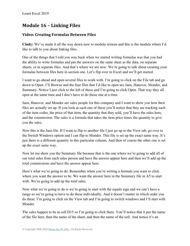## **Module 16 – Linking Files**

## **Video: Creating Formulas Between Files**

**Cindy:** We've made it all the way down now to module sixteen and this is the module where I'd like to talk to you about linking files.

One of the things that I told you way back when we started writing formulas was that you had the ability to write formulas and put the answers on the same sheet as the data, on separate sheets, or in separate files. And that's where we are now. We're going to talk about creating your formulas between files here in section one. Let's flip over to Excel and we'll get started.

I want to go ahead and open several files to work with. I'm going to click on the File tab and go down to Open. I'll Browse and the four files that I'd like to open are Jaen, Hanover, Monder, and Summary. Notice I just click to the left of these and I'm going to click Open. That way they all open at the same time and I don't have to do those one at a time.

Jaen, Hanover, and Monder are sales people for this company and I want to show you how their files are actually set up. If you look at each one of these you'll notice that they are tracking each of the item codes, the price of that item, the quantity that they sold, you'll have the sales here, and the commission. The sales is a formula that takes the item price times the quantity to give you the sales.

Now this is the Jaen file. If I want to flip to another file I just go up to the View tab, go over to the Switch Windows option and I can flip to Monder. This file is set up the exact same way. It's just there is a different quantity in this particular column. And then of course the other one is set up the exact same way.

Now let me show you the Summary file because that is the one where we're going to add all of our total sales from each sales person and have the answer appear here and then we'll add up the total commissions and have the answer appear here.

Here's what we're going to do. Remember when you're writing a formula you want to click where you want the answer to be. We want the answer here in the Summary file in A5 to start with. We're going to add up the total sales.

Now what we're going to do is we're going to start with the equals sign and we can't have a range so we're going to have to do these individually. And it doesn't matter in which order you do these. I'm going to click on the View tab and I'm going to switch windows and I'll start with Monder.

The sales happen to be in cell D15 so I'm going to click there. You'll notice that it put the name of the file here, then the name of the sheet, and then the name of the cell. And notice it's an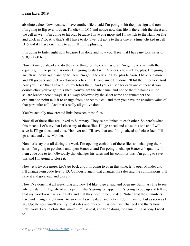absolute value. Now because I have another file to add I'm going to hit the plus sign and now I'm going to flip over to Jaen. I'll click in D15 and notice now that file is there with the sheet and the cell as well. I'm going to hit plus because I have one more and I'll switch to the Hanover file and click in D15. And that's all I have to do. I've just gone to these one at a time, clicked in cell D15 and if I have one more to add I'll hit the plus sign.

I'm going to Enter right now because I'm done and now you'll see that I have my total sales of \$10,124.60 here.

Now let me go ahead and do the same thing for the commissions. I'm going to start with the equal sign. In no particular order I'm going to start with Monder, click in E15, plus, I'm going to switch windows again and go to Jaen. I'm going to click in E15, plus because I have one more and I'll go over and pick up Hanover, click in E15 and since I'm done I'll hit the Enter key. And now you'll see that I have all of my totals there. And you can see for each one of these if you double click you've got this sheet, you've got the file name, and notice the file names in the square braces there always. It's always followed by the sheet name and remember the exclamation point tells it to change from a sheet to a cell and then you have the absolute value of that particular cell. And that's really all you've done.

You've actually now created links between these files.

Now all of these files are linked to Summary. They're not linked to each other. So here's what this means. Let's say that I close any of these files. I'll go ahead and close this one and I will save it. I'll go ahead and close Hanover and I'll save that one. I'll go ahead and close Jaen. I'll go ahead and close Monder.

Now let's say that all during the week I'm opening each one of these files and changing their sales. I'm going to go ahead and open Hanover and I'm going to change Hanover's quantity for item code one to ten. Obviously that changes his sales and his commissions. I'm going to save this and I'm going to close it.

Now let's try one more. Let's go back and I'm going to open this time, let's open Monder and I'll change item code five to 13. Obviously again that changes his sales and the commissions. I'll save it and go ahead and close it.

Now I've done that all week long and now I'd like to go ahead and open my Summary file to see where I stand. If I go ahead and open it what's going to happen is it's going to pop up and tell me that my workbook has some links and that they need to be updated. Notice that these numbers have not changed right now. As soon as I say Update, and notice I don't have to, but as soon as I say Update now you'll see my total sales and my commissions have changed and that's how links work. I could close this, make sure I save it, and keep doing the same thing as long I need to.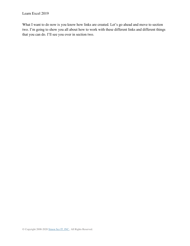What I want to do now is you know how links are created. Let's go ahead and move to section two. I'm going to show you all about how to work with these different links and different things that you can do. I'll see you over in section two.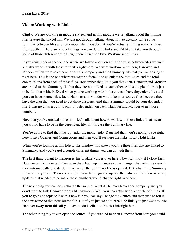#### **Video: Working with Links**

**Cindy:** We are working in module sixteen and in this module we're talking about the linking files feature that Excel has. We just got through talking about how to actually write some formulas between files and remember when you do that you're actually linking some of those files together. There are a lot of things you can do with links and I'd like to take you through some of those different options right here in section two, Working with Links.

If you remember in section one where we talked about creating formulas between files we were actually working with these four files right here. We were working with Jaen, Hanover, and Monder which were sales people for this company and the Summary file that you're looking at right here. This is the one where we wrote a formula to calculate the total sales and the total commissions from each of those files. Remember that I told you that Jaen, Hanover and Monder are linked to this Summary file but they are not linked to each other. And a couple of terms just to be familiar with, in Excel when you're working with links you can have dependent files and you can have source files. Jaen, Hanover and Monder would be your source files because they have the data that you need to get these answers. And then Summary would be your dependent file. It has no answers on its own. It's dependent on Jaen, Hanover and Monder to get those numbers.

Now that you've created some links let's talk about how to work with those links. That means you would have to be in the dependent file, in this case the Summary file.

You're going to find the links up under the menu under Data and then you're going to see right here it says Queries and Connections and then you'll see here the links. It says Edit Links.

When you're looking at this Edit Links window this shows you the three files that are linked to Summary. And you've got a couple different things you can do with them.

The first thing I want to mention is this Update Values over here. Now right now if I close Jaen, Hanover and Monder and then open them back up and make some changes then what happens is they automatically update Summary when the Summary file is opened. But what if the Summary file is already open? Then you can just have Excel go and update the values and if there were any updates that needed to be made these numbers would change right over here.

The next thing you can do is change the source. What if Hanover leaves the company and you don't want to link Hanover to this file anymore? Well you can actually do a couple of things. If you're going to replace it with a new file you can say Change the Source and then just go tell it the new name of that new source file. But if you just want to break the link, you just want to take Hanover away from this all you have to do is click on Break Link right here.

The other thing is you can open the source. If you wanted to open Hanover from here you could.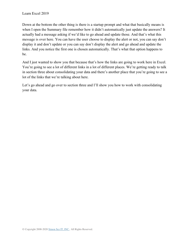Down at the bottom the other thing is there is a startup prompt and what that basically means is when I open the Summary file remember how it didn't automatically just update the answers? It actually had a message asking if we'd like to go ahead and update those. And that's what this message is over here. You can have the user choose to display the alert or not, you can say don't display it and don't update or you can say don't display the alert and go ahead and update the links. And you notice the first one is chosen automatically. That's what that option happens to be.

And I just wanted to show you that because that's how the links are going to work here in Excel. You're going to see a lot of different links in a lot of different places. We're getting ready to talk in section three about consolidating your data and there's another place that you're going to see a lot of the links that we're talking about here.

Let's go ahead and go over to section three and I'll show you how to work with consolidating your data.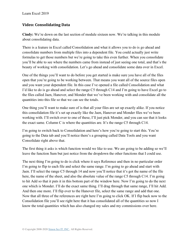## **Video: Consolidating Data**

**Cindy:** We're down on the last section of module sixteen now. We're talking in this module about consolidating data.

There is a feature in Excel called Consolidation and what it allows you to do is go ahead and consolidate numbers from multiple files into a dependent file. You could actually just write formulas to get those numbers but we're going to take this even further. When you consolidate you'll be able to see where the numbers came from instead of just seeing one total, and that's the beauty of working with consolidation. Let's go ahead and consolidate some data over in Excel.

One of the things you'll want to do before you get started is make sure you have all of the files open that you're going to be working between. That means you want all of the source files open and you want your dependent file. In this case I've opened a file called Consolidation and what I'd like to do is go ahead and select the range C5 through C14 and I'm going to have Excel go to the files called Jaen, Hanover, and Monder that we've been working with and consolidate all the quantities into this file so that we can see the totals.

One thing you'll want to make sure of is that all your files are set up exactly alike. If you notice this consolidation file it's set up exactly like the Jaen, Hanover and Monder files we've been working with. I'll switch over to one of these, I'll just pick Monder, and you can see that it looks the exact same. Column C is where the quantities are. It's the range C5 through C14.

I'm going to switch back to Consolidation and here's how you're going to start this. You're going to the Data tab and you'll notice there's a grouping called Data Tools and you want Consolidate right above that.

The first thing it asks is which function would we like to use. We are going to be adding so we'll leave the function Sum but just notice from the dropdown the other functions that I could use.

The next thing I'm going to do is click where it says Reference and then in no particular order I'm going to flip to each file and select the same range. I'm going to go ahead and start with Jaen. I'll select the range C5 through 14 and now you'll notice that it's got the name of the file here, the name of the sheet, and also the absolute value of the range C5 through C14. I'm going to hit Add so that it puts it in this bottom part of the window here. Now I'm going to do the next one which is Monder. I'll do the exact same thing. I'll drag through that same range, I'll hit Add. And then one more. I'll flip over to the Hanover file, select the same range and add that one. Now that all three of the references are right here I'm going to click OK. If I flip back now to the Consolidation file you'll see right here that it has consolidated all of the quantities so now I know the total quantities which has also changed my sales and my commissions over here.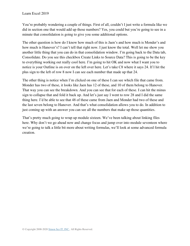You're probably wondering a couple of things. First of all, couldn't I just write a formula like we did in section one that would add up those numbers? Yes, you could but you're going to see in a minute that consolidation is going to give you some additional options.

The other question is how do I know how much of this is Jaen's and how much is Monder's and how much is Hanover's? I can't tell that right now. I just know the total. Well let me show you another little thing that you can do in that consolidation window. I'm going back to the Data tab, Consolidate. Do you see this checkbox Create Links to Source Data? This is going to be the key to everything working out really cool here. I'm going to hit OK and now what I want you to notice is your Outline is on over on the left over here. Let's take C8 where it says 24. If I hit the plus sign to the left of row 8 now I can see each number that made up that 24.

The other thing is notice when I'm clicked on one of these I can see which file that came from. Monder has two of these, it looks like Jaen has 12 of these, and 10 of them belong to Hanover. That way you can see the breakdown. And you can see that for each of these. I can hit the minus sign to collapse that and fold it back up. And let's just say I went to row 28 and I did the same thing here. I'd be able to see that 48 of these came from Jaen and Monder had two of these and the last seven belong to Hanover. And that's what consolidation allows you to do. In addition to just coming up with an answer you can see all the numbers that make up those quantities.

That's pretty much going to wrap up module sixteen. We've been talking about linking files here. Why don't we go ahead now and change focus and jump over into module seventeen where we're going to talk a little bit more about writing formulas, we'll look at some advanced formula creation.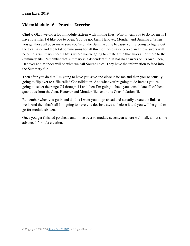#### **Video: Module 16 – Practice Exercise**

**Cindy:** Okay we did a lot in module sixteen with linking files. What I want you to do for me is I have four files I'd like you to open. You've got Jaen, Hanover, Monder, and Summary. When you get those all open make sure you're on the Summary file because you're going to figure out the total sales and the total commissions for all three of those sales people and the answers will be on this Summary sheet. That's where you're going to create a file that links all of these to the Summary file. Remember that summary is a dependent file. It has no answers on its own. Jaen, Hanover and Monder will be what we call Source Files. They have the information to feed into the Summary file.

Then after you do that I'm going to have you save and close it for me and then you're actually going to flip over to a file called Consolidation. And what you're going to do here is you're going to select the range C5 through 14 and then I'm going to have you consolidate all of those quantities from the Jaen, Hanover and Monder files onto this Consolidation file.

Remember when you go in and do this I want you to go ahead and actually create the links as well. And then that's all I'm going to have you do. Just save and close it and you will be good to go for module sixteen.

Once you get finished go ahead and move over to module seventeen where we'll talk about some advanced formula creation.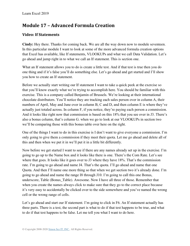# **Module 17 – Advanced Formula Creation**

## **Video: If Statements**

**Cindy:** Hey there. Thanks for coming back. We are all the way down now to module seventeen. In this particular module I want to look at some of the more advanced formula creation options that Excel has available, like If statements, VLOOKUPs and what we call Data Validation. Let's go ahead and jump right in to what we call an If statement. This is section one.

What an If statement allows you to do is create a little test. And if that test is true then you do one thing and if it's false you'll do something else. Let's go ahead and get started and I'll show you how to create an If statement.

Before we actually start writing our If statement I want to take a quick peek at the exercise so that you'll know exactly what we're trying to accomplish here. You should be familiar with this exercise. This is a company called Benjamin of Brussels. We're looking at their international chocolate distributors. You'll notice they are tracking each sales person over in column A, their numbers of April, May and June over in column B, C and D, and then column E is where they've actually just totaled across. In column F, if you notice, they're paying each person a commission. And it looks like right now that commission is based on this 18% that you see over in J3. There's also a bonus column, that's column G. when we go to look at our VLOOKUPs in section two we'll be comparing those with this bonus table over here on the right.

One of the things I want to do in this exercise is I don't want to give everyone a commission. I'm only going to give them a commission if they meet their quota. Let me go ahead and delete all of this and then when we put it in we'll put it in a little bit differently.

Now before we get started I want to see if there are any names already set up in the exercise. I'm going to go up to the Name box and it looks like there is one. There's the Com Rate. Let's see where that goes. It looks like it goes over to J3 where they have 18%. That's the commission rate. I'm going to go ahead and name J4. That's the quota. I'll go ahead and name that one Quota. And then I'll name one more thing so that when we get section two it's already done. I'm going to go ahead and name the range I8 through J10. I'm going to call this one Bonus, underscore, Table (Bonus\_Table). Awesome. Now I have all three of those. Remember that when you create the names always click to make sure that they go to the correct place because it's very easy to accidentally be clicked over to the side somewhere and you've named the wrong cell or the wrong range of cells.

Let's go ahead and start our If statement. I'm going to click in F6. An If statement actually has three parts. There is a test, the second part is what to do if that test happens to be true, and what to do if that test happens to be false. Let me tell you what I want to do here.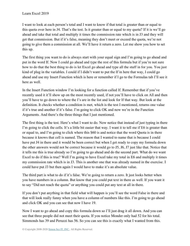I want to look at each person's total and I want to know if that total is greater than or equal to this quota over here in J4. That's the test. Is it greater than or equal to my quota? If it is we'll go ahead and take that total and multiply it times the commission rate which is in J3 and they will get that commission. But if it's false, meaning they don't meet or exceed the quota, we're not going to give them a commission at all. We'll have it return a zero. Let me show you how to set this up.

The first thing you want to do is always start with your equal sign and I'm going to go ahead and put in the word If. Now I could go ahead and type the rest of this formula but if you're not sure how to do that the best thing to do is let Excel go ahead and type all the stuff in for you. You just kind of plug in the variables. I could if I didn't want to put the If in here that way, I could go ahead and use my Insert Function which is here or remember if I go to the Formulas tab I'll see it here as well.

In the Insert Function window I'm looking for a function called If. Remember that if you've recently used it it'll show up on the most recently used, if not you'll have to click on All and then you'll have to go down to where the I's are in the list and look for If that way. But look at the definition. It checks whether a condition is met, which is the test I mentioned, returns one value if it's true and another if it's false. I'm going to click OK and now we're in the Function Arguments. And there's the three things that I just mentioned.

The first thing is the test. Here's what I want to do. Now notice that instead of just typing in there I'm going to click the cells. It's a little bit easier that way. I want it to tell me if E6 is greater than or equal to, and I'm going to click where this \$60 is and notice that the word Quota is in there because it knows that cell is named. The reason that I wanted to name that is because I could have put J4 in there and it would be been correct but when I get ready to copy my formula down the other answers would not be correct because it would go to J5, J6, J7 just like that. Notice that it tells me this is true already so I'm going to go ahead and do the second part. What do we want Excel to do if this is true? Well I'm going to have Excel take my total in E6 and multiply it times my commission rate which is in J3. This is another one that was already named in the exercise. I could have put J3 but then again I would have to make it's an absolute value.

The third part is what to do if it's false. We're going to return a zero. It just looks better when you have numbers in a column. But know that you could put text in there as well. If you want it to say "Did not reach the quota" or anything you could put any text at all in there.

If you don't put anything in that field what will happen is you'll see the word False in there and that will look really funny when you have a column of numbers like this. I'm going to go ahead and click OK and you can see that now I have 19.

Now I want to go ahead and copy this formula down so I'll just drag it all down. And you can see that three people did not meet their quota. If you notice Monder only had 52 for his total. Simmonds has 39 and Peruzzi has 56. So you can see this is exactly what I wanted from this.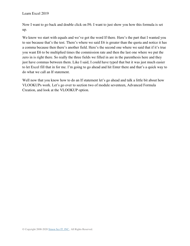Now I want to go back and double click on F6. I want to just show you how this formula is set up.

We know we start with equals and we've got the word If there. Here's the part that I wanted you to see because that's the test. There's where we said E6 is greater than the quota and notice it has a comma because then there's another field. Here's the second one where we said that if it's true you want E6 to be multiplied times the commission rate and then the last one where we put the zero in is right there. So really the three fields we filled in are in the parenthesis here and they just have commas between them. Like I said, I could have typed that but it was just much easier to let Excel fill that in for me. I'm going to go ahead and hit Enter there and that's a quick way to do what we call an If statement.

Well now that you know how to do an If statement let's go ahead and talk a little bit about how VLOOKUPs work. Let's go over to section two of module seventeen, Advanced Formula Creation, and look at the VLOOKUP option.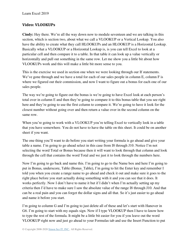### **Video: VLOOKUPs**

**Cindy:** Hey there. We're all the way down now to module seventeen and we are talking in this section, which is section two, about what we call a VLOOKUP or a Vertical Lookup. You also have the ability to create what they call HLOOKUPs and an HLOOKUP is a Horizontal Lookup. Basically what a VLOOKUP or a Horizontal Lookup is, is you can tell Excel to look at a particular cell and then compare it to a table. In that table it can look up a value vertically or horizontally and pull out something in the same row. Let me show you a little bit about how VLOOKUPs work and this will make a little bit more sense to you.

This is the exercise we used in section one when we were looking through our If statements. We've gone through and we have a total for each of our sales people in column E, column F is where we figured out their commission, and now I want to figure out a bonus for each one of our sales people.

The way we're going to figure out the bonus is we're going to have Excel look at each person's total over in column E and then they're going to compare it to this bonus table that you see right here and they're going to use the first column to compare it. We're going to have it look for the closest number without going over and then return a value over in the second column on the same row.

When you're going to work with a VLOOKUP you're telling Excel to vertically look in a table that you have somewhere. You do not have to have the table on this sheet. It could be on another sheet if you want.

The one thing you'll want to do before you start writing your formula is go ahead and give your table a name. I'm going to go ahead select in this case from I8 through J10. Notice I'm not selecting the word Total or Bonus because then it will want to look through that column and look through the cell that contains the word Total and we just it to look through the numbers here.

Now I'm going to go back and name this. I'm going to go to the Name box and here I'm going to put in Bonus, underscore, Table (Bonus Table), I'm going to hit the Enter key and remember I told you when you create a range name to go ahead and check it out and make sure it goes to the right place before you start actually doing something with it and you can see that it does. It works perfectly. Now I don't have to name it but if I didn't when I'm actually setting up my criteria then I'd have to make sure I saw the absolute value of the range I8 through J10. And that can be a real pain and you can forget the dollar signs and all that. So it's just easier to go ahead and name it before you start.

I'm going to column G and I'm going to just delete all of these and let's start with Hanover in G6. I'm going to start with my equals sign. Now if I type VLOOKUP then I have to know how to type the rest of the formula. It might be a little bit easier for you if you leave out the word VLOOKUP right now and just go ahead to your Formulas tab and use the Insert Function to put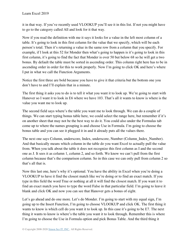it in that way. If you've recently used VLOOKUP you'll see it in this list. If not you might have to go to the category called All and look for it that way.

Now if you read the definition with me it says it looks for a value in the left most column of a table. It's going to look in this first column for the value that we specify, which will be each person's total. Then it's returning a value in the same row from a column that you specify. For example, if I look at this 52 for Monder then what's going to happen is it's going to look in this first column, it's going to find the fact that Monder is over 50 but below 68 so he will get a two bonus. By default the table must be sorted in ascending order. This column right here has to be in ascending order in order for this to work properly. Now I'm going to click OK and here's where I put in what we call the Function Arguments.

Notice the first three are bold because you have to give it that criteria but the bottom one you don't have to and I'll explain that in a minute.

The first thing it asks you to do is to tell it what you want it to look up. We're going to start with Hanover so I want it to look in E6 where we have 103. That's all it wants to know is where is the value you want me to look up.

The second field says where's the table you want me to look through. We can do a couple of things. We can start typing bonus table here, we could select the range here, but remember if it's on another sheet that may not be the best way to do it. You could also under the Formulas tab come up to where the names grouping is and choose Use in Formula. I'm going to choose the bonus table and you can see it plugged it in and it already puts all the values there.

The next one says Column, underscore, Index, underscore, Number (Column\_Index\_Number). And that basically means which column in the table do you want Excel to actually pull the value from. When you talk about the table it does not recognize this first column as I and the second one as J. It sees it as column 1, column 2, and so forth. We know we can't pull from the first column because that's the comparison column. So in this case we can only pull from column 2 so that's all that is.

Now this last one, here's why it's optional. You have the ability in Excel when you're doing a VLOOKUP to have it find the closest match like we're doing or to find an exact match. If you type in this field the word True or nothing at all it will find the closest match. If you want it to find an exact match you have to type the word False in that particular field. I'm going to leave it blank and click OK and now you can see that Hanover gets a bonus of eight.

Let's go ahead and do one more. Let's do Monder. I'm going to start with my equal sign, I'm going up to the Insert Function, I'm going to choose VLOOKUP and click OK. The first thing it wants to know is which cell do you want it to look up. In this case it's going to be E7. The next thing it wants to know is where's the table you want it to look through. Remember this is where I'm going to choose the Use in Formula option and pick Bonus Table. And the third thing it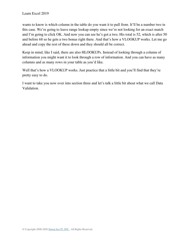wants to know is which column in the table do you want it to pull from. It'll be a number two in this case. We're going to leave range lookup empty since we're not looking for an exact match and I'm going to click OK. And now you can see he's got a two. His total is 52, which is after 50 and before 68 so he gets a two bonus right there. And that's how a VLOOKUP works. Let me go ahead and copy the rest of these down and they should all be correct.

Keep in mind, like I said, there are also HLOOKUPs. Instead of looking through a column of information you might want it to look through a row of information. And you can have as many columns and as many rows in your table as you'd like.

Well that's how a VLOOKUP works. Just practice that a little bit and you'll find that they're pretty easy to do.

I want to take you now over into section three and let's talk a little bit about what we call Data Validation.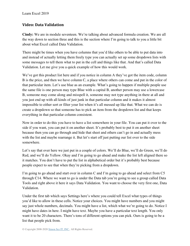## **Video: Data Validation**

**Cindy:** We are in module seventeen. We're talking about advanced formula creation. We are all the way down to section three and this is the section where I'm going to talk to you a little bit about what Excel called Data Validation.

There might be times when you have columns that you'd like others to be able to put data into and instead of actually letting them freely type you can actually set up some dropdown lists with some messages to tell them what to put in the cell and things like that. And that's called Data Validation. Let me give you a quick example of how this would work.

We've got this product list here and if you notice in column A they've got the item code, column B is the price, and then we have column C, a place where others can come and put in the color of that particular item. Let's use blue as an example. What's going to happen if multiple people use the same file is one person may type Blue with a capital B, another person may use a lowercase B, someone may come along and misspell it, someone may not type anything in there at all and you just end up with all kinds of just junk in that particular column and it makes it almost impossible to either sort or filter your list when it's all messed up like that. What we can do is create a dropdown so that someone has to pick an item from the dropdown list and that keeps everything in that particular column consistent.

Now in order to do this you have to have a list somewhere in your file. You can put it over to the side if you want, you can put it on another sheet. It's probably best to put it on another sheet because then you can go through and hide that sheet and others can't go in and actually mess with the list and maybe rearrange it. But let's start off just putting our list over to the side somewhere.

Let's say that over here we just put in a couple of colors. We'll do Blue, we'll do Green, we'll do Red, and we'll do Yellow. Okay and I'm going to go ahead and make the list left aligned there so it matches. You don't have to put the list in alphabetical order but it's probably best because people expect to see that when they're picking from a dropdown.

I'm going to go ahead and start over in column C and I'm going to go ahead and select from C5 through C14. Where we want to go is under the Data tab you're going to see a group called Data Tools and right above it here it says Data Validation. You want to choose the very first one, Data Validation.

Under the first tab which says Settings here's where you could tell Excel what types of things you'd like to allow in these cells. Notice your choices. You might have numbers and you might say just whole numbers, decimals. You might have a list, which what we're going to do. Notice I might have dates in here. I might have text. Maybe you have a particular text length. You only want it to be 20 characters. There's tons of different options you can pick. Ours is going to be a list that people pick from.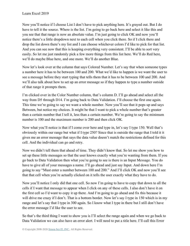Now you'll notice if I choose List I don't have to pick anything here. It's grayed out. But I do have to tell it the source. Where is the list. I'm going to go back here and select it like this and you see that that range is now an absolute value. I'm just going to click OK and now you'll notice there's a little dropdown next to each cell when you click there. So if I click there and drop the list down there's my list and I can choose whichever colors I'd like to pick for that list. And you can see now that this is keeping everything very consistent. I'll be able to sort very easily. So let me just randomly pick a few more things from this list here. We'll do Red here, we'll do maybe Blue here, and one more. We'll do another Blue.

Now let's look over at the column that says Colored Number. Let's say that when someone types a number here it has to be between 100 and 200. What we'd like to happen is we want the user to see a message before they start typing that tells them that it has to be between 100 and 200. And we'll also talk about how to set up an error message so if they happen to type a number outside of that range it prompts them.

I'm clicked over in the Color Number column, that's column D. I'll go ahead and select all the way from D5 through D14. I'm going back to Data Validation. I'll choose the first one again. This time we're going to say we want a whole number. Now you'll see that it pops up and says Between, but notice my choices. It might be that I want to pick a whole number that's greater than a certain number that I tell it, less than a certain number. We're going to say the minimum number is 100 and the maximum number is 200 and then click OK.

Now what you'll notice is that if I come over here and type in, let's say I type 150. Well that's obviously within our range but what if I type 250? Since that is outside the range that I told it it gives me an error message that says the data value doesn't match the restrictions defined for this cell. And the individual can go and retry.

Now we didn't tell them that ahead of time. They didn't know that. So let me show you how to set up these little messages so that the user knows exactly what you're wanting from them. If you go back to Data Validation then what you're going to see is there is an Input Message. You do have to give all of your messages a name. I'll go ahead and just say Input. And down here I'm going to say "Must enter a number between 100 and 200." And I'll click OK and now you'll see that that cell when you're actually clicked on it tells the user exactly what they have to do.

Now you'll notice I only did that one cell. So now I'm going to have to copy that down to all the cells if I want that message to appear when I click on any of these cells. I also don't have it on the first cell so I'd want to copy it up there. And I'm going to go ahead and fix this because it will drive me crazy if I don't. That is a bottom border. Now let's say I type in 150 which is in my range and let's say that I type in 300 again. So I know what I type in there but I still don't have the error message I'd like the user to see.

So that's the third thing I want to show you is I'll select the range again and when we go back to Data Validation we can also have an error alert. I will need to put a title here. I'll call this Error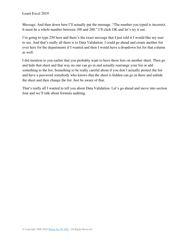Message. And then down here I'll actually put the message. "The number you typed is incorrect. It must be a whole number between 100 and 200." I'll click OK and let's try it out.

I'm going to type 250 here and there's the exact message that I just told it I would like my user to see. And that's really all there is to Data Validation. I could go ahead and create another list over here for the departments if I wanted and then I would have a dropdown list for that column as well.

I did mention to you earlier that you probably want to have these lists on another sheet. Then go and hide that sheet and that way no one can go in and actually rearrange your list or add something to the list. Something to be really careful about if you don't actually protect the list and have a password somebody who knows that the sheet is hidden can go in there and unhide the sheet and then change the list. Just be aware of that.

That's really all I wanted to tell you about Data Validation. Let's go ahead and move into section four and we'll talk about formula auditing.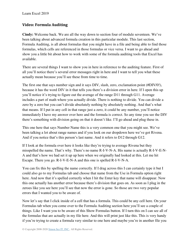## **Video: Formula Auditing**

**Cindy:** Welcome back. We are all the way down to section four of module seventeen. We've been talking about advanced formula creation in this particular module. This last section, Formula Auditing, is all about formulas that you might have in a file and being able to find those formulas, which cells are referenced in those formulas or vice versa. I want to go ahead and show you a little bit about how to work with some of the formula auditing tools that Excel has available.

There are several things I want to show you in here in reference to the auditing feature. First of all you'll notice there's several error messages right in here and I want to tell you what these actually mean because you'll see these from time to time.

The first one that says number sign and it says DIV, slash, zero, exclamation point (#DIV/0!), because it has the word DIV in it that tells you there's a division error in here. If I open this up you'll notice it's trying to figure out the average of the range D11 through G11. Average includes a part of math where you actually divide. There is nothing to divide. You can divide a zero by a zero but you can't divide absolutely nothing by absolutely nothing. And that's what that means. If I put in any cell in that range just a zero, it could be any number, you'll notice immediately I have my answer over here and the formula is correct. So any time you see the DIV there's something with division going on that it doesn't like. I'll go ahead and plug these in.

This one here that says Number Name this is a very common one that you might see. We've been talking a lot about range names and if you look on our dropdown here we've got Rivena. And if you notice that's this person's last name. And it refers to D12 through G12.

If I look at the formula over here it looks like they're trying to average Rivena but they misspelled the name. That's why. There's no name R-I-V-N-A. His name is actually R-I-V-E-N-A and that's how we had set it up up here when we originally had looked at this. Let me hit Escape. There you go. R-I-V-E-N-A and this one is spelled R-I-V-N-A.

You can fix this by spelling the name correctly. If I drag across this I can certainly type it but I could also go to my Formulas tab and choose that name from the Use in Formula option right here. And now that it's spelled correctly when I hit the Enter key that name will disappear. Now this one actually has another error because there's division that goes on. As soon as I plug in the zeroes like you see here you'll see that now the error is gone. So those are two very popular errors that I wanted you to be aware of.

Now let's say that I click inside of a cell that has a formula. This could be any cell here. On your Formulas tab when you come over to the Formula Auditing section here you'll see a couple of things. Like I want you to be aware of this Show Formulas button. If I turn this on I can see all of the formulas that are actually in my file here. And this will print just like this. This is very handy if you're trying to create a formula very similar to one here and maybe you're in another file you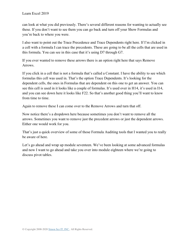can look at what you did previously. There's several different reasons for wanting to actually see these. If you don't want to see them you can go back and turn off your Show Formulas and you're back to where you were.

I also want to point out the Trace Precedence and Trace Dependents right here. If I'm clicked in a cell with a formula I can trace the precedents. These are going to be all the cells that are used in this formula. You can see in this case that it's using D7 through G7.

If you ever wanted to remove these arrows there is an option right here that says Remove Arrows.

If you click in a cell that is not a formula that's called a Constant. I have the ability to see which formulas this cell was used in. That's the option Trace Dependents. It's looking for the dependent cells, the ones in Formulas that are dependent on this one to get an answer. You can see this cell is used in it looks like a couple of formulas. It's used over in H14, it's used in I14, and you can see down here it looks like F22. So that's another good thing you'll want to know from time to time.

Again to remove these I can come over to the Remove Arrows and turn that off.

Now notice there's a dropdown here because sometimes you don't want to remove all the arrows. Sometimes you want to remove just the precedent arrows or just the dependent arrows. Either one would work for you.

That's just a quick overview of some of those Formula Auditing tools that I wanted you to really be aware of here.

Let's go ahead and wrap up module seventeen. We've been looking at some advanced formulas and now I want to go ahead and take you over into module eighteen where we're going to discuss pivot tables.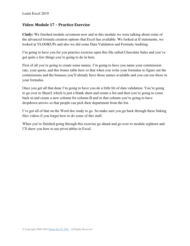#### **Video: Module 17 – Practice Exercise**

**Cindy:** We finished module seventeen now and in this module we were talking about some of the advanced formula creation options that Excel has available. We looked at If statements, we looked at VLOOKUPs and also we did some Data Validation and Formula Auditing.

I'm going to have you for you practice exercise open this file called Chocolate Sales and you've got quite a few things you're going to do in here.

First of all you're going to create some names. I'm going to have you name your commission rate, your quota, and this bonus table here so that when you write your formulas to figure out the commissions and the bonuses you'll already have those names available and you can use those in your formulas.

Once you get all that done I'm going to have you do a little bit of data validation. You're going to go over to Sheet2 which is just a blank sheet and create a list and then you're going to come back in and create a new column for column B and in that column you're going to have dropdown arrows so that people can pick their department from the list.

I've got all of that on the Word doc ready to go. So make sure you go back through these linking files videos if you forget how to do some of this stuff.

When you're finished going through this exercise go ahead and go over to module eighteen and I'll show you how to use pivot tables in Excel.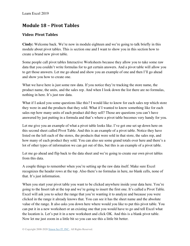## **Module 18 – Pivot Tables**

## **Video: Pivot Tables**

**Cindy:** Welcome back. We're now in module eighteen and we're going to talk briefly in this module about pivot tables. This is section one and I want to show you in this section how to create a brand new pivot table.

Some people call pivot tables Interactive Worksheets because they allow you to take some raw data that you couldn't write formulas for to get certain answers. And a pivot table will allow you to get those answers. Let me go ahead and show you an example of one and then I'll go ahead and show you how to create one.

What we have here is just some raw data. If you notice they're tracking the store name, the product name, the units, and the sales rep. And when I look down the list there are no formulas, nothing in here. It's just raw data.

What if I asked you some questions like this? I would like to know for each sales rep which store they were in and the products that they sold. What if I wanted to know something like for each sales rep how many units of each product did they sell? Those are questions you can't have answered by just putting in a formula and that's where a pivot table becomes very handy for you.

Let me give you an example of what a pivot table looks like. I've got one set up down here on this second sheet called Pivot Table. And this is an example of a pivot table. Notice they have listed on the left each of the stores, the products that were sold in that store, the sales rep, and how many of each product they sold. You can also see some grand totals over here and there's a lot of other types of information we can get out of this, but this is an example of a pivot table.

Let me go ahead and flip back to the data sheet and we're going to create our own pivot tables from this data.

A couple things to remember when you're setting up the raw data itself. Make sure Excel recognizes the header rows at the top. Also there's no formulas in here, no blank cells, none of that. It's just information.

When you start your pivot table you want to be clicked anywhere inside your data here. You're going to the Insert tab at the top and we're going to insert the first one. It's called a Pivot Table. Excel will ask you to select the range that you're wanting it to analyze and because you were clicked in the range it already knows that. You can see it has the sheet name and the absolute value of the range. It also asks you down here where would you like to put this pivot table. You can put it in a new worksheet or an existing one that you would have to go and tell Excel what the location is. Let's put it in a new worksheet and click OK. And this is a blank pivot table. Now let me just zoom in a little bit so you can see this a little bit better.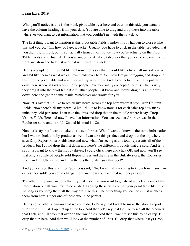What you'll notice is this is the blank pivot table over here and over on this side you actually have the column headings from your data. You are able to drag and drop these into the table wherever you want to get information that you couldn't get with the raw data.

The first thing I want to mention is this pivot table fields window if you happen to close it like this and you go, "Oh, how do I get it back?" Usually you have to click in the table, provided that you didn't turn it off, but if you actually turned it off notice now you're actually on the Pivot Table Tools contextual tab. If you're under the Analyze tab under that you can come over to the right and show the field list and that will bring this back up.

Here's a couple of things I'd like to know. Let's say that I would like a list of all my sales reps and I'd like them as what we call row fields over here. See how I'm just dragging and dropping this into the pivot table and now I see all my sales reps? And if you notice it actually put them down here where it says Rows. Some people have to visually conceptualize this. This is why they drag it into the pivot table itself. Other people just know and they'll drag this all the way down here and get the same result. Whichever one works for you.

Now let's say that I'd like to see all my stores across the top here where it says Drop Column Fields. Now there's all my stores. What I'd like to know now is for each sales rep how many units they sold per store. I can take the units and drop that in the middle where it says Drop Values Fields Here and now I have that information. You can see that Andrews was in the Rochester store and he sold 186 and his total is 186.

Now let's say that I want to take this a step further. What I want to know is the same information but I want to look at it by product as well. I can take this product and drop it at the top where it says Drop Report Filter Fields here and now what I'm seeing is this total represents all of the products but I could drop the list down and here's the different products that are sold. And let's say I just want to know the floppy drives. I could click there and click OK and now you'll see that only a couple of people sold floppy drives and they're in the Buffalo store, the Rochester store, and the Utica store and then there's the totals. Isn't that cool?

And you can see this is a filter. So if you said, "No, I was really wanting to know how many hard drives they sold" you could change it out and now you have that number per store.

The other thing you can do is that if you decide that you want to go ahead and clear some of this information out all you have to do is start dragging these fields out of your pivot table like this. As long as you drag them all the way out, like this. The other thing you can do is just uncheck them from here. Either one of those would be perfect.

Here's some other scenarios that we could do. Let's say that I want to make the store a report filter field. I'll just drop that up at the top. And then let's say that I'd like to see all the products that I sell, and I'll drop that over on the row fields. And then I want to see this by sales rep. I'll drop that up here. And then we'll look at the number of units. I'll drop that where it says Drop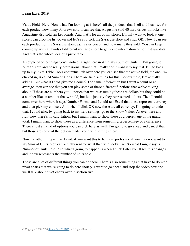Value Fields Here. Now what I'm looking at is here's all the products that I sell and I can see for each product how many Andrews sold. I can see that Augustine sold 40 hard drives. It looks like Augustine also sold ten keyboards. And that's for all of my stores. If I only want to look at one store I can drop the list down and let's say I pick the Syracuse store and click OK. Now I can see each product for the Syracuse store, each sales person and how many they sold. You can keep coming up with all kinds of different scenarios here to get some information out of just raw data. And that's the whole idea of a pivot table.

A couple of other things you'll notice is right here in A3 it says Sum of Units. If I'm going to print this out and be really professional about that I really don't want it to say that. If I go back up to my Pivot Table Tools contextual tab over here you can see that the active field, the one I'm clicked in, is called Sum of Units. There are field settings for this. For example, I'm actually adding. But what if I said give me a count? The same information but I want a count or an average. You can see that you can pick some of these different functions that we've talking about. If these are numbers you'll notice that we're assuming these are dollars but they could be a number like an amount that we sold, but let's just say they represented dollars. Then I could come over here where it says Number Format and I could tell Excel that these represent currency and then pick my choices. And when I click OK now these are all currency. I'm going to undo that. I could also, by going back to my field settings, go to the Show Values As over here and right now there's no calculations but I might want to show these as a percentage of the grand total. I might want to show these as a difference from something, a percentage of a difference. There's just all kind of options you can pick here as well. I'm going to go ahead and cancel that but those are some of the options under your field settings there.

Now the other thing is, like I said, if you want this to be more professional you may not want to say Sum of Units. You can actually rename what that field looks like. So what I might say is Number of Units Sold. And what's going to happen is when I click Enter you'll see this changes and it now represents the number of units sold.

Those are a lot of different things you can do there. There's also some things that have to do with pivot charts that we're going to do here shortly. I want to go ahead and stop the video now and we'll talk about pivot charts over in section two.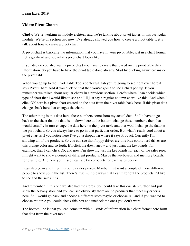#### **Video: Pivot Charts**

**Cindy:** We're working in module eighteen and we're talking about pivot tables in this particular module. We're on section two now. I've already showed you how to create a pivot table. Let's talk about how to create a pivot chart.

A pivot chart is basically the information that you have in your pivot table, just in a chart format. Let's go ahead and see what a pivot chart looks like.

If you decide you also want a pivot chart you have to create that based on the pivot table data information. So you have to have the pivot table done already. Start by clicking anywhere inside the pivot table.

When you go up to the Pivot Table Tools contextual tab you're going to see right over here it says Pivot Chart. And if you click on that then you're going to see a chart pop up. If you remember we talked about regular charts in a previous section. Here's where I can decide which type of chart that I would like to see and I'll just say a regular column chart like this. And when I click OK here is a pivot chart created on the data from the pivot table back here. If this pivot data changes back here that changes the chart.

The other thing is this data here, these numbers come from my actual data. So I'd have to go back to the sheet that the data is on down here at the bottom, change these numbers, then that would actually in turn change the data here on the pivot table and that would change the data on the pivot chart. So you always have to go in that particular order. But what's really cool about a pivot chart is if you notice here I've got a dropdown where it says Product. Currently I'm showing all of the products. So you can see that floppy drives are this blue color, hard drives are this orange color and so forth. If I click the down arrow and just want the keyboards, for example, then I can click OK and now I'm showing just the keyboards for each of the sales reps. I might want to show a couple of different products. Maybe the keyboards and memory boards, for example. And now you'll see I can see two products for each sales person.

I can also go in and filter this out by sales person. Maybe I just want a couple of these different people to show up in the list. There's just multiple ways that I can filter out the products I'd like to see and the sales reps.

And remember in this one we also had the stores. So I could take this one step further and just show the Albany store and you can see obviously there are no products that meet my criteria here. So I would go back and choose a different store maybe or choose All and if you wanted to choose multiple you could check this box and uncheck the ones you don't want.

The bottom line is that you can come up with all kinds of information in a chart format here form that data from the pivot table.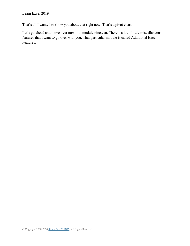That's all I wanted to show you about that right now. That's a pivot chart.

Let's go ahead and move over now into module nineteen. There's a lot of little miscellaneous features that I want to go over with you. That particular module is called Additional Excel Features.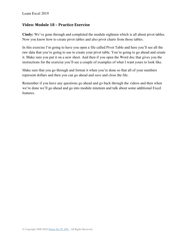#### **Video: Module 18 – Practice Exercise**

**Cindy:** We've gone through and completed the module eighteen which is all about pivot tables. Now you know how to create pivot tables and also pivot charts from those tables.

In this exercise I'm going to have you open a file called Pivot Table and here you'll see all the raw data that you're going to use to create your pivot table. You're going to go ahead and create it. Make sure you put it on a new sheet. And then if you open the Word doc that gives you the instructions for the exercise you'll see a couple of examples of what I want yours to look like.

Make sure that you go through and format it when you're done so that all of your numbers represent dollars and then you can go ahead and save and close the file.

Remember if you have any questions go ahead and go back through the videos and then when we're done we'll go ahead and go into module nineteen and talk about some additional Excel features.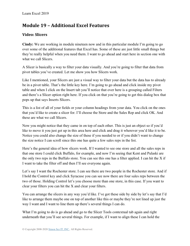# **Module 19 – Additional Excel Features**

## **Video: Slicers**

**Cindy:** We are working in module nineteen now and in this particular module I'm going to go over some of the additional features that Excel has. Some of these are just little small things but they're really helpful when you need them. I want to go ahead and start here in section one with what we call Slicers.

A Slicer is basically a way to filter your data visually. And you're going to filter that data from pivot tables you've created. Let me show you how Slicers work.

Like I mentioned, your Slicers are just a visual way to filter your data but the data has to already be in a pivot table. That's the little key here. I'm going to go ahead and click inside my pivot table and when I click on the Insert tab you'll notice that over here is a grouping called Filters and there's a Slicer option right here. If you click on that you're going to get this dialog box that pops up that says Inserts Slicers.

This is a list of all of your fields or your column headings from your data. You click on the ones that you'd like to create a slicer for. I'll choose the Store and the Sales Rep and click OK. And these are what we call Slicers.

Now you might notice that they came in on top of each other. This is just an object so if you'd like to move it you just get up in this area here and click and drag it wherever you'd like it to be. Notice you could also change the size of these if you needed to or if you didn't want to change the size notice I can scroll since this one has quite a few sales reps in the list.

Here's the general idea of how slicers work. If I wanted to see one store and all the sales reps in that one store I could click Buffalo, for example, and now I'm seeing that Kent and Pulaski are the only two reps in the Buffalo store. You can see this one has a filter applied. I can hit the X if I want to take the filter off and then I'll see everyone again.

Let's say I want the Rochester store. I can see there are two people in the Rochester store. And if I hold the Control key and click Syracuse you can see now there are four sales reps between the two of those. Holding Control let's you choose more than one store, in this case. If you want to clear your filters you can hit the X and clear your filters.

You can arrange the slicers in any way you'd like. I've got these side by side by let's say that I'd like to arrange them maybe one on top of another like this or maybe they're not lined up just the way I want and I want to line them up there's several things I can do.

What I'm going to do is go ahead and go to the Slicer Tools contextual tab again and right underneath that you'll see several things. For example, if I want to align these I can hold the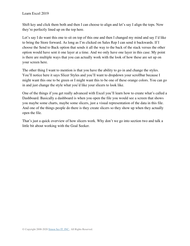Shift key and click them both and then I can choose to align and let's say I align the tops. Now they're perfectly lined up on the top here.

Let's say I do want this one to sit on top of this one and then I changed my mind and say I'd like to bring the Store forward. As long as I'm clicked on Sales Rep I can send it backwards. If I choose the Send to Back option that sends it all the way to the back of the stack versus the other option would have sent it one layer at a time. And we only have one layer in this case. My point is there are multiple ways that you can actually work with the look of how these are set up on your screen here.

The other thing I want to mention is that you have the ability to go in and change the styles. You'll notice here it says Slicer Styles and you'll want to dropdown your scrollbar because I might want this one to be green or I might want this to be one of these orange colors. You can go in and just change the style what you'd like your slicers to look like.

One of the things if you get really advanced with Excel you'll learn how to create what's called a Dashboard. Basically a dashboard is when you open the file you would see a screen that shows you maybe some charts, maybe some slicers, just a visual representation of the data in this file. And one of the things people do there is they create slicers so they show up when they actually open the file.

That's just a quick overview of how slicers work. Why don't we go into section two and talk a little bit about working with the Goal Seeker.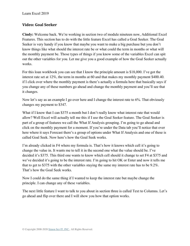#### **Video: Goal Seeker**

**Cindy:** Welcome back. We're working in section two of module nineteen now, Additional Excel Features. This section has to do with the little feature Excel has called a Goal Seeker. The Goal Seeker is very handy if you know that maybe you want to make a big purchase but you don't know things like what should the interest rate be or what could the term in months or what will the monthly payment be. Those types of things if you know some of the variables Excel can spit out the other variables for you. Let me give you a good example of how the Goal Seeker actually works.

For this loan workbook you can see that I know the principle amount is \$18,000. I've got the interest rate set at 12%, the term in months at 60 and that makes my monthly payment \$400.40. if I click over where the monthly payment is there's actually a formula here that basically says if you change any of these numbers go ahead and change the monthly payment and you'll see that it changes.

Now let's say as an example I go over here and I change the interest rate to 6%. That obviously changes my payment to \$347.

What if I know that I can \$375 a month but I don't really know what interest rate that would allow? Well Excel will actually tell me this if I use the Goal Seeker feature. The Goal Seeker is part of a group of features we call the What If Analysis grouping. I'm going to go ahead and click on the monthly payment for a moment. If you're under the Data tab you'll notice that over here where it says Forecast there's a group of options under What If Analysis and one of these is called Goal Seek. Now here's how the Goal Seek works.

I'm already clicked in F4 where my formula is. That's how it knows which cell it's going to change the value in. It wants me to tell it in the second one what the value should be. I've decided it's \$375. This third one wants to know which cell should it change to set F4 at \$375 and we've decided it's going to be the interest rate. I'm going to hit OK or Enter and now it tells me that to get to \$375 with the other variables staying the same my interest rate has to be 9.2%. That's how the Goal Seek works.

Now I could do the same thing if I wanted to keep the interest rate but maybe change the principle. I can change any of these variables.

The next little feature I want to talk to you about in section three is called Text to Columns. Let's go ahead and flip over there and I will show you how that option works.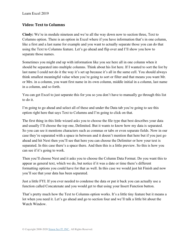#### **Video: Text to Columns**

**Cindy:** We're in module nineteen and we're all the way down now to section three, Text to Columns option. There is an option in Excel where if you have information that's in one column, like a first and a last name for example and you want to actually separate those you can do that using the Text to Columns feature. Let's go ahead and flip over and I'll show you how to separate those names.

Sometimes you might end up with information like you see here all in one column when it should be separated into multiple columns. Think about his list here. If I wanted to sort the list by last name I could not do it the way it's set up because it's all in the same cell. You should always think smallest meaningful value when you're going to sort or filter and that means you want Mr. or Mrs. in a column, you want first name in its own column, middle initial in a column, last name in a column, and so forth.

You can get Excel to just separate this for you so you don't have to manually go through this list to do it.

I'm going to go ahead and select all of these and under the Data tab you're going to see this option right here that says Text to Columns and I'm going to click on that.

The first thing in this little wizard asks you to choose the file type that best describes your data and usually I'll choose the top one, Delimited. But it wants to know how my data is separated. So you can see it mentions characters such as commas or tabs or even separate fields. Now in our case they're separated with a space in between and it doesn't mention that here but if you just go ahead and hit Next then you'll see that here you can choose the Delimiter or how your text is separated. In this case there's a space there. And then this is a little preview. So this is how you can see if it's going to work.

Then you'll choose Next and it asks you to choose the Column Data Format. Do you want this to appear as general text, which we do, but notice if it was a date or time there's different formatting options you could have for that as well. In this case we would just hit Finish and now you'll see that your data has been separated.

Just a little FYI. If you ever needed to condense the data or put it back you can actually use a function called Concatenate and you would get to that using your Insert Function button.

That's pretty much how the Text to Columns option works. It's a little tiny feature but it means a lot when you need it. Let's go ahead and go to section four and we'll talk a little bit about the Watch Window.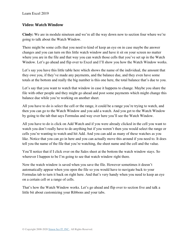#### **Video: Watch Window**

**Cindy:** We are in module nineteen and we're all the way down now to section four where we're going to talk about the Watch Window.

There might be some cells that you need to kind of keep an eye on in case maybe the answer changes and you can turn on this little watch window and have it sit on your screen no matter where you are in the file and that way you can watch those cells that you've set up in the Watch Window. Let's go ahead and flip over to Excel and I'll show you how the Watch Window works.

Let's say you have this little table here which shows the name of the individual, the amount that they owe you, if they've made any payments, and the balance due, and they even have some totals at the bottom and really the big number is this one here, the total balance that's due to you.

Let's say that you want to watch that window in case it happens to change. Maybe you share the file with other people and they might go ahead and post some payments which might change this balance due while you're working on another sheet.

All you have to do is select the cell or the range, it could be a range you're trying to watch, and then you can go to the Watch Window and you add a watch. And you get to the Watch Window by going to the tab that says Formulas and way over here you'll see the Watch Window.

All you have to do is click on Add Watch and if you were already clicked in the cell you want to watch you don't really have to do anything but if you weren't then you would select the range or cells you're wanting to watch and hit Add. And you can add as many of these watches as you like. Notice that you can go in here and you can actually move this around if you need to. It does tell you the name of the file that you're watching, the sheet name and the cell and the value.

You'll notice that if I click over on the Sales sheet at the bottom the watch window stays. So wherever I happen to be I'm going to see that watch window right there.

Now the watch window is saved when you save the file. However sometimes it doesn't automatically appear when you open the file so you would have to navigate back to your Formulas tab to turn it back on right here. And that's very handy when you need to keep an eye on a certain cell or a range of cells.

That's how the Watch Window works. Let's go ahead and flip over to section five and talk a little bit about customizing your Ribbons and your tabs.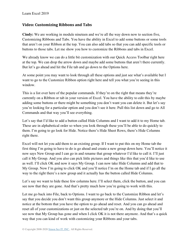#### **Video: Customizing Ribbons and Tabs**

**Cindy:** We are working in module nineteen and we're all the way down now to section five, Customizing Ribbons and Tabs. You have the ability in Excel to add some buttons or some tools that aren't on your Ribbon at the top. You can also add tabs so that you can add specific tools or buttons to those tabs. Let me show you how to customize the Ribbons and tabs in Excel.

We already know we can do a little bit customization with our Quick Access Toolbar right here at the top. We can drop the arrow down and maybe add some buttons that aren't there currently. But let's go ahead and hit the File tab and go down to the Options here.

At some point you may want to look through all these options and just see what's available but I want to go to the Customize Ribbon option right here and tell you what you're seeing in this window.

This is a list over here of the popular commands. If they're on the right that means they're currently on a Ribbon or tab in your version of Excel. You have the ability to edit this by maybe adding some buttons or there might be something you don't want you can delete it. But let's say you're looking for a particular option and you don't see it here. Pull this list down and go to All Commands and that way you'll see everything.

Let's say that I'd like to add a button called Hide Columns and I want to add it to my Home tab. These are in alphabetical order so when you look through these you'll be able to do quickly to them. I'm going to go look for Hide. Notice there's Hide Sheet Rows, there's Hide Columns right there.

Excel will not let you add them to an existing group. If I want to put this on my Home tab the first thing I'm going to have to do is go ahead and create a new group down here. You'll notice it now says New Group and I can go in and rename that group whatever I'd like to call it. I'll just call it My Group. And you also can pick little pictures and things like this that you'd like to use as well. I'll click OK and now it says My Group. I can now take Hide Columns and add that to My Group. Now I'm going to click OK and you'll notice I'm on the Home tab and if I go all the way to the right there's a new group and it actually has the button called Hide Columns.

Let's say we want to hide these few columns here. I'll select them, click the button, and you can see now that they are gone. And that's pretty much how you're going to work with this.

Let me go back into File, back to Options. I want to go back to the Customize Ribbon and let's say that you decide you don't want this group anymore or the Hide Columns. Just select it and notice at the bottom that you have the option to go ahead and reset. And you can go ahead and reset all of your customizations or just on the selected tab you're on. And by doing that you'll see now that My Group has gone and when I click OK it is not there anymore. And that's a quick way that you can kind of work with customizing your Ribbons and your tabs.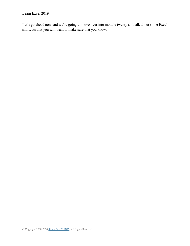Let's go ahead now and we're going to move over into module twenty and talk about some Excel shortcuts that you will want to make sure that you know.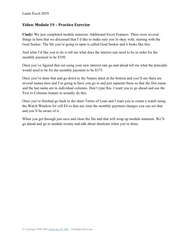#### **Video: Module 19 – Practice Exercise**

**Cindy:** We just completed module nineteen, Additional Excel Features. There were several things in here that we discussed that I'd like to make sure you're okay with, starting with the Goal Seeker. The file you're going to open is called Goal Seeker and it looks like this.

And what I'd like you to do is tell me what does the interest rate need to be in order for the monthly payment to be \$350.

Once you've figured that out using your new interest rate go and ahead tell me what the principle would need to be for the monthly payment to be \$375.

Once you've done that and go down to the Names sheet at the bottom and you'll see there are several names here and I'm going to have you go in and just separate these so that the first name and the last name are in individual columns. Don't type this. I want you to go ahead and use the Text to Columns feature to actually do this.

Once you're finished go back to the sheet Terms of Loan and I want you to create a watch using the Watch Window for cell F4 so that any time the monthly payment changes you can see that and you'll be aware of it.

When you get through just save and close the file and that will wrap up module nineteen. We'll go ahead and go to module twenty and talk about shortcuts when you're done.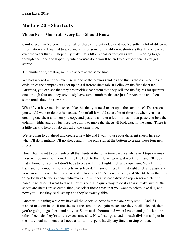## **Module 20 – Shortcuts**

## **Video: Excel Shortcuts Every User Should Know**

**Cindy:** Well we've gone through all of these different videos and you've gotten a lot of different information and I wanted to give you a list of some of the different shortcuts that I have learned over the years that will hopefully make life a little bit easier for you as well. I'm going to go through each one and hopefully when you're done you'll be an Excel expert here. Let's get started.

Tip number one, creating multiple sheets at the same time.

We had worked with this exercise in one of the previous videos and this is the one where each division of the company was set up on a different sheet tab. If I click on the first sheet tab, Australia, you can see that they are tracking each item that they sell and the figures for quarters one through four and they obviously have some numbers that are just for Australia and then some totals down in row nine.

What if you have multiple sheets like this that you need to set up at the same time? The reason you would want to do that is because first of all it would save a lot of time but when you start creating one sheet and then you copy and paste to another a lot of times in that paste you lose the column widths and you just lose the ability to make the sheets all look exactly the same. There is a little trick to help you do this all at the same time.

We're going to go ahead and create a new file and I want to use four different sheets here so what I'll do is initially I'll go ahead and hit the plus sign at the bottom to create these four new sheets.

Now what I want to do is select all the sheets at the same time because whatever I type on one of these will be on all of them. Let me flip back to that file we were just working in and I'll copy that information so that I don't have to type it. I'll just right click and copy here. Now I'll flip back and remember all four sheets are selected. On any of these I'll just right click and paste and you can see this is in here now. And if I click Sheet2 it's there, Sheet3, and Sheet4. Now the only thing I'd have to do is change whatever is in A1 because each division represents a different name. And also I'd want to take all of this out. The quick way to do it again is make sure all the sheets are sheets are selected, then just select those areas that you want to delete, like this, and now you'll see they're all set up and they're exactly alike.

Another little thing while we have all the sheets selected is these are pretty small. And if I wanted to zoom in on all the sheets at the same time, again make sure they're all selected, then you're going to go ahead and hit your Zoom at the bottom and when I zoom and go look at the other sheet tabs they're all the exact same size. Now I can go ahead on each division and put in the individual numbers that I need and I didn't spend hardly any time working on that.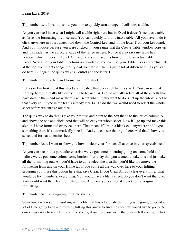Tip number two, I want to show you how to quickly turn a range of cells into a table.

As you can see I have what I might call a table right here but in Excel it doesn't see it as a table as far as the formatting is concerned. You can quickly turn this into a table. All you have to do is click anywhere in your range, hold down the Control key, and hit the letter T on your keyboard. And you'll notice because you were clicked in your range that the Create Table window pops up and it already has the absolute value of the range in here. Notice it also says my table has headers, which it does. I'll click OK and now you'll see it's turned it into an actual table in Excel. Now all of your table functions are available, you can use your Table Tools contextual tab at the top, you might change the style of your table. There's just a lot of different things you can do here. But again the quick way is Control and the letter T.

Tip number three, select and format an entire sheet.

Let's say I'm looking at this sheet and I realize that every cell here is size 1. You can see that right up here. I'd really like everything to be size 14. I could actually select all of these cells that have data in them and make them size 14 but what I really want to do is set up the whole sheet so that every cell I type in the text is already size 14. To do that we would need to select the whole sheet before we change our size.

The quick way to do that is take your mouse and point to the box that's to the left of column A and above the one and click. And that will select your whole sheet. Now if I go up and make this size 14 I have formatted every cell here. That means if I'm in a blank cell anywhere and I type something there it's automatically size 14. And you can see that right here. And that's how you select and format an entire sheet.

Tip number four, I want to show you how to clear your formats all at once in your spreadsheet.

As you can see in this particular exercise we've got some indenting going on, some bold and italics, we've got some colors, some borders. Let's say that you wanted to take this and just take all the formatting out. All you'd have to do is select the area that you'd like to remove the formatting from and on your Home tab if you come all the way over here to your Editing grouping you'll see this option here that says Clear. If you Clear All you clear everything. That would be text, numbers, everything. You would have a blank sheet. So you don't want that one. You would want the Clear Formats option. And now you can see it's back to the original formatting.

Tip number five is navigating multiple sheets.

Sometimes when you're working with a file that has a lot of sheets in it you're going to spend a lot of time going back and forth by hitting this arrow to find the sheet tab you'd like to go to. A quick, easy way to see a list of all the sheets, if on these arrows in the bottom left you right click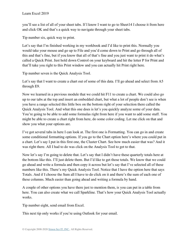you'll see a list of all of your sheet tabs. If I know I want to go to Sheet14 I choose it from here and click OK and that's a quick way to navigate through your sheet tabs.

Tip number six, quick way to print.

Let's say that I'm finished working in my workbook and I'd like to print this. Normally you would take your mouse and go up to File and you'd come down to Print and go through all of this and that's fine, but if you know that all of that's fine and you just want to print it do what's called a Quick Print. Just hold down Control on your keyboard and hit the letter P for Print and that'll take you right to this Print window and you can actually hit Print right here.

Tip number seven is the Quick Analysis Tool.

Let's say that I want to create a chart out of some of this data. I'll go ahead and select from A5 through E9.

Now we learned in a previous module that we could hit F11 to create a chart. We could also go up to our tabs at the top and insert an embedded chart, but what a lot of people don't see is when you have a range selected this little box on the bottom right of your selection there called the Quick Analysis Tool. And what this one does is let's you quickly analyze some of your data. You're going to be able to add some formulas right from here if you want to add some stuff. You might be able to create a chart right from here, do some color coding. Let me click on that and show you what your options are.

I've got several tabs in here I can look at. The first one is Formatting. You can go in and create some conditional formatting options. If you go to the Chart option here's where you could put in a chart. Let's say I put in this first one, the Cluster Chart. See how much easier that was? And it was right there. All I had to do was click on the Analysis Tool to get to that.

Now let's say I'm going to delete that. Let's say that I didn't have these quarterly totals here at the bottom like this. I'll just delete them. But I'd like to get those totals. We know that we could go ahead and write a formula and then copy it across but let's say that I've selected all of these numbers like this. There's my Quick Analysis Tool. Notice that I have the option here that says Totals. And if I choose the Sum all I have to do click on it and there's the sum of each one of these columns. Much easier than going ahead and writing a formula by hand.

A couple of other options you have there just to mention them, is you can put in a table from here. You can also create what we call Sparkline. That's how your Quick Analysis Tool actually works.

Tip number eight, send email from Excel.

This next tip only works if you're using Outlook for your email.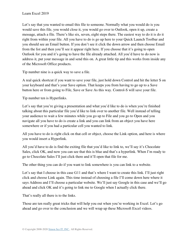Let's say that you wanted to email this file to someone. Normally what you would do is you would save this file, you would close it, you would go over to Outlook, open it up, create a message, attach a file. There's like six, seven, eight steps there. The easiest way to do it is do it right from within your file. All you have to do is go up here to your Quick Launch Toolbar and you should see an Email button. If you don't see it click the down arrow and then choose Email from the list and then you'll see it appear right here. If you choose that it's going to open Outlook for you and it's going to have the file already attached. All you'd have to do now is address it, put your message in and send this on. A great little tip and this works from inside any of the Microsoft Office products.

Tip number nine is a quick way to save a file.

A real quick shortcut if you want to save your file, just hold down Control and hit the letter S on your keyboard and that's your Save option. That keeps you from having to go up to a Save button here or from going to File, Save or Save As this way. Control-S will save your file.

Tip number ten is Hyperlinks.

Let's say that you're giving a presentation and what you'd like to do is when you're finished talking about this particular file you'd like to link over to another file. Well instead of telling your audience to wait a few minutes while you go up to File and you go to Open and you navigate all you have to do is create a link and you can link from an object you have here somewhere or if you had a particular cell you wanted to link.

All you have to do is right click on that cell or object, choose the Link option, and here is where you would insert a Hyperlink.

All you'd have to do is find the exiting file that you'd like to link to, we'll say it's Chocolate Sales, click OK, and now you can see that this is blue and that's a hyperlink. When I'm ready to go to Chocolate Sales I'll just click there and it'll open that file for me.

The other thing you can do if you want to link somewhere is you can link to a website.

Let's say that I choose in this case G11 and that's where I want to create this link. I'll just right click and choose Link again. This time instead of choosing a file I'll come down here where it says Address and I'll choose a particular website. We'll just say Google in this case and we'll go ahead and click OK and it's going to link me to Google when I actually click there.

That's really all there is to the links.

Those are ten really great tricks that will help you out when you're working in Excel. Let's go ahead and go over to the conclusion and we will wrap up these Microsoft Excel videos.